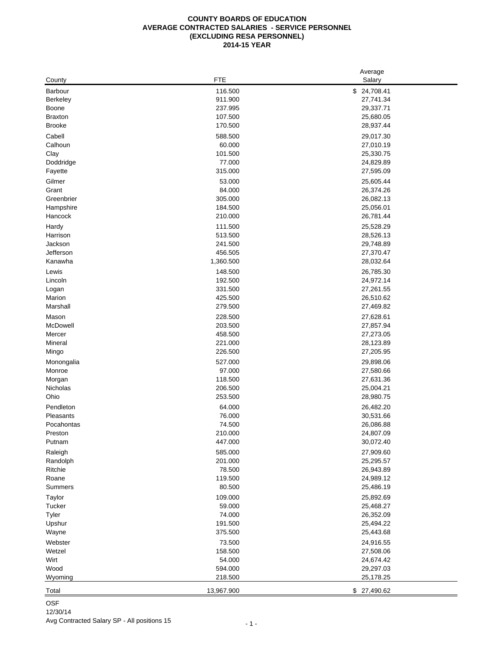### **COUNTY BOARDS OF EDUCATION AVERAGE CONTRACTED SALARIES - SERVICE PERSONNEL (EXCLUDING RESA PERSONNEL) 2014-15 YEAR**

|                |            | Average         |
|----------------|------------|-----------------|
| County         | <b>FTE</b> | Salary          |
| Barbour        | 116.500    | \$24,708.41     |
| Berkeley       | 911.900    | 27,741.34       |
| <b>Boone</b>   | 237.995    | 29,337.71       |
| <b>Braxton</b> | 107.500    | 25,680.05       |
| <b>Brooke</b>  | 170.500    | 28,937.44       |
| Cabell         | 588.500    | 29,017.30       |
| Calhoun        | 60.000     | 27,010.19       |
| Clay           | 101.500    | 25,330.75       |
| Doddridge      | 77.000     | 24,829.89       |
| Fayette        | 315.000    | 27,595.09       |
| Gilmer         | 53.000     | 25,605.44       |
| Grant          | 84.000     | 26,374.26       |
| Greenbrier     | 305.000    | 26,082.13       |
| Hampshire      | 184.500    | 25,056.01       |
| Hancock        | 210.000    | 26,781.44       |
| Hardy          | 111.500    | 25,528.29       |
| Harrison       | 513.500    | 28,526.13       |
| Jackson        | 241.500    | 29,748.89       |
| Jefferson      | 456.505    | 27,370.47       |
| Kanawha        | 1,360.500  | 28,032.64       |
| Lewis          | 148.500    | 26,785.30       |
| Lincoln        | 192.500    | 24,972.14       |
| Logan          | 331.500    | 27,261.55       |
| Marion         | 425.500    | 26,510.62       |
| Marshall       | 279.500    | 27,469.82       |
| Mason          | 228.500    | 27,628.61       |
| McDowell       | 203.500    | 27,857.94       |
| Mercer         | 458.500    | 27,273.05       |
| Mineral        | 221.000    | 28,123.89       |
| Mingo          | 226.500    | 27,205.95       |
| Monongalia     | 527.000    | 29,898.06       |
| Monroe         | 97.000     | 27,580.66       |
| Morgan         | 118.500    | 27,631.36       |
| Nicholas       | 206.500    | 25,004.21       |
| Ohio           | 253.500    | 28,980.75       |
| Pendleton      | 64.000     | 26,482.20       |
| Pleasants      | 76.000     | 30,531.66       |
| Pocahontas     | 74.500     | 26,086.88       |
| Preston        | 210.000    | 24,807.09       |
| Putnam         | 447.000    | 30,072.40       |
| Raleigh        | 585.000    | 27,909.60       |
| Randolph       | 201.000    | 25,295.57       |
| Ritchie        | 78.500     | 26,943.89       |
| Roane          | 119.500    | 24,989.12       |
| Summers        | 80.500     | 25,486.19       |
| Taylor         | 109.000    | 25,892.69       |
| Tucker         | 59.000     | 25,468.27       |
| Tyler          | 74.000     | 26,352.09       |
| Upshur         | 191.500    | 25,494.22       |
| Wayne          | 375.500    | 25,443.68       |
| Webster        | 73.500     | 24,916.55       |
| Wetzel         | 158.500    | 27,508.06       |
| Wirt           | 54.000     | 24,674.42       |
| Wood           | 594.000    | 29,297.03       |
| Wyoming        | 218.500    | 25,178.25       |
|                |            |                 |
| Total          | 13,967.900 | 27,490.62<br>\$ |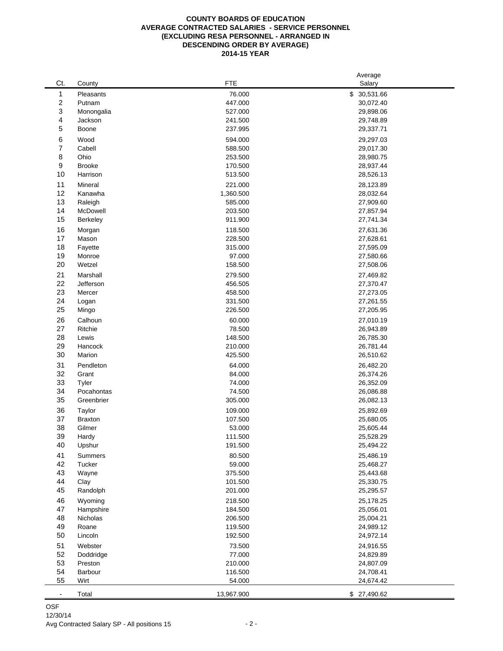### **COUNTY BOARDS OF EDUCATION AVERAGE CONTRACTED SALARIES - SERVICE PERSONNEL (EXCLUDING RESA PERSONNEL - ARRANGED IN DESCENDING ORDER BY AVERAGE) 2014-15 YEAR**

| 1<br>\$ 30,531.66<br>Pleasants<br>76.000<br>2<br>Putnam<br>447.000<br>30,072.40<br>3<br>527.000<br>29,898.06<br>Monongalia<br>4<br>241.500<br>29,748.89<br>Jackson<br>5<br>Boone<br>237.995<br>29,337.71<br>6<br>Wood<br>594.000<br>29,297.03<br>7<br>Cabell<br>588.500<br>29,017.30<br>8<br>Ohio<br>253.500<br>28,980.75<br>9<br><b>Brooke</b><br>170.500<br>28,937.44<br>10<br>Harrison<br>513.500<br>28,526.13<br>11<br>221.000<br>Mineral<br>28,123.89<br>12<br>Kanawha<br>1,360.500<br>28,032.64<br>13<br>Raleigh<br>585.000<br>27,909.60<br>14<br>McDowell<br>203.500<br>27,857.94<br>15<br>Berkeley<br>911.900<br>27,741.34<br>16<br>118.500<br>27,631.36<br>Morgan<br>17<br>Mason<br>228.500<br>27,628.61<br>18<br>Fayette<br>315.000<br>27,595.09<br>19<br>Monroe<br>97.000<br>27,580.66<br>20<br>Wetzel<br>158.500<br>27,508.06<br>21<br>Marshall<br>279.500<br>27,469.82<br>22<br>Jefferson<br>456.505<br>27,370.47<br>23<br>Mercer<br>458.500<br>27,273.05<br>24<br>331.500<br>Logan<br>27,261.55<br>25<br>226.500<br>Mingo<br>27,205.95<br>26<br>Calhoun<br>60.000<br>27,010.19<br>27<br>78.500<br>Ritchie<br>26,943.89<br>28<br>Lewis<br>148.500<br>26,785.30<br>29<br>Hancock<br>210.000<br>26,781.44<br>30<br>Marion<br>425.500<br>26,510.62<br>31<br>Pendleton<br>64.000<br>26,482.20<br>32<br>Grant<br>84.000<br>26,374.26<br>33<br>Tyler<br>74.000<br>26,352.09<br>34<br>Pocahontas<br>74.500<br>26,086.88<br>35<br>Greenbrier<br>305.000<br>26,082.13<br>36<br>109.000<br>25,892.69<br>Taylor<br>37<br><b>Braxton</b><br>107.500<br>25,680.05<br>38<br>Gilmer<br>53.000<br>25,605.44<br>39<br>Hardy<br>111.500<br>25,528.29<br>40<br>191.500<br>25,494.22<br>Upshur<br>41<br>Summers<br>80.500<br>25,486.19<br>42<br>Tucker<br>59.000<br>25,468.27<br>43<br>Wayne<br>375.500<br>25,443.68<br>44<br>Clay<br>101.500<br>25,330.75<br>45<br>Randolph<br>201.000<br>25,295.57<br>46<br>218.500<br>Wyoming<br>25,178.25<br>47<br>Hampshire<br>184.500<br>25,056.01<br>48<br>Nicholas<br>206.500<br>25,004.21<br>49<br>Roane<br>119.500<br>24,989.12<br>50<br>Lincoln<br>192.500<br>24,972.14<br>51<br>Webster<br>73.500<br>24,916.55<br>52<br>77.000<br>Doddridge<br>24,829.89<br>53<br>210.000<br>Preston<br>24,807.09<br>54<br>Barbour<br>116.500<br>24,708.41<br>55<br>Wirt<br>54.000<br>24,674.42<br>13,967.900<br>\$ 27,490.62<br>Total<br>$\qquad \qquad \blacksquare$ |     |        |            | Average |
|---------------------------------------------------------------------------------------------------------------------------------------------------------------------------------------------------------------------------------------------------------------------------------------------------------------------------------------------------------------------------------------------------------------------------------------------------------------------------------------------------------------------------------------------------------------------------------------------------------------------------------------------------------------------------------------------------------------------------------------------------------------------------------------------------------------------------------------------------------------------------------------------------------------------------------------------------------------------------------------------------------------------------------------------------------------------------------------------------------------------------------------------------------------------------------------------------------------------------------------------------------------------------------------------------------------------------------------------------------------------------------------------------------------------------------------------------------------------------------------------------------------------------------------------------------------------------------------------------------------------------------------------------------------------------------------------------------------------------------------------------------------------------------------------------------------------------------------------------------------------------------------------------------------------------------------------------------------------------------------------------------------------------------------------------------------------------------------------------------------------------------------------------------------------------------------------------------------------------------------------------------------------------------------------------------------------------------------------------------------------------------------------|-----|--------|------------|---------|
|                                                                                                                                                                                                                                                                                                                                                                                                                                                                                                                                                                                                                                                                                                                                                                                                                                                                                                                                                                                                                                                                                                                                                                                                                                                                                                                                                                                                                                                                                                                                                                                                                                                                                                                                                                                                                                                                                                                                                                                                                                                                                                                                                                                                                                                                                                                                                                                             | Ct. | County | <b>FTE</b> | Salary  |
|                                                                                                                                                                                                                                                                                                                                                                                                                                                                                                                                                                                                                                                                                                                                                                                                                                                                                                                                                                                                                                                                                                                                                                                                                                                                                                                                                                                                                                                                                                                                                                                                                                                                                                                                                                                                                                                                                                                                                                                                                                                                                                                                                                                                                                                                                                                                                                                             |     |        |            |         |
|                                                                                                                                                                                                                                                                                                                                                                                                                                                                                                                                                                                                                                                                                                                                                                                                                                                                                                                                                                                                                                                                                                                                                                                                                                                                                                                                                                                                                                                                                                                                                                                                                                                                                                                                                                                                                                                                                                                                                                                                                                                                                                                                                                                                                                                                                                                                                                                             |     |        |            |         |
|                                                                                                                                                                                                                                                                                                                                                                                                                                                                                                                                                                                                                                                                                                                                                                                                                                                                                                                                                                                                                                                                                                                                                                                                                                                                                                                                                                                                                                                                                                                                                                                                                                                                                                                                                                                                                                                                                                                                                                                                                                                                                                                                                                                                                                                                                                                                                                                             |     |        |            |         |
|                                                                                                                                                                                                                                                                                                                                                                                                                                                                                                                                                                                                                                                                                                                                                                                                                                                                                                                                                                                                                                                                                                                                                                                                                                                                                                                                                                                                                                                                                                                                                                                                                                                                                                                                                                                                                                                                                                                                                                                                                                                                                                                                                                                                                                                                                                                                                                                             |     |        |            |         |
|                                                                                                                                                                                                                                                                                                                                                                                                                                                                                                                                                                                                                                                                                                                                                                                                                                                                                                                                                                                                                                                                                                                                                                                                                                                                                                                                                                                                                                                                                                                                                                                                                                                                                                                                                                                                                                                                                                                                                                                                                                                                                                                                                                                                                                                                                                                                                                                             |     |        |            |         |
|                                                                                                                                                                                                                                                                                                                                                                                                                                                                                                                                                                                                                                                                                                                                                                                                                                                                                                                                                                                                                                                                                                                                                                                                                                                                                                                                                                                                                                                                                                                                                                                                                                                                                                                                                                                                                                                                                                                                                                                                                                                                                                                                                                                                                                                                                                                                                                                             |     |        |            |         |
|                                                                                                                                                                                                                                                                                                                                                                                                                                                                                                                                                                                                                                                                                                                                                                                                                                                                                                                                                                                                                                                                                                                                                                                                                                                                                                                                                                                                                                                                                                                                                                                                                                                                                                                                                                                                                                                                                                                                                                                                                                                                                                                                                                                                                                                                                                                                                                                             |     |        |            |         |
|                                                                                                                                                                                                                                                                                                                                                                                                                                                                                                                                                                                                                                                                                                                                                                                                                                                                                                                                                                                                                                                                                                                                                                                                                                                                                                                                                                                                                                                                                                                                                                                                                                                                                                                                                                                                                                                                                                                                                                                                                                                                                                                                                                                                                                                                                                                                                                                             |     |        |            |         |
|                                                                                                                                                                                                                                                                                                                                                                                                                                                                                                                                                                                                                                                                                                                                                                                                                                                                                                                                                                                                                                                                                                                                                                                                                                                                                                                                                                                                                                                                                                                                                                                                                                                                                                                                                                                                                                                                                                                                                                                                                                                                                                                                                                                                                                                                                                                                                                                             |     |        |            |         |
|                                                                                                                                                                                                                                                                                                                                                                                                                                                                                                                                                                                                                                                                                                                                                                                                                                                                                                                                                                                                                                                                                                                                                                                                                                                                                                                                                                                                                                                                                                                                                                                                                                                                                                                                                                                                                                                                                                                                                                                                                                                                                                                                                                                                                                                                                                                                                                                             |     |        |            |         |
|                                                                                                                                                                                                                                                                                                                                                                                                                                                                                                                                                                                                                                                                                                                                                                                                                                                                                                                                                                                                                                                                                                                                                                                                                                                                                                                                                                                                                                                                                                                                                                                                                                                                                                                                                                                                                                                                                                                                                                                                                                                                                                                                                                                                                                                                                                                                                                                             |     |        |            |         |
|                                                                                                                                                                                                                                                                                                                                                                                                                                                                                                                                                                                                                                                                                                                                                                                                                                                                                                                                                                                                                                                                                                                                                                                                                                                                                                                                                                                                                                                                                                                                                                                                                                                                                                                                                                                                                                                                                                                                                                                                                                                                                                                                                                                                                                                                                                                                                                                             |     |        |            |         |
|                                                                                                                                                                                                                                                                                                                                                                                                                                                                                                                                                                                                                                                                                                                                                                                                                                                                                                                                                                                                                                                                                                                                                                                                                                                                                                                                                                                                                                                                                                                                                                                                                                                                                                                                                                                                                                                                                                                                                                                                                                                                                                                                                                                                                                                                                                                                                                                             |     |        |            |         |
|                                                                                                                                                                                                                                                                                                                                                                                                                                                                                                                                                                                                                                                                                                                                                                                                                                                                                                                                                                                                                                                                                                                                                                                                                                                                                                                                                                                                                                                                                                                                                                                                                                                                                                                                                                                                                                                                                                                                                                                                                                                                                                                                                                                                                                                                                                                                                                                             |     |        |            |         |
|                                                                                                                                                                                                                                                                                                                                                                                                                                                                                                                                                                                                                                                                                                                                                                                                                                                                                                                                                                                                                                                                                                                                                                                                                                                                                                                                                                                                                                                                                                                                                                                                                                                                                                                                                                                                                                                                                                                                                                                                                                                                                                                                                                                                                                                                                                                                                                                             |     |        |            |         |
|                                                                                                                                                                                                                                                                                                                                                                                                                                                                                                                                                                                                                                                                                                                                                                                                                                                                                                                                                                                                                                                                                                                                                                                                                                                                                                                                                                                                                                                                                                                                                                                                                                                                                                                                                                                                                                                                                                                                                                                                                                                                                                                                                                                                                                                                                                                                                                                             |     |        |            |         |
|                                                                                                                                                                                                                                                                                                                                                                                                                                                                                                                                                                                                                                                                                                                                                                                                                                                                                                                                                                                                                                                                                                                                                                                                                                                                                                                                                                                                                                                                                                                                                                                                                                                                                                                                                                                                                                                                                                                                                                                                                                                                                                                                                                                                                                                                                                                                                                                             |     |        |            |         |
|                                                                                                                                                                                                                                                                                                                                                                                                                                                                                                                                                                                                                                                                                                                                                                                                                                                                                                                                                                                                                                                                                                                                                                                                                                                                                                                                                                                                                                                                                                                                                                                                                                                                                                                                                                                                                                                                                                                                                                                                                                                                                                                                                                                                                                                                                                                                                                                             |     |        |            |         |
|                                                                                                                                                                                                                                                                                                                                                                                                                                                                                                                                                                                                                                                                                                                                                                                                                                                                                                                                                                                                                                                                                                                                                                                                                                                                                                                                                                                                                                                                                                                                                                                                                                                                                                                                                                                                                                                                                                                                                                                                                                                                                                                                                                                                                                                                                                                                                                                             |     |        |            |         |
|                                                                                                                                                                                                                                                                                                                                                                                                                                                                                                                                                                                                                                                                                                                                                                                                                                                                                                                                                                                                                                                                                                                                                                                                                                                                                                                                                                                                                                                                                                                                                                                                                                                                                                                                                                                                                                                                                                                                                                                                                                                                                                                                                                                                                                                                                                                                                                                             |     |        |            |         |
|                                                                                                                                                                                                                                                                                                                                                                                                                                                                                                                                                                                                                                                                                                                                                                                                                                                                                                                                                                                                                                                                                                                                                                                                                                                                                                                                                                                                                                                                                                                                                                                                                                                                                                                                                                                                                                                                                                                                                                                                                                                                                                                                                                                                                                                                                                                                                                                             |     |        |            |         |
|                                                                                                                                                                                                                                                                                                                                                                                                                                                                                                                                                                                                                                                                                                                                                                                                                                                                                                                                                                                                                                                                                                                                                                                                                                                                                                                                                                                                                                                                                                                                                                                                                                                                                                                                                                                                                                                                                                                                                                                                                                                                                                                                                                                                                                                                                                                                                                                             |     |        |            |         |
|                                                                                                                                                                                                                                                                                                                                                                                                                                                                                                                                                                                                                                                                                                                                                                                                                                                                                                                                                                                                                                                                                                                                                                                                                                                                                                                                                                                                                                                                                                                                                                                                                                                                                                                                                                                                                                                                                                                                                                                                                                                                                                                                                                                                                                                                                                                                                                                             |     |        |            |         |
|                                                                                                                                                                                                                                                                                                                                                                                                                                                                                                                                                                                                                                                                                                                                                                                                                                                                                                                                                                                                                                                                                                                                                                                                                                                                                                                                                                                                                                                                                                                                                                                                                                                                                                                                                                                                                                                                                                                                                                                                                                                                                                                                                                                                                                                                                                                                                                                             |     |        |            |         |
|                                                                                                                                                                                                                                                                                                                                                                                                                                                                                                                                                                                                                                                                                                                                                                                                                                                                                                                                                                                                                                                                                                                                                                                                                                                                                                                                                                                                                                                                                                                                                                                                                                                                                                                                                                                                                                                                                                                                                                                                                                                                                                                                                                                                                                                                                                                                                                                             |     |        |            |         |
|                                                                                                                                                                                                                                                                                                                                                                                                                                                                                                                                                                                                                                                                                                                                                                                                                                                                                                                                                                                                                                                                                                                                                                                                                                                                                                                                                                                                                                                                                                                                                                                                                                                                                                                                                                                                                                                                                                                                                                                                                                                                                                                                                                                                                                                                                                                                                                                             |     |        |            |         |
|                                                                                                                                                                                                                                                                                                                                                                                                                                                                                                                                                                                                                                                                                                                                                                                                                                                                                                                                                                                                                                                                                                                                                                                                                                                                                                                                                                                                                                                                                                                                                                                                                                                                                                                                                                                                                                                                                                                                                                                                                                                                                                                                                                                                                                                                                                                                                                                             |     |        |            |         |
|                                                                                                                                                                                                                                                                                                                                                                                                                                                                                                                                                                                                                                                                                                                                                                                                                                                                                                                                                                                                                                                                                                                                                                                                                                                                                                                                                                                                                                                                                                                                                                                                                                                                                                                                                                                                                                                                                                                                                                                                                                                                                                                                                                                                                                                                                                                                                                                             |     |        |            |         |
|                                                                                                                                                                                                                                                                                                                                                                                                                                                                                                                                                                                                                                                                                                                                                                                                                                                                                                                                                                                                                                                                                                                                                                                                                                                                                                                                                                                                                                                                                                                                                                                                                                                                                                                                                                                                                                                                                                                                                                                                                                                                                                                                                                                                                                                                                                                                                                                             |     |        |            |         |
|                                                                                                                                                                                                                                                                                                                                                                                                                                                                                                                                                                                                                                                                                                                                                                                                                                                                                                                                                                                                                                                                                                                                                                                                                                                                                                                                                                                                                                                                                                                                                                                                                                                                                                                                                                                                                                                                                                                                                                                                                                                                                                                                                                                                                                                                                                                                                                                             |     |        |            |         |
|                                                                                                                                                                                                                                                                                                                                                                                                                                                                                                                                                                                                                                                                                                                                                                                                                                                                                                                                                                                                                                                                                                                                                                                                                                                                                                                                                                                                                                                                                                                                                                                                                                                                                                                                                                                                                                                                                                                                                                                                                                                                                                                                                                                                                                                                                                                                                                                             |     |        |            |         |
|                                                                                                                                                                                                                                                                                                                                                                                                                                                                                                                                                                                                                                                                                                                                                                                                                                                                                                                                                                                                                                                                                                                                                                                                                                                                                                                                                                                                                                                                                                                                                                                                                                                                                                                                                                                                                                                                                                                                                                                                                                                                                                                                                                                                                                                                                                                                                                                             |     |        |            |         |
|                                                                                                                                                                                                                                                                                                                                                                                                                                                                                                                                                                                                                                                                                                                                                                                                                                                                                                                                                                                                                                                                                                                                                                                                                                                                                                                                                                                                                                                                                                                                                                                                                                                                                                                                                                                                                                                                                                                                                                                                                                                                                                                                                                                                                                                                                                                                                                                             |     |        |            |         |
|                                                                                                                                                                                                                                                                                                                                                                                                                                                                                                                                                                                                                                                                                                                                                                                                                                                                                                                                                                                                                                                                                                                                                                                                                                                                                                                                                                                                                                                                                                                                                                                                                                                                                                                                                                                                                                                                                                                                                                                                                                                                                                                                                                                                                                                                                                                                                                                             |     |        |            |         |
|                                                                                                                                                                                                                                                                                                                                                                                                                                                                                                                                                                                                                                                                                                                                                                                                                                                                                                                                                                                                                                                                                                                                                                                                                                                                                                                                                                                                                                                                                                                                                                                                                                                                                                                                                                                                                                                                                                                                                                                                                                                                                                                                                                                                                                                                                                                                                                                             |     |        |            |         |
|                                                                                                                                                                                                                                                                                                                                                                                                                                                                                                                                                                                                                                                                                                                                                                                                                                                                                                                                                                                                                                                                                                                                                                                                                                                                                                                                                                                                                                                                                                                                                                                                                                                                                                                                                                                                                                                                                                                                                                                                                                                                                                                                                                                                                                                                                                                                                                                             |     |        |            |         |
|                                                                                                                                                                                                                                                                                                                                                                                                                                                                                                                                                                                                                                                                                                                                                                                                                                                                                                                                                                                                                                                                                                                                                                                                                                                                                                                                                                                                                                                                                                                                                                                                                                                                                                                                                                                                                                                                                                                                                                                                                                                                                                                                                                                                                                                                                                                                                                                             |     |        |            |         |
|                                                                                                                                                                                                                                                                                                                                                                                                                                                                                                                                                                                                                                                                                                                                                                                                                                                                                                                                                                                                                                                                                                                                                                                                                                                                                                                                                                                                                                                                                                                                                                                                                                                                                                                                                                                                                                                                                                                                                                                                                                                                                                                                                                                                                                                                                                                                                                                             |     |        |            |         |
|                                                                                                                                                                                                                                                                                                                                                                                                                                                                                                                                                                                                                                                                                                                                                                                                                                                                                                                                                                                                                                                                                                                                                                                                                                                                                                                                                                                                                                                                                                                                                                                                                                                                                                                                                                                                                                                                                                                                                                                                                                                                                                                                                                                                                                                                                                                                                                                             |     |        |            |         |
|                                                                                                                                                                                                                                                                                                                                                                                                                                                                                                                                                                                                                                                                                                                                                                                                                                                                                                                                                                                                                                                                                                                                                                                                                                                                                                                                                                                                                                                                                                                                                                                                                                                                                                                                                                                                                                                                                                                                                                                                                                                                                                                                                                                                                                                                                                                                                                                             |     |        |            |         |
|                                                                                                                                                                                                                                                                                                                                                                                                                                                                                                                                                                                                                                                                                                                                                                                                                                                                                                                                                                                                                                                                                                                                                                                                                                                                                                                                                                                                                                                                                                                                                                                                                                                                                                                                                                                                                                                                                                                                                                                                                                                                                                                                                                                                                                                                                                                                                                                             |     |        |            |         |
|                                                                                                                                                                                                                                                                                                                                                                                                                                                                                                                                                                                                                                                                                                                                                                                                                                                                                                                                                                                                                                                                                                                                                                                                                                                                                                                                                                                                                                                                                                                                                                                                                                                                                                                                                                                                                                                                                                                                                                                                                                                                                                                                                                                                                                                                                                                                                                                             |     |        |            |         |
|                                                                                                                                                                                                                                                                                                                                                                                                                                                                                                                                                                                                                                                                                                                                                                                                                                                                                                                                                                                                                                                                                                                                                                                                                                                                                                                                                                                                                                                                                                                                                                                                                                                                                                                                                                                                                                                                                                                                                                                                                                                                                                                                                                                                                                                                                                                                                                                             |     |        |            |         |
|                                                                                                                                                                                                                                                                                                                                                                                                                                                                                                                                                                                                                                                                                                                                                                                                                                                                                                                                                                                                                                                                                                                                                                                                                                                                                                                                                                                                                                                                                                                                                                                                                                                                                                                                                                                                                                                                                                                                                                                                                                                                                                                                                                                                                                                                                                                                                                                             |     |        |            |         |
|                                                                                                                                                                                                                                                                                                                                                                                                                                                                                                                                                                                                                                                                                                                                                                                                                                                                                                                                                                                                                                                                                                                                                                                                                                                                                                                                                                                                                                                                                                                                                                                                                                                                                                                                                                                                                                                                                                                                                                                                                                                                                                                                                                                                                                                                                                                                                                                             |     |        |            |         |
|                                                                                                                                                                                                                                                                                                                                                                                                                                                                                                                                                                                                                                                                                                                                                                                                                                                                                                                                                                                                                                                                                                                                                                                                                                                                                                                                                                                                                                                                                                                                                                                                                                                                                                                                                                                                                                                                                                                                                                                                                                                                                                                                                                                                                                                                                                                                                                                             |     |        |            |         |
|                                                                                                                                                                                                                                                                                                                                                                                                                                                                                                                                                                                                                                                                                                                                                                                                                                                                                                                                                                                                                                                                                                                                                                                                                                                                                                                                                                                                                                                                                                                                                                                                                                                                                                                                                                                                                                                                                                                                                                                                                                                                                                                                                                                                                                                                                                                                                                                             |     |        |            |         |
|                                                                                                                                                                                                                                                                                                                                                                                                                                                                                                                                                                                                                                                                                                                                                                                                                                                                                                                                                                                                                                                                                                                                                                                                                                                                                                                                                                                                                                                                                                                                                                                                                                                                                                                                                                                                                                                                                                                                                                                                                                                                                                                                                                                                                                                                                                                                                                                             |     |        |            |         |
|                                                                                                                                                                                                                                                                                                                                                                                                                                                                                                                                                                                                                                                                                                                                                                                                                                                                                                                                                                                                                                                                                                                                                                                                                                                                                                                                                                                                                                                                                                                                                                                                                                                                                                                                                                                                                                                                                                                                                                                                                                                                                                                                                                                                                                                                                                                                                                                             |     |        |            |         |
|                                                                                                                                                                                                                                                                                                                                                                                                                                                                                                                                                                                                                                                                                                                                                                                                                                                                                                                                                                                                                                                                                                                                                                                                                                                                                                                                                                                                                                                                                                                                                                                                                                                                                                                                                                                                                                                                                                                                                                                                                                                                                                                                                                                                                                                                                                                                                                                             |     |        |            |         |
|                                                                                                                                                                                                                                                                                                                                                                                                                                                                                                                                                                                                                                                                                                                                                                                                                                                                                                                                                                                                                                                                                                                                                                                                                                                                                                                                                                                                                                                                                                                                                                                                                                                                                                                                                                                                                                                                                                                                                                                                                                                                                                                                                                                                                                                                                                                                                                                             |     |        |            |         |
|                                                                                                                                                                                                                                                                                                                                                                                                                                                                                                                                                                                                                                                                                                                                                                                                                                                                                                                                                                                                                                                                                                                                                                                                                                                                                                                                                                                                                                                                                                                                                                                                                                                                                                                                                                                                                                                                                                                                                                                                                                                                                                                                                                                                                                                                                                                                                                                             |     |        |            |         |
|                                                                                                                                                                                                                                                                                                                                                                                                                                                                                                                                                                                                                                                                                                                                                                                                                                                                                                                                                                                                                                                                                                                                                                                                                                                                                                                                                                                                                                                                                                                                                                                                                                                                                                                                                                                                                                                                                                                                                                                                                                                                                                                                                                                                                                                                                                                                                                                             |     |        |            |         |
|                                                                                                                                                                                                                                                                                                                                                                                                                                                                                                                                                                                                                                                                                                                                                                                                                                                                                                                                                                                                                                                                                                                                                                                                                                                                                                                                                                                                                                                                                                                                                                                                                                                                                                                                                                                                                                                                                                                                                                                                                                                                                                                                                                                                                                                                                                                                                                                             |     |        |            |         |
|                                                                                                                                                                                                                                                                                                                                                                                                                                                                                                                                                                                                                                                                                                                                                                                                                                                                                                                                                                                                                                                                                                                                                                                                                                                                                                                                                                                                                                                                                                                                                                                                                                                                                                                                                                                                                                                                                                                                                                                                                                                                                                                                                                                                                                                                                                                                                                                             |     |        |            |         |
|                                                                                                                                                                                                                                                                                                                                                                                                                                                                                                                                                                                                                                                                                                                                                                                                                                                                                                                                                                                                                                                                                                                                                                                                                                                                                                                                                                                                                                                                                                                                                                                                                                                                                                                                                                                                                                                                                                                                                                                                                                                                                                                                                                                                                                                                                                                                                                                             |     |        |            |         |
|                                                                                                                                                                                                                                                                                                                                                                                                                                                                                                                                                                                                                                                                                                                                                                                                                                                                                                                                                                                                                                                                                                                                                                                                                                                                                                                                                                                                                                                                                                                                                                                                                                                                                                                                                                                                                                                                                                                                                                                                                                                                                                                                                                                                                                                                                                                                                                                             |     |        |            |         |
|                                                                                                                                                                                                                                                                                                                                                                                                                                                                                                                                                                                                                                                                                                                                                                                                                                                                                                                                                                                                                                                                                                                                                                                                                                                                                                                                                                                                                                                                                                                                                                                                                                                                                                                                                                                                                                                                                                                                                                                                                                                                                                                                                                                                                                                                                                                                                                                             |     |        |            |         |
|                                                                                                                                                                                                                                                                                                                                                                                                                                                                                                                                                                                                                                                                                                                                                                                                                                                                                                                                                                                                                                                                                                                                                                                                                                                                                                                                                                                                                                                                                                                                                                                                                                                                                                                                                                                                                                                                                                                                                                                                                                                                                                                                                                                                                                                                                                                                                                                             |     |        |            |         |
|                                                                                                                                                                                                                                                                                                                                                                                                                                                                                                                                                                                                                                                                                                                                                                                                                                                                                                                                                                                                                                                                                                                                                                                                                                                                                                                                                                                                                                                                                                                                                                                                                                                                                                                                                                                                                                                                                                                                                                                                                                                                                                                                                                                                                                                                                                                                                                                             |     |        |            |         |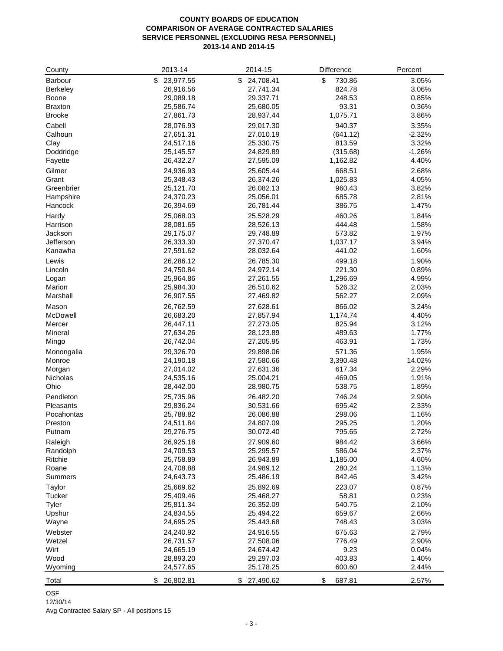# **COUNTY BOARDS OF EDUCATION COMPARISON OF AVERAGE CONTRACTED SALARIES SERVICE PERSONNEL (EXCLUDING RESA PERSONNEL) 2013-14 AND 2014-15**

| County                 | 2013-14                | 2014-15                | Difference       | Percent        |
|------------------------|------------------------|------------------------|------------------|----------------|
| Barbour                | \$<br>23,977.55        | \$24,708.41            | \$<br>730.86     | 3.05%          |
| <b>Berkeley</b>        | 26,916.56              | 27,741.34              | 824.78           | 3.06%          |
| Boone                  | 29,089.18              | 29,337.71              | 248.53           | 0.85%          |
| <b>Braxton</b>         | 25,586.74              | 25,680.05              | 93.31            | 0.36%          |
| <b>Brooke</b>          | 27,861.73              | 28,937.44              | 1,075.71         | 3.86%          |
| Cabell                 | 28,076.93              | 29,017.30              | 940.37           | 3.35%          |
| Calhoun                | 27,651.31              | 27,010.19              | (641.12)         | $-2.32%$       |
| Clay                   | 24,517.16              | 25,330.75              | 813.59           | 3.32%          |
| Doddridge              | 25,145.57              | 24,829.89              | (315.68)         | $-1.26%$       |
| Fayette                | 26,432.27              | 27,595.09              | 1,162.82         | 4.40%          |
| Gilmer                 | 24,936.93              | 25,605.44              | 668.51           | 2.68%          |
| Grant                  | 25,348.43              | 26,374.26              | 1,025.83         | 4.05%          |
| Greenbrier             | 25,121.70              | 26,082.13              | 960.43           | 3.82%          |
| Hampshire              | 24,370.23              | 25,056.01              | 685.78           | 2.81%          |
| Hancock                | 26,394.69              | 26,781.44              | 386.75           | 1.47%          |
| Hardy                  | 25,068.03              | 25,528.29              | 460.26           | 1.84%          |
| Harrison               | 28,081.65              | 28,526.13              | 444.48           | 1.58%          |
| Jackson                | 29,175.07              | 29,748.89              | 573.82           | 1.97%          |
| Jefferson              | 26,333.30              | 27,370.47              | 1,037.17         | 3.94%          |
| Kanawha                | 27,591.62              | 28,032.64              | 441.02           | 1.60%          |
| Lewis                  | 26,286.12              | 26,785.30              | 499.18           | 1.90%          |
| Lincoln                | 24,750.84              | 24,972.14              | 221.30           | 0.89%          |
| Logan                  | 25,964.86              | 27,261.55              | 1,296.69         | 4.99%          |
| Marion                 | 25,984.30              | 26,510.62              | 526.32           | 2.03%          |
| Marshall               | 26,907.55              | 27,469.82              | 562.27           | 2.09%          |
| Mason                  | 26,762.59              | 27,628.61              | 866.02           | 3.24%          |
| McDowell               | 26,683.20              | 27,857.94              | 1,174.74         | 4.40%          |
| Mercer                 | 26,447.11              | 27,273.05              | 825.94           | 3.12%          |
| Mineral                | 27,634.26              | 28,123.89              | 489.63           | 1.77%          |
| Mingo                  | 26,742.04              | 27,205.95              | 463.91           | 1.73%          |
| Monongalia             | 29,326.70              | 29,898.06              | 571.36           | 1.95%          |
| Monroe                 | 24,190.18              | 27,580.66              | 3,390.48         | 14.02%         |
| Morgan                 | 27,014.02              | 27,631.36              | 617.34           | 2.29%          |
| Nicholas               | 24,535.16              | 25,004.21              | 469.05           | 1.91%          |
| Ohio                   | 28,442.00              | 28,980.75              | 538.75           | 1.89%          |
| Pendleton              |                        |                        | 746.24           |                |
| Pleasants              | 25,735.96<br>29,836.24 | 26,482.20<br>30,531.66 | 695.42           | 2.90%<br>2.33% |
| Pocahontas             | 25,788.82              | 26,086.88              | 298.06           | 1.16%          |
| Preston                | 24,511.84              | 24,807.09              | 295.25           | 1.20%          |
| Putnam                 | 29,276.75              | 30,072.40              | 795.65           | 2.72%          |
|                        |                        |                        |                  |                |
| Raleigh<br>Randolph    | 26,925.18<br>24,709.53 | 27,909.60<br>25,295.57 | 984.42<br>586.04 | 3.66%<br>2.37% |
| Ritchie                | 25,758.89              | 26,943.89              | 1,185.00         | 4.60%          |
| Roane                  | 24,708.88              | 24,989.12              | 280.24           | 1.13%          |
| <b>Summers</b>         | 24,643.73              | 25,486.19              | 842.46           | 3.42%          |
|                        |                        |                        |                  | 0.87%          |
| Taylor                 | 25,669.62              | 25,892.69              | 223.07<br>58.81  |                |
| <b>Tucker</b><br>Tyler | 25,409.46<br>25,811.34 | 25,468.27<br>26,352.09 | 540.75           | 0.23%<br>2.10% |
| Upshur                 | 24,834.55              | 25,494.22              | 659.67           | 2.66%          |
| Wayne                  | 24,695.25              | 25,443.68              | 748.43           | 3.03%          |
|                        |                        |                        |                  |                |
| Webster                | 24,240.92              | 24,916.55              | 675.63           | 2.79%          |
| Wetzel                 | 26,731.57              | 27,508.06              | 776.49           | 2.90%          |
| Wirt<br>Wood           | 24,665.19              | 24,674.42              | 9.23<br>403.83   | 0.04%<br>1.40% |
| Wyoming                | 28,893.20<br>24,577.65 | 29,297.03<br>25,178.25 | 600.60           | 2.44%          |
|                        |                        |                        |                  |                |
| Total                  | 26,802.81<br>\$        | 27,490.62<br>\$        | \$<br>687.81     | 2.57%          |

OSF

12/30/14

Avg Contracted Salary SP - All positions 15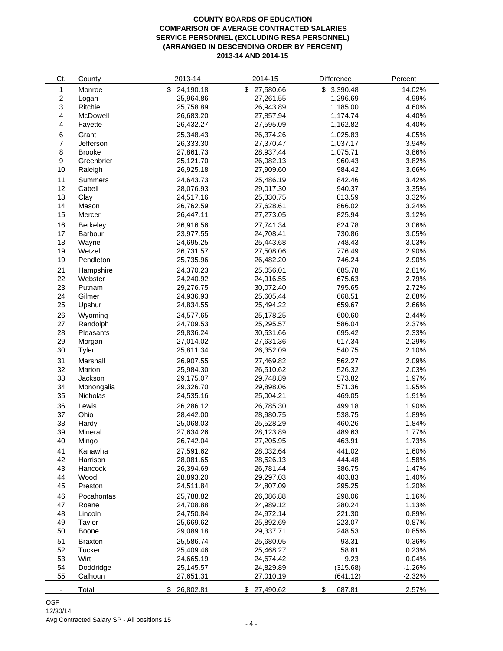# **COUNTY BOARDS OF EDUCATION COMPARISON OF AVERAGE CONTRACTED SALARIES SERVICE PERSONNEL (EXCLUDING RESA PERSONNEL) (ARRANGED IN DESCENDING ORDER BY PERCENT) 2013-14 AND 2014-15**

| Ct.              | County              | 2013-14         | 2014-15         | Difference   | Percent  |
|------------------|---------------------|-----------------|-----------------|--------------|----------|
| 1                | Monroe              | 24,190.18<br>\$ | \$<br>27,580.66 | \$3,390.48   | 14.02%   |
| $\boldsymbol{2}$ | Logan               | 25,964.86       | 27,261.55       | 1,296.69     | 4.99%    |
| 3                | Ritchie             | 25,758.89       | 26,943.89       | 1,185.00     | 4.60%    |
| 4                | McDowell            | 26,683.20       | 27,857.94       | 1,174.74     | 4.40%    |
| 4                | Fayette             | 26,432.27       | 27,595.09       | 1,162.82     | 4.40%    |
| 6                | Grant               | 25,348.43       | 26,374.26       | 1,025.83     | 4.05%    |
| 7                | Jefferson           | 26,333.30       | 27,370.47       | 1,037.17     | 3.94%    |
| 8                | <b>Brooke</b>       | 27,861.73       | 28,937.44       | 1,075.71     | 3.86%    |
| 9                | Greenbrier          | 25,121.70       | 26,082.13       | 960.43       | 3.82%    |
| 10               | Raleigh             | 26,925.18       | 27,909.60       | 984.42       | 3.66%    |
| 11               | <b>Summers</b>      | 24,643.73       | 25,486.19       | 842.46       | 3.42%    |
| 12               | Cabell              | 28,076.93       | 29,017.30       | 940.37       | 3.35%    |
| 13               | Clay                | 24,517.16       | 25,330.75       | 813.59       | 3.32%    |
| 14               | Mason               | 26,762.59       | 27,628.61       | 866.02       | 3.24%    |
| 15               | Mercer              | 26,447.11       | 27,273.05       | 825.94       | 3.12%    |
| 16               |                     | 26,916.56       | 27,741.34       | 824.78       | 3.06%    |
|                  | Berkeley<br>Barbour |                 | 24,708.41       | 730.86       | 3.05%    |
| 17               |                     | 23,977.55       |                 |              |          |
| 18               | Wayne               | 24,695.25       | 25,443.68       | 748.43       | 3.03%    |
| 19               | Wetzel<br>Pendleton | 26,731.57       | 27,508.06       | 776.49       | 2.90%    |
| 19               |                     | 25,735.96       | 26,482.20       | 746.24       | 2.90%    |
| 21               | Hampshire           | 24,370.23       | 25,056.01       | 685.78       | 2.81%    |
| 22               | Webster             | 24,240.92       | 24,916.55       | 675.63       | 2.79%    |
| 23               | Putnam              | 29,276.75       | 30,072.40       | 795.65       | 2.72%    |
| 24               | Gilmer              | 24,936.93       | 25,605.44       | 668.51       | 2.68%    |
| 25               | Upshur              | 24,834.55       | 25,494.22       | 659.67       | 2.66%    |
| 26               | Wyoming             | 24,577.65       | 25,178.25       | 600.60       | 2.44%    |
| 27               | Randolph            | 24,709.53       | 25,295.57       | 586.04       | 2.37%    |
| 28               | Pleasants           | 29,836.24       | 30,531.66       | 695.42       | 2.33%    |
| 29               | Morgan              | 27,014.02       | 27,631.36       | 617.34       | 2.29%    |
| 30               | Tyler               | 25,811.34       | 26,352.09       | 540.75       | 2.10%    |
| 31               | Marshall            | 26,907.55       | 27,469.82       | 562.27       | 2.09%    |
| 32               | Marion              | 25,984.30       | 26,510.62       | 526.32       | 2.03%    |
| 33               | Jackson             | 29,175.07       | 29,748.89       | 573.82       | 1.97%    |
| 34               | Monongalia          | 29,326.70       | 29,898.06       | 571.36       | 1.95%    |
| 35               | Nicholas            | 24,535.16       | 25,004.21       | 469.05       | 1.91%    |
| 36               | Lewis               | 26,286.12       | 26,785.30       | 499.18       | 1.90%    |
| 37               | Ohio                | 28,442.00       | 28,980.75       | 538.75       | 1.89%    |
| 38               | Hardy               | 25,068.03       | 25,528.29       | 460.26       | 1.84%    |
| 39               | Mineral             | 27,634.26       | 28,123.89       | 489.63       | 1.77%    |
| 40               | Mingo               | 26,742.04       | 27,205.95       | 463.91       | 1.73%    |
| 41               | Kanawha             | 27,591.62       | 28,032.64       | 441.02       | 1.60%    |
| 42               | Harrison            | 28,081.65       | 28,526.13       | 444.48       | 1.58%    |
| 43               | Hancock             | 26,394.69       | 26,781.44       | 386.75       | 1.47%    |
| 44               | Wood                | 28,893.20       | 29,297.03       | 403.83       | 1.40%    |
| 45               | Preston             | 24,511.84       | 24,807.09       | 295.25       | 1.20%    |
|                  |                     |                 |                 |              |          |
| 46               | Pocahontas          | 25,788.82       | 26,086.88       | 298.06       | 1.16%    |
| 47               | Roane               | 24,708.88       | 24,989.12       | 280.24       | 1.13%    |
| 48               | Lincoln             | 24,750.84       | 24,972.14       | 221.30       | 0.89%    |
| 49               | Taylor              | 25,669.62       | 25,892.69       | 223.07       | 0.87%    |
| 50               | Boone               | 29,089.18       | 29,337.71       | 248.53       | 0.85%    |
| 51               | <b>Braxton</b>      | 25,586.74       | 25,680.05       | 93.31        | 0.36%    |
| 52               | Tucker              | 25,409.46       | 25,468.27       | 58.81        | 0.23%    |
| 53               | Wirt                | 24,665.19       | 24,674.42       | 9.23         | 0.04%    |
| 54               | Doddridge           | 25,145.57       | 24,829.89       | (315.68)     | $-1.26%$ |
| 55               | Calhoun             | 27,651.31       | 27,010.19       | (641.12)     | $-2.32%$ |
|                  | Total               | \$26,802.81     | \$27,490.62     | \$<br>687.81 | 2.57%    |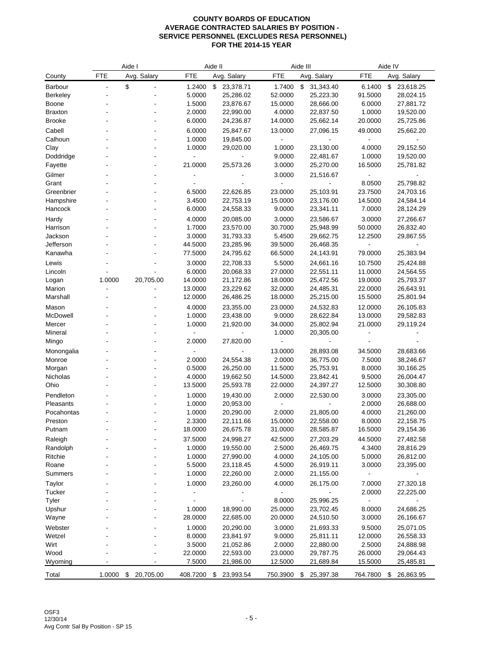|                  |            | Aide I          |                  | Aide II                |                   | Aide III               |                  | Aide IV                  |
|------------------|------------|-----------------|------------------|------------------------|-------------------|------------------------|------------------|--------------------------|
| County           | <b>FTE</b> | Avg. Salary     | <b>FTE</b>       | Avg. Salary            | <b>FTE</b>        | Avg. Salary            | <b>FTE</b>       | Avg. Salary              |
| <b>Barbour</b>   |            | \$              | 1.2400           | \$<br>23,378.71        | 1.7400            | \$<br>31,343.40        | 6.1400           | \$23,618.25              |
| <b>Berkeley</b>  |            |                 | 5.0000           | 25,286.02              | 52.0000           | 25,223.30              | 91.5000          | 28,024.15                |
| <b>Boone</b>     |            |                 | 1.5000           | 23,876.67              | 15.0000           | 28,666.00              | 6.0000           | 27,881.72                |
| <b>Braxton</b>   |            |                 | 2.0000           | 22,990.00              | 4.0000            | 22,837.50              | 1.0000           | 19,520.00                |
| <b>Brooke</b>    |            |                 | 6.0000           | 24,236.87              | 14.0000           | 25,662.14              | 20.0000          | 25,725.86                |
| Cabell           |            |                 | 6.0000           | 25,847.67              | 13.0000           | 27,096.15              | 49.0000          | 25,662.20                |
| Calhoun          |            |                 | 1.0000           | 19,845.00              |                   |                        |                  |                          |
| Clay             |            | $\blacksquare$  | 1.0000           | 29,020.00              | 1.0000            | 23,130.00              | 4.0000           | 29,152.50                |
| Doddridge        |            |                 |                  |                        | 9.0000            | 22,481.67              | 1.0000           | 19,520.00                |
| Fayette          |            |                 | 21.0000          | 25,573.26              | 3.0000            | 25,270.00              | 16.5000          | 25,781.82                |
| Gilmer           |            |                 |                  |                        | 3.0000            | 21,516.67              |                  |                          |
| Grant            |            |                 |                  |                        | $\overline{a}$    |                        | 8.0500           | 25,798.82                |
| Greenbrier       |            |                 | 6.5000           | 22,626.85              | 23.0000           | 25,103.91              | 23.7500          | 24,703.16                |
| Hampshire        |            |                 | 3.4500           | 22,753.19              | 15.0000           | 23,176.00              | 14.5000          | 24,584.14                |
| Hancock          |            |                 | 6.0000           | 24,558.33              | 9.0000            | 23,341.11              | 7.0000           | 28,124.29                |
| Hardy            |            |                 | 4.0000           | 20,085.00              | 3.0000            | 23,586.67              | 3.0000           | 27,266.67                |
| Harrison         |            |                 | 1.7000           | 23,570.00              | 30.7000           | 25,948.99              | 50.0000          | 26,832.40                |
| Jackson          |            |                 | 3.0000           | 31,793.33              | 5.4500            | 29,662.75              | 12.2500          | 29,867.55                |
| Jefferson        |            |                 | 44.5000          | 23,285.96              | 39.5000           | 26,468.35              |                  |                          |
| Kanawha          |            |                 | 77.5000          | 24,795.62              | 66.5000           | 24,143.91              | 79.0000          | 25,383.94                |
| Lewis            |            |                 | 3.0000           | 22,708.33              | 5.5000            | 24,661.16              | 10.7500          | 25,424.88                |
| Lincoln          |            |                 | 6.0000           | 20,068.33              | 27.0000           | 22,551.11              | 11.0000          | 24,564.55                |
| Logan            | 1.0000     | 20,705.00       | 14.0000          | 21,172.86              | 18.0000           | 25,472.56              | 19.0000          | 25,793.37                |
| Marion           |            |                 | 13.0000          | 23,229.62              | 32.0000           | 24,485.31              | 22.0000          | 26,643.91                |
| Marshall         |            |                 | 12.0000          | 26,486.25              | 18.0000           | 25,215.00              | 15.5000          | 25,801.94                |
| Mason            |            |                 | 4.0000           | 23,355.00              | 23.0000           | 24,532.83              | 12.0000          | 26,105.83                |
| McDowell         |            |                 | 1.0000           | 23,438.00              | 9.0000            | 28,622.84              | 13.0000          | 29,582.83                |
| Mercer           |            | ä,              | 1.0000           | 21,920.00              | 34.0000           | 25,802.94              | 21.0000          | 29,119.24                |
| Mineral          |            |                 |                  |                        | 1.0000            | 20,305.00              |                  |                          |
| Mingo            |            |                 | 2.0000           | 27,820.00              |                   |                        |                  |                          |
| Monongalia       |            |                 |                  |                        | 13.0000           | 28,893.08              | 34.5000          | 28,683.66                |
| Monroe<br>Morgan |            |                 | 2.0000<br>0.5000 | 24,554.38<br>26,250.00 | 2.0000<br>11.5000 | 36,775.00<br>25,753.91 | 7.5000<br>8.0000 | 38,246.67<br>30,166.25   |
| Nicholas         |            |                 | 4.0000           | 19,662.50              | 14.5000           | 23,842.41              | 9.5000           | 26,004.47                |
| Ohio             |            |                 | 13.5000          | 25,593.78              | 22.0000           | 24,397.27              | 12.5000          | 30,308.80                |
| Pendleton        |            |                 | 1.0000           | 19,430.00              | 2.0000            | 22,530.00              | 3.0000           | 23,305.00                |
| Pleasants        |            |                 | 1.0000           | 20,953.00              |                   |                        | 2.0000           | 26,688.00                |
| Pocahontas       |            |                 | 1.0000           | 20,290.00              | 2.0000            | 21,805.00              | 4.0000           | 21,260.00                |
| Preston          |            |                 | 2.3300           | 22,111.66              | 15.0000           | 22,558.00              | 8.0000           | 22,158.75                |
| Putnam           |            |                 | 18.0000          | 26,675.78              | 31.0000           | 28,585.87              | 16.5000          | 29,154.36                |
| Raleigh          |            |                 | 37.5000          | 24,998.27              | 42.5000           | 27,203.29              | 44.5000          | 27,482.58                |
| Randolph         |            |                 | 1.0000           | 19,550.00              | 2.5000            | 26,469.75              | 4.3400           | 28,816.29                |
| Ritchie          |            |                 | 1.0000           | 27,990.00              | 4.0000            | 24,105.00              | 5.0000           | 26,812.00                |
| Roane            |            |                 | 5.5000           | 23,118.45              | 4.5000            | 26,919.11              | 3.0000           | 23,395.00                |
| Summers          |            |                 | 1.0000           | 22,260.00              | 2.0000            | 21,155.00              |                  | $\overline{\phantom{a}}$ |
| Taylor           |            |                 | 1.0000           | 23,260.00              | 4.0000            | 26,175.00              | 7.0000           | 27,320.18                |
| Tucker           |            |                 |                  |                        |                   |                        | 2.0000           | 22,225.00                |
| Tyler            |            |                 |                  |                        | 8.0000            | 25,996.25              |                  |                          |
| Upshur           |            |                 | 1.0000           | 18,990.00              | 25.0000           | 23,702.45              | 8.0000           | 24,686.25                |
| Wayne            |            |                 | 28.0000          | 22,685.00              | 20.0000           | 24,510.50              | 3.0000           | 26,166.67                |
| Webster          |            |                 | 1.0000           | 20,290.00              | 3.0000            | 21,693.33              | 9.5000           | 25,071.05                |
| Wetzel           |            |                 | 8.0000           | 23,841.97              | 9.0000            | 25,811.11              | 12.0000          | 26,558.33                |
| Wirt             |            |                 | 3.5000           | 21,052.86              | 2.0000            | 22,880.00              | 2.5000           | 24,888.98                |
| Wood             |            |                 | 22.0000          | 22,593.00              | 23.0000           | 29,787.75              | 26.0000          | 29,064.43                |
| Wyoming          |            |                 | 7.5000           | 21,986.00              | 12.5000           | 21,689.84              | 15.5000          | 25,485.81                |
| Total            | 1.0000     | \$<br>20,705.00 | 408.7200         | 23,993.54<br>\$        | 750.3900          | 25,397.38<br>\$        | 764.7800         | 26,863.95<br>- \$        |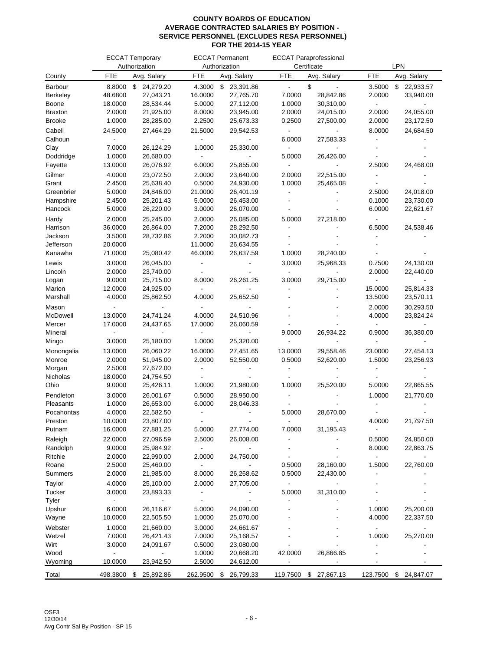|                      |                           | <b>ECCAT Temporary</b><br>Authorization |                          | <b>ECCAT Permanent</b><br>Authorization |                          | <b>ECCAT Paraprofessional</b><br>Certificate |                          | LPN                    |
|----------------------|---------------------------|-----------------------------------------|--------------------------|-----------------------------------------|--------------------------|----------------------------------------------|--------------------------|------------------------|
| County               | FTE                       | Avg. Salary                             | <b>FTE</b>               | Avg. Salary                             | <b>FTE</b>               | Avg. Salary                                  | <b>FTE</b>               | Avg. Salary            |
| Barbour              | 8.8000                    | 24,279.20<br>\$                         | 4.3000                   | \$<br>23,391.86                         | $\blacksquare$           | \$                                           | 3.5000                   | \$<br>22,933.57        |
| Berkeley             | 48.6800                   | 27,043.21                               | 16.0000                  | 27,765.70                               | 7.0000                   | 28,842.86                                    | 2.0000                   | 33,940.00              |
| Boone                | 18.0000                   | 28,534.44                               | 5.0000                   | 27,112.00                               | 1.0000                   | 30,310.00                                    | $\overline{\phantom{a}}$ |                        |
| <b>Braxton</b>       | 2.0000                    | 21,925.00                               | 8.0000                   | 23,945.00                               | 2.0000                   | 24,015.00                                    | 2.0000                   | 24,055.00              |
| <b>Brooke</b>        | 1.0000                    | 28,285.00                               | 2.2500                   | 25,673.33                               | 0.2500                   | 27,500.00                                    | 2.0000                   | 23,172.50              |
| Cabell               | 24.5000                   | 27,464.29                               | 21.5000                  | 29,542.53                               |                          |                                              | 8.0000                   | 24,684.50              |
| Calhoun              |                           |                                         |                          |                                         | 6.0000                   | 27,583.33                                    |                          |                        |
| Clay                 | 7.0000                    | 26,124.29                               | 1.0000                   | 25,330.00                               | $\overline{\phantom{a}}$ |                                              |                          |                        |
| Doddridge            | 1.0000                    | 26,680.00                               |                          |                                         | 5.0000                   | 26,426.00                                    |                          |                        |
| Fayette              | 13.0000                   | 26,076.92                               | 6.0000                   | 25,855.00                               |                          |                                              | 2.5000                   | 24,468.00              |
| Gilmer               | 4.0000                    | 23,072.50                               | 2.0000                   | 23,640.00                               | 2.0000                   | 22,515.00                                    |                          |                        |
| Grant                | 2.4500                    | 25,638.40                               | 0.5000                   | 24,930.00                               | 1.0000                   | 25,465.08                                    |                          |                        |
| Greenbrier           | 5.0000                    | 24,846.00                               | 21.0000                  | 26,401.19                               |                          |                                              | 2.5000                   | 24,018.00              |
| Hampshire<br>Hancock | 2.4500<br>5.0000          | 25,201.43<br>26,220.00                  | 5.0000<br>3.0000         | 26,453.00<br>26,070.00                  |                          |                                              | 0.1000<br>6.0000         | 23,730.00<br>22,621.67 |
|                      |                           |                                         |                          |                                         |                          |                                              |                          |                        |
| Hardy                | 2.0000                    | 25,245.00                               | 2.0000                   | 26,085.00                               | 5.0000                   | 27,218.00                                    |                          |                        |
| Harrison             | 36.0000<br>3.5000         | 26,864.00                               | 7.2000<br>2.2000         | 28,292.50                               |                          |                                              | 6.5000                   | 24,538.46              |
| Jackson<br>Jefferson | 20.0000                   | 28,732.86                               | 11.0000                  | 30,082.73<br>26,634.55                  |                          |                                              |                          |                        |
| Kanawha              | 71.0000                   | 25,080.42                               | 46.0000                  | 26,637.59                               | 1.0000                   | 28,240.00                                    |                          |                        |
|                      | 3.0000                    | 26,045.00                               |                          |                                         | 3.0000                   | 25,968.33                                    |                          |                        |
| Lewis<br>Lincoln     | 2.0000                    | 23,740.00                               |                          |                                         |                          | $\overline{\phantom{a}}$                     | 0.7500<br>2.0000         | 24,130.00<br>22,440.00 |
| Logan                | 9.0000                    | 25,715.00                               | 8.0000                   | 26,261.25                               | 3.0000                   | 29,715.00                                    | $\blacksquare$           |                        |
| Marion               | 12.0000                   | 24,925.00                               |                          |                                         |                          |                                              | 15.0000                  | 25,814.33              |
| Marshall             | 4.0000                    | 25,862.50                               | 4.0000                   | 25,652.50                               |                          |                                              | 13.5000                  | 23,570.11              |
| Mason                |                           |                                         |                          |                                         |                          |                                              | 2.0000                   | 30,293.50              |
| McDowell             | 13.0000                   | 24,741.24                               | 4.0000                   | 24,510.96                               |                          |                                              | 4.0000                   | 23,824.24              |
| Mercer               | 17.0000                   | 24,437.65                               | 17.0000                  | 26,060.59                               |                          |                                              |                          |                        |
| Mineral              |                           |                                         |                          |                                         | 9.0000                   | 26,934.22                                    | 0.9000                   | 36,380.00              |
| Mingo                | 3.0000                    | 25,180.00                               | 1.0000                   | 25,320.00                               |                          |                                              |                          |                        |
| Monongalia           | 13.0000                   | 26,060.22                               | 16.0000                  | 27,451.65                               | 13.0000                  | 29,558.46                                    | 23.0000                  | 27,454.13              |
| Monroe               | 2.0000                    | 51,945.00                               | 2.0000                   | 52,550.00                               | 0.5000                   | 52,620.00                                    | 1.5000                   | 23,256.93              |
| Morgan               | 2.5000                    | 27,672.00                               |                          |                                         |                          |                                              |                          |                        |
| Nicholas             | 18.0000                   | 24,754.50                               |                          |                                         |                          |                                              |                          |                        |
| Ohio                 | 9.0000                    | 25,426.11                               | 1.0000                   | 21,980.00                               | 1.0000                   | 25,520.00                                    | 5.0000                   | 22,865.55              |
| Pendleton            | 3.0000                    | 26,001.67                               | 0.5000                   | 28,950.00                               |                          |                                              | 1.0000                   | 21,770.00              |
| Pleasants            | 1.0000                    | 26,653.00                               | 6.0000                   | 28,046.33                               |                          |                                              |                          |                        |
| Pocahontas           | 4.0000                    | 22,582.50                               | $\overline{\phantom{a}}$ |                                         | 5.0000                   | 28,670.00                                    |                          |                        |
| Preston              | 10.0000                   | 23,807.00                               |                          |                                         |                          |                                              | 4.0000                   | 21,797.50              |
| Putnam               | 16.0000                   | 27,881.25                               | 5.0000                   | 27,774.00                               | 7.0000                   | 31,195.43                                    | $\overline{\phantom{a}}$ |                        |
| Raleigh              | 22.0000                   | 27,096.59                               | 2.5000                   | 26,008.00                               |                          |                                              | 0.5000                   | 24,850.00              |
| Randolph             | 9.0000                    | 25,984.92                               | $\blacksquare$           | $\blacksquare$                          |                          |                                              | 8.0000                   | 22,863.75              |
| Ritchie              | 2.0000                    | 22,990.00                               | 2.0000                   | 24,750.00                               |                          |                                              | $\overline{\phantom{a}}$ |                        |
| Roane                | 2.5000                    | 25,460.00                               | $\overline{\phantom{a}}$ |                                         | 0.5000                   | 28,160.00                                    | 1.5000                   | 22,760.00              |
| Summers              | 2.0000                    | 21,985.00                               | 8.0000                   | 26,268.62                               | 0.5000                   | 22,430.00                                    |                          |                        |
| Taylor               | 4.0000                    | 25,100.00                               | 2.0000                   | 27,705.00                               | $\overline{\phantom{a}}$ |                                              |                          |                        |
| Tucker               | 3.0000                    | 23,893.33                               | $\overline{\phantom{a}}$ |                                         | 5.0000                   | 31,310.00                                    |                          |                        |
| Tyler                |                           |                                         |                          |                                         |                          |                                              |                          |                        |
| Upshur               | 6.0000                    | 26,116.67                               | 5.0000                   | 24,090.00                               |                          |                                              | 1.0000                   | 25,200.00              |
| Wayne                | 10.0000                   | 22,505.50                               | 1.0000                   | 25,070.00                               |                          |                                              | 4.0000                   | 22,337.50              |
| Webster              | 1.0000                    | 21,660.00                               | 3.0000                   | 24,661.67                               |                          |                                              | $\blacksquare$           |                        |
| Wetzel               | 7.0000                    | 26,421.43                               | 7.0000                   | 25,168.57                               |                          |                                              | 1.0000                   | 25,270.00              |
| Wirt                 | 3.0000                    | 24,091.67                               | 0.5000                   | 23,080.00                               |                          |                                              | $\overline{a}$           |                        |
| Wood<br>Wyoming      | $\blacksquare$<br>10.0000 | 23,942.50                               | 1.0000<br>2.5000         | 20,668.20                               | 42.0000                  | 26,866.85                                    |                          |                        |
|                      |                           |                                         |                          | 24,612.00                               |                          |                                              |                          |                        |
| Total                | 498.3800                  | 25,892.86<br>\$                         | 262.9500                 | 26,799.33<br>\$                         | 119.7500                 | 27,867.13<br>\$                              | 123.7500                 | 24,847.07<br>\$        |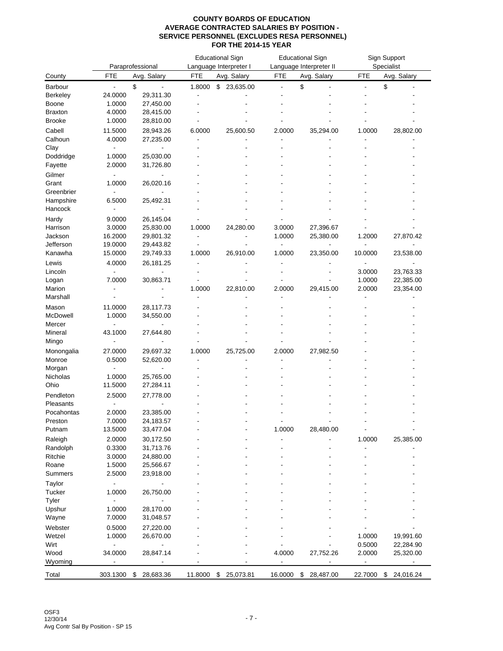| <b>FTE</b><br><b>FTE</b><br>FTE<br>Avg. Salary<br>Avg. Salary<br>Avg. Salary<br><b>FTE</b><br>Avg. Salary<br>County<br>\$<br>\$<br>\$<br>Barbour<br>1.8000<br>\$<br>23,635.00<br>ä,<br>$\overline{a}$<br>$\blacksquare$<br>24.0000<br><b>Berkeley</b><br>29,311.30<br>÷,<br>1.0000<br>27,450.00<br>Boone<br>4.0000<br><b>Braxton</b><br>28,415.00<br><b>Brooke</b><br>1.0000<br>28,810.00<br>Cabell<br>11.5000<br>35,294.00<br>28,943.26<br>6.0000<br>25,600.50<br>2.0000<br>1.0000<br>28,802.00<br>Calhoun<br>4.0000<br>27,235.00<br>Clay<br>Doddridge<br>25,030.00<br>1.0000<br>2.0000<br>Fayette<br>31,726.80<br>Gilmer<br>Grant<br>1.0000<br>26,020.16<br>Greenbrier<br>Hampshire<br>6.5000<br>25,492.31<br>Hancock<br>Hardy<br>9.0000<br>26,145.04<br>27,396.67<br>Harrison<br>3.0000<br>25,830.00<br>1.0000<br>24,280.00<br>3.0000<br>16.2000<br>29,801.32<br>1.0000<br>25,380.00<br>Jackson<br>1.2000<br>27,870.42<br>Jefferson<br>19.0000<br>29,443.82<br>Ĭ.<br>1.0000<br>10.0000<br>Kanawha<br>15.0000<br>29,749.33<br>1.0000<br>26,910.00<br>23,350.00<br>23,538.00<br>4.0000<br>26,181.25<br>Lewis<br>3.0000<br>Lincoln<br>23,763.33<br>1.0000<br>22,385.00<br>Logan<br>7.0000<br>30,863.71<br>Marion<br>1.0000<br>2.0000<br>22,810.00<br>2.0000<br>29,415.00<br>23,354.00<br>Marshall<br>Mason<br>11.0000<br>28,117.73<br>McDowell<br>1.0000<br>34,550.00<br>Mercer<br>$\blacksquare$<br>Mineral<br>43.1000<br>27,644.80<br>Mingo<br>25,725.00<br>27,982.50<br>Monongalia<br>27.0000<br>29,697.32<br>1.0000<br>2.0000<br>Monroe<br>0.5000<br>52,620.00<br>Morgan<br>Nicholas<br>1.0000<br>25,765.00<br>11.5000<br>Ohio<br>27,284.11<br>Pendleton<br>2.5000<br>27,778.00<br>Pleasants<br>2.0000<br>Pocahontas<br>23,385.00<br>7.0000<br>24,183.57<br>Preston<br>13.5000<br>1.0000<br>28,480.00<br>Putnam<br>33,477.04<br>$\overline{\phantom{a}}$<br>$\qquad \qquad \blacksquare$<br>Raleigh<br>2.0000<br>30,172.50<br>1.0000<br>25,385.00<br>Randolph<br>0.3300<br>31,713.76<br>Ritchie<br>3.0000<br>24,880.00<br>Roane<br>1.5000<br>25,566.67<br>Summers<br>2.5000<br>23,918.00<br>Taylor<br>$\overline{a}$<br>Tucker<br>1.0000<br>26,750.00<br>Tyler<br>Upshur<br>1.0000<br>28,170.00<br>Wayne<br>7.0000<br>31,048.57<br>0.5000<br>27,220.00<br>Wetzel<br>19,991.60<br>1.0000<br>26,670.00<br>1.0000<br>Wirt<br>0.5000<br>22,284.90<br>$\overline{\phantom{a}}$<br>$\overline{\phantom{a}}$<br>34.0000<br>28,847.14<br>4.0000<br>27,752.26<br>2.0000<br>25,320.00<br>Wyoming<br>$\overline{\phantom{a}}$<br>303.1300<br>28,683.36<br>11.8000<br>25,073.81<br>16.0000<br>28,487.00<br>22.7000<br>24,016.24<br>Total<br>\$<br>\$<br>\$<br>\$ |         | Paraprofessional |  | <b>Educational Sign</b><br>Language Interpreter I |  | <b>Educational Sign</b><br>Language Interpreter II |  | Sign Support<br>Specialist |  |
|----------------------------------------------------------------------------------------------------------------------------------------------------------------------------------------------------------------------------------------------------------------------------------------------------------------------------------------------------------------------------------------------------------------------------------------------------------------------------------------------------------------------------------------------------------------------------------------------------------------------------------------------------------------------------------------------------------------------------------------------------------------------------------------------------------------------------------------------------------------------------------------------------------------------------------------------------------------------------------------------------------------------------------------------------------------------------------------------------------------------------------------------------------------------------------------------------------------------------------------------------------------------------------------------------------------------------------------------------------------------------------------------------------------------------------------------------------------------------------------------------------------------------------------------------------------------------------------------------------------------------------------------------------------------------------------------------------------------------------------------------------------------------------------------------------------------------------------------------------------------------------------------------------------------------------------------------------------------------------------------------------------------------------------------------------------------------------------------------------------------------------------------------------------------------------------------------------------------------------------------------------------------------------------------------------------------------------------------------------------------------------------------------------------------------------------------------------------------------------------------------------------------------------------------------------------------------------------------------------------------------------------------------------|---------|------------------|--|---------------------------------------------------|--|----------------------------------------------------|--|----------------------------|--|
|                                                                                                                                                                                                                                                                                                                                                                                                                                                                                                                                                                                                                                                                                                                                                                                                                                                                                                                                                                                                                                                                                                                                                                                                                                                                                                                                                                                                                                                                                                                                                                                                                                                                                                                                                                                                                                                                                                                                                                                                                                                                                                                                                                                                                                                                                                                                                                                                                                                                                                                                                                                                                                                          |         |                  |  |                                                   |  |                                                    |  |                            |  |
|                                                                                                                                                                                                                                                                                                                                                                                                                                                                                                                                                                                                                                                                                                                                                                                                                                                                                                                                                                                                                                                                                                                                                                                                                                                                                                                                                                                                                                                                                                                                                                                                                                                                                                                                                                                                                                                                                                                                                                                                                                                                                                                                                                                                                                                                                                                                                                                                                                                                                                                                                                                                                                                          |         |                  |  |                                                   |  |                                                    |  |                            |  |
|                                                                                                                                                                                                                                                                                                                                                                                                                                                                                                                                                                                                                                                                                                                                                                                                                                                                                                                                                                                                                                                                                                                                                                                                                                                                                                                                                                                                                                                                                                                                                                                                                                                                                                                                                                                                                                                                                                                                                                                                                                                                                                                                                                                                                                                                                                                                                                                                                                                                                                                                                                                                                                                          |         |                  |  |                                                   |  |                                                    |  |                            |  |
|                                                                                                                                                                                                                                                                                                                                                                                                                                                                                                                                                                                                                                                                                                                                                                                                                                                                                                                                                                                                                                                                                                                                                                                                                                                                                                                                                                                                                                                                                                                                                                                                                                                                                                                                                                                                                                                                                                                                                                                                                                                                                                                                                                                                                                                                                                                                                                                                                                                                                                                                                                                                                                                          |         |                  |  |                                                   |  |                                                    |  |                            |  |
|                                                                                                                                                                                                                                                                                                                                                                                                                                                                                                                                                                                                                                                                                                                                                                                                                                                                                                                                                                                                                                                                                                                                                                                                                                                                                                                                                                                                                                                                                                                                                                                                                                                                                                                                                                                                                                                                                                                                                                                                                                                                                                                                                                                                                                                                                                                                                                                                                                                                                                                                                                                                                                                          |         |                  |  |                                                   |  |                                                    |  |                            |  |
|                                                                                                                                                                                                                                                                                                                                                                                                                                                                                                                                                                                                                                                                                                                                                                                                                                                                                                                                                                                                                                                                                                                                                                                                                                                                                                                                                                                                                                                                                                                                                                                                                                                                                                                                                                                                                                                                                                                                                                                                                                                                                                                                                                                                                                                                                                                                                                                                                                                                                                                                                                                                                                                          |         |                  |  |                                                   |  |                                                    |  |                            |  |
|                                                                                                                                                                                                                                                                                                                                                                                                                                                                                                                                                                                                                                                                                                                                                                                                                                                                                                                                                                                                                                                                                                                                                                                                                                                                                                                                                                                                                                                                                                                                                                                                                                                                                                                                                                                                                                                                                                                                                                                                                                                                                                                                                                                                                                                                                                                                                                                                                                                                                                                                                                                                                                                          |         |                  |  |                                                   |  |                                                    |  |                            |  |
|                                                                                                                                                                                                                                                                                                                                                                                                                                                                                                                                                                                                                                                                                                                                                                                                                                                                                                                                                                                                                                                                                                                                                                                                                                                                                                                                                                                                                                                                                                                                                                                                                                                                                                                                                                                                                                                                                                                                                                                                                                                                                                                                                                                                                                                                                                                                                                                                                                                                                                                                                                                                                                                          |         |                  |  |                                                   |  |                                                    |  |                            |  |
|                                                                                                                                                                                                                                                                                                                                                                                                                                                                                                                                                                                                                                                                                                                                                                                                                                                                                                                                                                                                                                                                                                                                                                                                                                                                                                                                                                                                                                                                                                                                                                                                                                                                                                                                                                                                                                                                                                                                                                                                                                                                                                                                                                                                                                                                                                                                                                                                                                                                                                                                                                                                                                                          |         |                  |  |                                                   |  |                                                    |  |                            |  |
|                                                                                                                                                                                                                                                                                                                                                                                                                                                                                                                                                                                                                                                                                                                                                                                                                                                                                                                                                                                                                                                                                                                                                                                                                                                                                                                                                                                                                                                                                                                                                                                                                                                                                                                                                                                                                                                                                                                                                                                                                                                                                                                                                                                                                                                                                                                                                                                                                                                                                                                                                                                                                                                          |         |                  |  |                                                   |  |                                                    |  |                            |  |
|                                                                                                                                                                                                                                                                                                                                                                                                                                                                                                                                                                                                                                                                                                                                                                                                                                                                                                                                                                                                                                                                                                                                                                                                                                                                                                                                                                                                                                                                                                                                                                                                                                                                                                                                                                                                                                                                                                                                                                                                                                                                                                                                                                                                                                                                                                                                                                                                                                                                                                                                                                                                                                                          |         |                  |  |                                                   |  |                                                    |  |                            |  |
|                                                                                                                                                                                                                                                                                                                                                                                                                                                                                                                                                                                                                                                                                                                                                                                                                                                                                                                                                                                                                                                                                                                                                                                                                                                                                                                                                                                                                                                                                                                                                                                                                                                                                                                                                                                                                                                                                                                                                                                                                                                                                                                                                                                                                                                                                                                                                                                                                                                                                                                                                                                                                                                          |         |                  |  |                                                   |  |                                                    |  |                            |  |
|                                                                                                                                                                                                                                                                                                                                                                                                                                                                                                                                                                                                                                                                                                                                                                                                                                                                                                                                                                                                                                                                                                                                                                                                                                                                                                                                                                                                                                                                                                                                                                                                                                                                                                                                                                                                                                                                                                                                                                                                                                                                                                                                                                                                                                                                                                                                                                                                                                                                                                                                                                                                                                                          |         |                  |  |                                                   |  |                                                    |  |                            |  |
|                                                                                                                                                                                                                                                                                                                                                                                                                                                                                                                                                                                                                                                                                                                                                                                                                                                                                                                                                                                                                                                                                                                                                                                                                                                                                                                                                                                                                                                                                                                                                                                                                                                                                                                                                                                                                                                                                                                                                                                                                                                                                                                                                                                                                                                                                                                                                                                                                                                                                                                                                                                                                                                          |         |                  |  |                                                   |  |                                                    |  |                            |  |
|                                                                                                                                                                                                                                                                                                                                                                                                                                                                                                                                                                                                                                                                                                                                                                                                                                                                                                                                                                                                                                                                                                                                                                                                                                                                                                                                                                                                                                                                                                                                                                                                                                                                                                                                                                                                                                                                                                                                                                                                                                                                                                                                                                                                                                                                                                                                                                                                                                                                                                                                                                                                                                                          |         |                  |  |                                                   |  |                                                    |  |                            |  |
|                                                                                                                                                                                                                                                                                                                                                                                                                                                                                                                                                                                                                                                                                                                                                                                                                                                                                                                                                                                                                                                                                                                                                                                                                                                                                                                                                                                                                                                                                                                                                                                                                                                                                                                                                                                                                                                                                                                                                                                                                                                                                                                                                                                                                                                                                                                                                                                                                                                                                                                                                                                                                                                          |         |                  |  |                                                   |  |                                                    |  |                            |  |
|                                                                                                                                                                                                                                                                                                                                                                                                                                                                                                                                                                                                                                                                                                                                                                                                                                                                                                                                                                                                                                                                                                                                                                                                                                                                                                                                                                                                                                                                                                                                                                                                                                                                                                                                                                                                                                                                                                                                                                                                                                                                                                                                                                                                                                                                                                                                                                                                                                                                                                                                                                                                                                                          |         |                  |  |                                                   |  |                                                    |  |                            |  |
|                                                                                                                                                                                                                                                                                                                                                                                                                                                                                                                                                                                                                                                                                                                                                                                                                                                                                                                                                                                                                                                                                                                                                                                                                                                                                                                                                                                                                                                                                                                                                                                                                                                                                                                                                                                                                                                                                                                                                                                                                                                                                                                                                                                                                                                                                                                                                                                                                                                                                                                                                                                                                                                          |         |                  |  |                                                   |  |                                                    |  |                            |  |
|                                                                                                                                                                                                                                                                                                                                                                                                                                                                                                                                                                                                                                                                                                                                                                                                                                                                                                                                                                                                                                                                                                                                                                                                                                                                                                                                                                                                                                                                                                                                                                                                                                                                                                                                                                                                                                                                                                                                                                                                                                                                                                                                                                                                                                                                                                                                                                                                                                                                                                                                                                                                                                                          |         |                  |  |                                                   |  |                                                    |  |                            |  |
|                                                                                                                                                                                                                                                                                                                                                                                                                                                                                                                                                                                                                                                                                                                                                                                                                                                                                                                                                                                                                                                                                                                                                                                                                                                                                                                                                                                                                                                                                                                                                                                                                                                                                                                                                                                                                                                                                                                                                                                                                                                                                                                                                                                                                                                                                                                                                                                                                                                                                                                                                                                                                                                          |         |                  |  |                                                   |  |                                                    |  |                            |  |
|                                                                                                                                                                                                                                                                                                                                                                                                                                                                                                                                                                                                                                                                                                                                                                                                                                                                                                                                                                                                                                                                                                                                                                                                                                                                                                                                                                                                                                                                                                                                                                                                                                                                                                                                                                                                                                                                                                                                                                                                                                                                                                                                                                                                                                                                                                                                                                                                                                                                                                                                                                                                                                                          |         |                  |  |                                                   |  |                                                    |  |                            |  |
|                                                                                                                                                                                                                                                                                                                                                                                                                                                                                                                                                                                                                                                                                                                                                                                                                                                                                                                                                                                                                                                                                                                                                                                                                                                                                                                                                                                                                                                                                                                                                                                                                                                                                                                                                                                                                                                                                                                                                                                                                                                                                                                                                                                                                                                                                                                                                                                                                                                                                                                                                                                                                                                          |         |                  |  |                                                   |  |                                                    |  |                            |  |
|                                                                                                                                                                                                                                                                                                                                                                                                                                                                                                                                                                                                                                                                                                                                                                                                                                                                                                                                                                                                                                                                                                                                                                                                                                                                                                                                                                                                                                                                                                                                                                                                                                                                                                                                                                                                                                                                                                                                                                                                                                                                                                                                                                                                                                                                                                                                                                                                                                                                                                                                                                                                                                                          |         |                  |  |                                                   |  |                                                    |  |                            |  |
|                                                                                                                                                                                                                                                                                                                                                                                                                                                                                                                                                                                                                                                                                                                                                                                                                                                                                                                                                                                                                                                                                                                                                                                                                                                                                                                                                                                                                                                                                                                                                                                                                                                                                                                                                                                                                                                                                                                                                                                                                                                                                                                                                                                                                                                                                                                                                                                                                                                                                                                                                                                                                                                          |         |                  |  |                                                   |  |                                                    |  |                            |  |
|                                                                                                                                                                                                                                                                                                                                                                                                                                                                                                                                                                                                                                                                                                                                                                                                                                                                                                                                                                                                                                                                                                                                                                                                                                                                                                                                                                                                                                                                                                                                                                                                                                                                                                                                                                                                                                                                                                                                                                                                                                                                                                                                                                                                                                                                                                                                                                                                                                                                                                                                                                                                                                                          |         |                  |  |                                                   |  |                                                    |  |                            |  |
|                                                                                                                                                                                                                                                                                                                                                                                                                                                                                                                                                                                                                                                                                                                                                                                                                                                                                                                                                                                                                                                                                                                                                                                                                                                                                                                                                                                                                                                                                                                                                                                                                                                                                                                                                                                                                                                                                                                                                                                                                                                                                                                                                                                                                                                                                                                                                                                                                                                                                                                                                                                                                                                          |         |                  |  |                                                   |  |                                                    |  |                            |  |
|                                                                                                                                                                                                                                                                                                                                                                                                                                                                                                                                                                                                                                                                                                                                                                                                                                                                                                                                                                                                                                                                                                                                                                                                                                                                                                                                                                                                                                                                                                                                                                                                                                                                                                                                                                                                                                                                                                                                                                                                                                                                                                                                                                                                                                                                                                                                                                                                                                                                                                                                                                                                                                                          |         |                  |  |                                                   |  |                                                    |  |                            |  |
|                                                                                                                                                                                                                                                                                                                                                                                                                                                                                                                                                                                                                                                                                                                                                                                                                                                                                                                                                                                                                                                                                                                                                                                                                                                                                                                                                                                                                                                                                                                                                                                                                                                                                                                                                                                                                                                                                                                                                                                                                                                                                                                                                                                                                                                                                                                                                                                                                                                                                                                                                                                                                                                          |         |                  |  |                                                   |  |                                                    |  |                            |  |
|                                                                                                                                                                                                                                                                                                                                                                                                                                                                                                                                                                                                                                                                                                                                                                                                                                                                                                                                                                                                                                                                                                                                                                                                                                                                                                                                                                                                                                                                                                                                                                                                                                                                                                                                                                                                                                                                                                                                                                                                                                                                                                                                                                                                                                                                                                                                                                                                                                                                                                                                                                                                                                                          |         |                  |  |                                                   |  |                                                    |  |                            |  |
|                                                                                                                                                                                                                                                                                                                                                                                                                                                                                                                                                                                                                                                                                                                                                                                                                                                                                                                                                                                                                                                                                                                                                                                                                                                                                                                                                                                                                                                                                                                                                                                                                                                                                                                                                                                                                                                                                                                                                                                                                                                                                                                                                                                                                                                                                                                                                                                                                                                                                                                                                                                                                                                          |         |                  |  |                                                   |  |                                                    |  |                            |  |
|                                                                                                                                                                                                                                                                                                                                                                                                                                                                                                                                                                                                                                                                                                                                                                                                                                                                                                                                                                                                                                                                                                                                                                                                                                                                                                                                                                                                                                                                                                                                                                                                                                                                                                                                                                                                                                                                                                                                                                                                                                                                                                                                                                                                                                                                                                                                                                                                                                                                                                                                                                                                                                                          |         |                  |  |                                                   |  |                                                    |  |                            |  |
|                                                                                                                                                                                                                                                                                                                                                                                                                                                                                                                                                                                                                                                                                                                                                                                                                                                                                                                                                                                                                                                                                                                                                                                                                                                                                                                                                                                                                                                                                                                                                                                                                                                                                                                                                                                                                                                                                                                                                                                                                                                                                                                                                                                                                                                                                                                                                                                                                                                                                                                                                                                                                                                          |         |                  |  |                                                   |  |                                                    |  |                            |  |
|                                                                                                                                                                                                                                                                                                                                                                                                                                                                                                                                                                                                                                                                                                                                                                                                                                                                                                                                                                                                                                                                                                                                                                                                                                                                                                                                                                                                                                                                                                                                                                                                                                                                                                                                                                                                                                                                                                                                                                                                                                                                                                                                                                                                                                                                                                                                                                                                                                                                                                                                                                                                                                                          |         |                  |  |                                                   |  |                                                    |  |                            |  |
|                                                                                                                                                                                                                                                                                                                                                                                                                                                                                                                                                                                                                                                                                                                                                                                                                                                                                                                                                                                                                                                                                                                                                                                                                                                                                                                                                                                                                                                                                                                                                                                                                                                                                                                                                                                                                                                                                                                                                                                                                                                                                                                                                                                                                                                                                                                                                                                                                                                                                                                                                                                                                                                          |         |                  |  |                                                   |  |                                                    |  |                            |  |
|                                                                                                                                                                                                                                                                                                                                                                                                                                                                                                                                                                                                                                                                                                                                                                                                                                                                                                                                                                                                                                                                                                                                                                                                                                                                                                                                                                                                                                                                                                                                                                                                                                                                                                                                                                                                                                                                                                                                                                                                                                                                                                                                                                                                                                                                                                                                                                                                                                                                                                                                                                                                                                                          |         |                  |  |                                                   |  |                                                    |  |                            |  |
|                                                                                                                                                                                                                                                                                                                                                                                                                                                                                                                                                                                                                                                                                                                                                                                                                                                                                                                                                                                                                                                                                                                                                                                                                                                                                                                                                                                                                                                                                                                                                                                                                                                                                                                                                                                                                                                                                                                                                                                                                                                                                                                                                                                                                                                                                                                                                                                                                                                                                                                                                                                                                                                          |         |                  |  |                                                   |  |                                                    |  |                            |  |
|                                                                                                                                                                                                                                                                                                                                                                                                                                                                                                                                                                                                                                                                                                                                                                                                                                                                                                                                                                                                                                                                                                                                                                                                                                                                                                                                                                                                                                                                                                                                                                                                                                                                                                                                                                                                                                                                                                                                                                                                                                                                                                                                                                                                                                                                                                                                                                                                                                                                                                                                                                                                                                                          |         |                  |  |                                                   |  |                                                    |  |                            |  |
|                                                                                                                                                                                                                                                                                                                                                                                                                                                                                                                                                                                                                                                                                                                                                                                                                                                                                                                                                                                                                                                                                                                                                                                                                                                                                                                                                                                                                                                                                                                                                                                                                                                                                                                                                                                                                                                                                                                                                                                                                                                                                                                                                                                                                                                                                                                                                                                                                                                                                                                                                                                                                                                          |         |                  |  |                                                   |  |                                                    |  |                            |  |
|                                                                                                                                                                                                                                                                                                                                                                                                                                                                                                                                                                                                                                                                                                                                                                                                                                                                                                                                                                                                                                                                                                                                                                                                                                                                                                                                                                                                                                                                                                                                                                                                                                                                                                                                                                                                                                                                                                                                                                                                                                                                                                                                                                                                                                                                                                                                                                                                                                                                                                                                                                                                                                                          |         |                  |  |                                                   |  |                                                    |  |                            |  |
|                                                                                                                                                                                                                                                                                                                                                                                                                                                                                                                                                                                                                                                                                                                                                                                                                                                                                                                                                                                                                                                                                                                                                                                                                                                                                                                                                                                                                                                                                                                                                                                                                                                                                                                                                                                                                                                                                                                                                                                                                                                                                                                                                                                                                                                                                                                                                                                                                                                                                                                                                                                                                                                          |         |                  |  |                                                   |  |                                                    |  |                            |  |
|                                                                                                                                                                                                                                                                                                                                                                                                                                                                                                                                                                                                                                                                                                                                                                                                                                                                                                                                                                                                                                                                                                                                                                                                                                                                                                                                                                                                                                                                                                                                                                                                                                                                                                                                                                                                                                                                                                                                                                                                                                                                                                                                                                                                                                                                                                                                                                                                                                                                                                                                                                                                                                                          |         |                  |  |                                                   |  |                                                    |  |                            |  |
|                                                                                                                                                                                                                                                                                                                                                                                                                                                                                                                                                                                                                                                                                                                                                                                                                                                                                                                                                                                                                                                                                                                                                                                                                                                                                                                                                                                                                                                                                                                                                                                                                                                                                                                                                                                                                                                                                                                                                                                                                                                                                                                                                                                                                                                                                                                                                                                                                                                                                                                                                                                                                                                          |         |                  |  |                                                   |  |                                                    |  |                            |  |
|                                                                                                                                                                                                                                                                                                                                                                                                                                                                                                                                                                                                                                                                                                                                                                                                                                                                                                                                                                                                                                                                                                                                                                                                                                                                                                                                                                                                                                                                                                                                                                                                                                                                                                                                                                                                                                                                                                                                                                                                                                                                                                                                                                                                                                                                                                                                                                                                                                                                                                                                                                                                                                                          |         |                  |  |                                                   |  |                                                    |  |                            |  |
|                                                                                                                                                                                                                                                                                                                                                                                                                                                                                                                                                                                                                                                                                                                                                                                                                                                                                                                                                                                                                                                                                                                                                                                                                                                                                                                                                                                                                                                                                                                                                                                                                                                                                                                                                                                                                                                                                                                                                                                                                                                                                                                                                                                                                                                                                                                                                                                                                                                                                                                                                                                                                                                          |         |                  |  |                                                   |  |                                                    |  |                            |  |
|                                                                                                                                                                                                                                                                                                                                                                                                                                                                                                                                                                                                                                                                                                                                                                                                                                                                                                                                                                                                                                                                                                                                                                                                                                                                                                                                                                                                                                                                                                                                                                                                                                                                                                                                                                                                                                                                                                                                                                                                                                                                                                                                                                                                                                                                                                                                                                                                                                                                                                                                                                                                                                                          |         |                  |  |                                                   |  |                                                    |  |                            |  |
|                                                                                                                                                                                                                                                                                                                                                                                                                                                                                                                                                                                                                                                                                                                                                                                                                                                                                                                                                                                                                                                                                                                                                                                                                                                                                                                                                                                                                                                                                                                                                                                                                                                                                                                                                                                                                                                                                                                                                                                                                                                                                                                                                                                                                                                                                                                                                                                                                                                                                                                                                                                                                                                          |         |                  |  |                                                   |  |                                                    |  |                            |  |
|                                                                                                                                                                                                                                                                                                                                                                                                                                                                                                                                                                                                                                                                                                                                                                                                                                                                                                                                                                                                                                                                                                                                                                                                                                                                                                                                                                                                                                                                                                                                                                                                                                                                                                                                                                                                                                                                                                                                                                                                                                                                                                                                                                                                                                                                                                                                                                                                                                                                                                                                                                                                                                                          |         |                  |  |                                                   |  |                                                    |  |                            |  |
|                                                                                                                                                                                                                                                                                                                                                                                                                                                                                                                                                                                                                                                                                                                                                                                                                                                                                                                                                                                                                                                                                                                                                                                                                                                                                                                                                                                                                                                                                                                                                                                                                                                                                                                                                                                                                                                                                                                                                                                                                                                                                                                                                                                                                                                                                                                                                                                                                                                                                                                                                                                                                                                          |         |                  |  |                                                   |  |                                                    |  |                            |  |
|                                                                                                                                                                                                                                                                                                                                                                                                                                                                                                                                                                                                                                                                                                                                                                                                                                                                                                                                                                                                                                                                                                                                                                                                                                                                                                                                                                                                                                                                                                                                                                                                                                                                                                                                                                                                                                                                                                                                                                                                                                                                                                                                                                                                                                                                                                                                                                                                                                                                                                                                                                                                                                                          |         |                  |  |                                                   |  |                                                    |  |                            |  |
|                                                                                                                                                                                                                                                                                                                                                                                                                                                                                                                                                                                                                                                                                                                                                                                                                                                                                                                                                                                                                                                                                                                                                                                                                                                                                                                                                                                                                                                                                                                                                                                                                                                                                                                                                                                                                                                                                                                                                                                                                                                                                                                                                                                                                                                                                                                                                                                                                                                                                                                                                                                                                                                          |         |                  |  |                                                   |  |                                                    |  |                            |  |
|                                                                                                                                                                                                                                                                                                                                                                                                                                                                                                                                                                                                                                                                                                                                                                                                                                                                                                                                                                                                                                                                                                                                                                                                                                                                                                                                                                                                                                                                                                                                                                                                                                                                                                                                                                                                                                                                                                                                                                                                                                                                                                                                                                                                                                                                                                                                                                                                                                                                                                                                                                                                                                                          | Webster |                  |  |                                                   |  |                                                    |  |                            |  |
|                                                                                                                                                                                                                                                                                                                                                                                                                                                                                                                                                                                                                                                                                                                                                                                                                                                                                                                                                                                                                                                                                                                                                                                                                                                                                                                                                                                                                                                                                                                                                                                                                                                                                                                                                                                                                                                                                                                                                                                                                                                                                                                                                                                                                                                                                                                                                                                                                                                                                                                                                                                                                                                          |         |                  |  |                                                   |  |                                                    |  |                            |  |
|                                                                                                                                                                                                                                                                                                                                                                                                                                                                                                                                                                                                                                                                                                                                                                                                                                                                                                                                                                                                                                                                                                                                                                                                                                                                                                                                                                                                                                                                                                                                                                                                                                                                                                                                                                                                                                                                                                                                                                                                                                                                                                                                                                                                                                                                                                                                                                                                                                                                                                                                                                                                                                                          |         |                  |  |                                                   |  |                                                    |  |                            |  |
|                                                                                                                                                                                                                                                                                                                                                                                                                                                                                                                                                                                                                                                                                                                                                                                                                                                                                                                                                                                                                                                                                                                                                                                                                                                                                                                                                                                                                                                                                                                                                                                                                                                                                                                                                                                                                                                                                                                                                                                                                                                                                                                                                                                                                                                                                                                                                                                                                                                                                                                                                                                                                                                          | Wood    |                  |  |                                                   |  |                                                    |  |                            |  |
|                                                                                                                                                                                                                                                                                                                                                                                                                                                                                                                                                                                                                                                                                                                                                                                                                                                                                                                                                                                                                                                                                                                                                                                                                                                                                                                                                                                                                                                                                                                                                                                                                                                                                                                                                                                                                                                                                                                                                                                                                                                                                                                                                                                                                                                                                                                                                                                                                                                                                                                                                                                                                                                          |         |                  |  |                                                   |  |                                                    |  |                            |  |
|                                                                                                                                                                                                                                                                                                                                                                                                                                                                                                                                                                                                                                                                                                                                                                                                                                                                                                                                                                                                                                                                                                                                                                                                                                                                                                                                                                                                                                                                                                                                                                                                                                                                                                                                                                                                                                                                                                                                                                                                                                                                                                                                                                                                                                                                                                                                                                                                                                                                                                                                                                                                                                                          |         |                  |  |                                                   |  |                                                    |  |                            |  |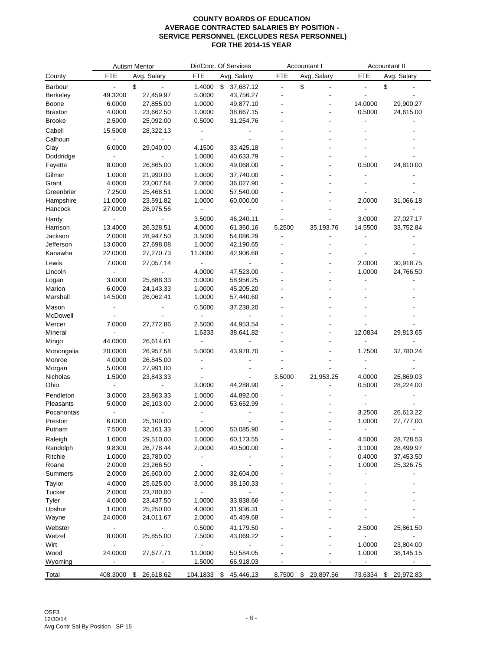|                 | Autism Mentor            |                          | Dir/Coor. Of Services |                           | Accountant I   |                 | Accountant II            |                          |
|-----------------|--------------------------|--------------------------|-----------------------|---------------------------|----------------|-----------------|--------------------------|--------------------------|
| County          | <b>FTE</b>               | Avg. Salary              | <b>FTE</b>            | Avg. Salary               | <b>FTE</b>     | Avg. Salary     | <b>FTE</b>               | Avg. Salary              |
| <b>Barbour</b>  |                          | \$                       | 1.4000                | $\mathbb{S}$<br>37,687.12 | $\blacksquare$ | \$              | ÷,                       | \$                       |
| <b>Berkeley</b> | 49.3200                  | 27,459.97                | 5.0000                | 43,756.27                 |                |                 |                          |                          |
| <b>Boone</b>    | 6.0000                   | 27,855.00                | 1.0000                | 49,877.10                 |                |                 | 14.0000                  | 29,900.27                |
| <b>Braxton</b>  | 4.0000                   | 23,662.50                | 1.0000                | 38,667.15                 |                |                 | 0.5000                   | 24,615.00                |
| <b>Brooke</b>   | 2.5000                   | 25,092.00                | 0.5000                | 31,254.76                 |                |                 |                          |                          |
| Cabell          | 15.5000                  | 28,322.13                |                       |                           |                |                 |                          |                          |
| Calhoun         |                          |                          |                       |                           |                |                 |                          |                          |
| Clay            | 6.0000                   | 29,040.00                | 4.1500                | 33,425.18                 |                |                 |                          |                          |
| Doddridge       |                          |                          | 1.0000                | 40,633.79                 |                |                 |                          |                          |
| Fayette         | 8.0000                   | 26,865.00                | 1.0000                | 49,068.00                 |                |                 | 0.5000                   | 24,810.00                |
| Gilmer          | 1.0000                   | 21,990.00                | 1.0000                | 37,740.00                 |                |                 |                          |                          |
| Grant           | 4.0000                   | 23,007.54                | 2.0000                | 36,027.90                 |                |                 |                          |                          |
| Greenbrier      | 7.2500                   | 25,468.51                | 1.0000                | 57,540.00                 |                |                 |                          |                          |
| Hampshire       | 11.0000                  | 23,591.82                | 1.0000                | 60,000.00                 |                |                 | 2.0000                   | 31,066.18                |
| Hancock         | 27.0000                  | 26,975.56                | $\blacksquare$        |                           |                |                 |                          |                          |
| Hardy           |                          |                          | 3.5000                | 46,240.11                 |                |                 | 3.0000                   | 27,027.17                |
| Harrison        | 13.4000                  | 26,328.51                | 4.0000                | 61,360.16                 | 5.2500         | 35,193.76       | 14.5500                  | 33,752.84                |
| Jackson         | 2.0000                   | 28,947.50                | 3.5000                | 54,086.29                 |                |                 |                          |                          |
| Jefferson       | 13.0000                  | 27,698.08                | 1.0000                | 42,190.65                 |                |                 |                          |                          |
| Kanawha         | 22.0000                  | 27,270.73                | 11.0000               | 42,906.68                 |                |                 |                          |                          |
|                 |                          | 27,057.14                |                       |                           |                |                 |                          |                          |
| Lewis           | 7.0000                   |                          |                       |                           |                |                 | 2.0000                   | 30,918.75                |
| Lincoln         |                          |                          | 4.0000                | 47,523.00                 |                |                 | 1.0000                   | 24,766.50                |
| Logan           | 3.0000                   | 25,888.33                | 3.0000                | 58,956.25                 |                |                 |                          |                          |
| Marion          | 6.0000                   | 24,143.33                | 1.0000                | 45,205.20                 |                |                 |                          |                          |
| Marshall        | 14.5000                  | 26,062.41                | 1.0000                | 57,440.60                 |                |                 |                          |                          |
| Mason           |                          |                          | 0.5000                | 37,238.20                 |                |                 |                          |                          |
| McDowell        |                          |                          |                       |                           |                |                 |                          |                          |
| Mercer          | 7.0000                   | 27,772.86                | 2.5000                | 44,953.54                 |                |                 |                          |                          |
| Mineral         |                          |                          | 1.6333                | 38,641.82                 |                |                 | 12.0834                  | 29,813.65                |
| Mingo           | 44.0000                  | 26,614.61                | Ĭ.                    |                           |                |                 |                          |                          |
| Monongalia      | 20.0000                  | 26,957.58                | 5.0000                | 43,978.70                 |                |                 | 1.7500                   | 37,780.24                |
| Monroe          | 4.0000                   | 26,845.00                |                       |                           |                |                 |                          |                          |
| Morgan          | 5.0000                   | 27,991.00                |                       |                           |                |                 |                          |                          |
| Nicholas        | 1.5000                   | 23,843.33                |                       |                           | 3.5000         | 21,953.25       | 4.0000                   | 25,869.03                |
| Ohio            |                          |                          | 3.0000                | 44,288.90                 |                |                 | 0.5000                   | 28,224.00                |
| Pendleton       | 3.0000                   | 23,863.33                | 1.0000                | 44,892.00                 |                |                 |                          |                          |
| Pleasants       | 5.0000                   | 26,103.00                | 2.0000                | 53,652.99                 |                |                 |                          |                          |
| Pocahontas      |                          |                          |                       |                           |                |                 | 3.2500                   | 26,613.22                |
| Preston         | 6.0000                   | 25,100.00                |                       |                           |                |                 | 1.0000                   | 27,777.00                |
| Putnam          | 7.5000                   | 32,161.33                | 1.0000                | 50,085.90                 |                |                 |                          |                          |
| Raleigh         | 1.0000                   | 29,510.00                | 1.0000                | 60,173.55                 |                |                 | 4.5000                   | 28,728.53                |
| Randolph        | 9.8300                   | 26,778.44                | 2.0000                | 40,500.00                 |                |                 | 3.1000                   | 28,499.97                |
| Ritchie         | 1.0000                   | 23,780.00                |                       |                           |                |                 | 0.4000                   | 37,453.50                |
| Roane           | 2.0000                   | 23,266.50                |                       |                           |                |                 | 1.0000                   | 25,326.75                |
| Summers         | 2.0000                   | 26,600.00                | 2.0000                | 32,604.00                 |                |                 | -                        |                          |
| Taylor          | 4.0000                   | 25,625.00                | 3.0000                | 38,150.33                 |                |                 |                          |                          |
| Tucker          | 2.0000                   | 23,780.00                |                       |                           |                |                 |                          |                          |
| Tyler           | 4.0000                   | 23,437.50                | 1.0000                | 33,838.66                 |                |                 |                          |                          |
| Upshur          | 1.0000                   | 25,250.00                | 4.0000                | 31,936.31                 |                |                 |                          |                          |
| Wayne           | 24.0000                  | 24,011.67                | 2.0000                | 45,459.68                 |                |                 |                          |                          |
| Webster         |                          |                          | 0.5000                | 41,179.50                 |                |                 | 2.5000                   | 25,861.50                |
| Wetzel          | 8.0000                   | 25,855.00                | 7.5000                | 43,069.22                 |                |                 |                          |                          |
| Wirt            | $\overline{a}$           |                          | $\blacksquare$        |                           |                |                 | 1.0000                   | 23,804.00                |
| Wood            | 24.0000                  | 27,677.71                | 11.0000               | 50,584.05                 |                |                 | 1.0000                   | 38,145.15                |
| Wyoming         | $\overline{\phantom{a}}$ | $\overline{\phantom{a}}$ | 1.5000                | 66,918.03                 |                |                 | $\overline{\phantom{a}}$ | $\overline{\phantom{a}}$ |
|                 |                          |                          |                       |                           |                |                 |                          |                          |
| Total           | 408.3000                 | 26,618.62<br>\$          | 104.1833 \$           | 45,446.13                 | 8.7500         | \$<br>29,897.56 | 73.6334                  | \$<br>29,972.83          |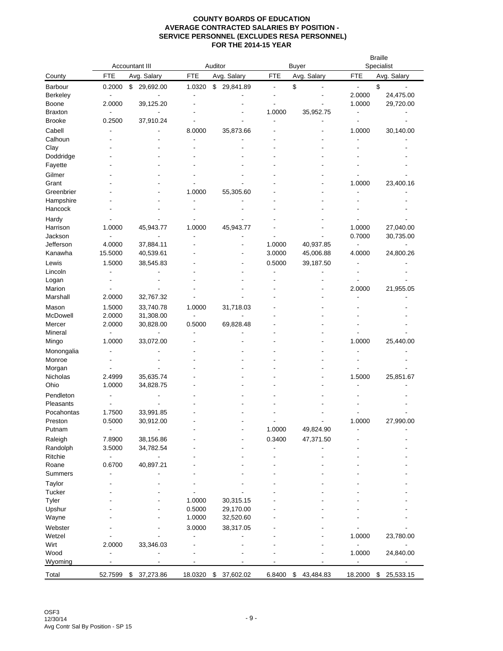|                         | <b>Accountant III</b>    |                        |                | Auditor         |                              | <b>Buyer</b>    |                          | <b>Braille</b><br>Specialist |  |
|-------------------------|--------------------------|------------------------|----------------|-----------------|------------------------------|-----------------|--------------------------|------------------------------|--|
| County                  | <b>FTE</b>               | Avg. Salary            | <b>FTE</b>     | Avg. Salary     | <b>FTE</b>                   | Avg. Salary     | FTE                      | Avg. Salary                  |  |
| Barbour                 | 0.2000                   | \$<br>29,692.00        | 1.0320         | \$<br>29,841.89 | $\qquad \qquad \blacksquare$ | \$              | $\overline{\phantom{a}}$ | \$                           |  |
| Berkeley                |                          |                        |                |                 |                              |                 | 2.0000                   | 24,475.00                    |  |
| Boone                   | 2.0000                   | 39,125.20              |                |                 |                              |                 | 1.0000                   | 29,720.00                    |  |
| <b>Braxton</b>          |                          |                        |                |                 | 1.0000                       | 35,952.75       |                          |                              |  |
| Brooke                  | 0.2500                   | 37,910.24              |                |                 |                              |                 |                          |                              |  |
| Cabell                  |                          |                        | 8.0000         | 35,873.66       |                              |                 | 1.0000                   | 30,140.00                    |  |
| Calhoun                 |                          |                        |                |                 |                              |                 |                          |                              |  |
| Clay                    |                          |                        |                |                 |                              |                 |                          |                              |  |
| Doddridge               |                          |                        |                |                 |                              |                 |                          |                              |  |
| Fayette                 |                          |                        |                |                 |                              |                 |                          |                              |  |
| Gilmer                  |                          |                        |                |                 |                              |                 |                          |                              |  |
| Grant                   |                          |                        |                |                 |                              |                 | 1.0000                   | 23,400.16                    |  |
| Greenbrier<br>Hampshire |                          |                        | 1.0000         | 55,305.60       |                              |                 |                          |                              |  |
| Hancock                 |                          |                        |                |                 |                              |                 |                          |                              |  |
|                         |                          |                        |                |                 |                              |                 |                          |                              |  |
| Hardy<br>Harrison       | 1.0000                   | 45,943.77              | 1.0000         | 45,943.77       |                              |                 | 1.0000                   | 27,040.00                    |  |
| Jackson                 | $\overline{a}$           |                        | ٠              |                 |                              |                 | 0.7000                   | 30,735.00                    |  |
| Jefferson               | 4.0000                   | 37,884.11              |                |                 | 1.0000                       | 40,937.85       | $\overline{\phantom{a}}$ |                              |  |
| Kanawha                 | 15.5000                  | 40,539.61              |                |                 | 3.0000                       | 45,006.88       | 4.0000                   | 24,800.26                    |  |
| Lewis                   | 1.5000                   | 38,545.83              |                |                 | 0.5000                       | 39,187.50       |                          |                              |  |
| Lincoln                 |                          |                        |                |                 |                              |                 |                          |                              |  |
| Logan                   |                          |                        |                |                 |                              |                 |                          |                              |  |
| Marion                  |                          |                        |                |                 |                              |                 | 2.0000                   | 21,955.05                    |  |
| Marshall                | 2.0000                   | 32,767.32              |                |                 |                              |                 |                          |                              |  |
| Mason                   | 1.5000                   | 33,740.78              | 1.0000         | 31,718.03       |                              |                 |                          |                              |  |
| McDowell                | 2.0000                   | 31,308.00              | $\overline{a}$ |                 |                              |                 |                          |                              |  |
| Mercer                  | 2.0000                   | 30,828.00              | 0.5000         | 69,828.48       |                              |                 |                          |                              |  |
| Mineral                 | $\overline{\phantom{a}}$ |                        | ٠              |                 |                              |                 |                          |                              |  |
| Mingo                   | 1.0000                   | 33,072.00              |                |                 |                              |                 | 1.0000                   | 25,440.00                    |  |
| Monongalia              |                          |                        |                |                 |                              |                 |                          |                              |  |
| Monroe                  |                          |                        |                |                 |                              |                 |                          |                              |  |
| Morgan                  |                          |                        |                |                 |                              |                 |                          |                              |  |
| Nicholas                | 2.4999                   | 35,635.74              |                |                 |                              |                 | 1.5000                   | 25,851.67                    |  |
| Ohio                    | 1.0000                   | 34,828.75              |                |                 |                              |                 |                          |                              |  |
| Pendleton               |                          |                        |                |                 |                              |                 |                          |                              |  |
| Pleasants               |                          |                        |                |                 |                              |                 |                          |                              |  |
| Pocahontas              | 1.7500<br>0.5000         | 33,991.85<br>30,912.00 |                |                 |                              |                 | 1.0000                   | 27,990.00                    |  |
| Preston<br>Putnam       | $\blacksquare$           |                        |                |                 | 1.0000                       | 49,824.90       |                          |                              |  |
| Raleigh                 | 7.8900                   |                        |                |                 | 0.3400                       | 47,371.50       |                          |                              |  |
| Randolph                | 3.5000                   | 38,156.86<br>34,782.54 |                |                 |                              |                 |                          |                              |  |
| Ritchie                 |                          |                        |                |                 |                              |                 |                          |                              |  |
| Roane                   | 0.6700                   | 40,897.21              |                |                 |                              |                 |                          |                              |  |
| Summers                 |                          |                        |                |                 |                              |                 |                          |                              |  |
| Taylor                  |                          |                        |                |                 |                              |                 |                          |                              |  |
| Tucker                  |                          |                        |                |                 |                              |                 |                          |                              |  |
| Tyler                   |                          |                        | 1.0000         | 30,315.15       |                              |                 |                          |                              |  |
| Upshur                  |                          |                        | 0.5000         | 29,170.00       |                              |                 |                          |                              |  |
| Wayne                   |                          |                        | 1.0000         | 32,520.60       |                              |                 |                          |                              |  |
| Webster                 |                          |                        | 3.0000         | 38,317.05       |                              |                 |                          |                              |  |
| Wetzel                  |                          |                        | ٠              |                 |                              |                 | 1.0000                   | 23,780.00                    |  |
| Wirt                    | 2.0000                   | 33,346.03              |                |                 |                              |                 |                          |                              |  |
| Wood                    |                          |                        |                |                 |                              |                 | 1.0000                   | 24,840.00                    |  |
| Wyoming                 |                          |                        |                |                 |                              |                 |                          |                              |  |
| Total                   | 52.7599                  | 37,273.86<br>\$        | 18.0320        | 37,602.02<br>\$ | 6.8400                       | \$<br>43,484.83 | 18.2000                  | 25,533.15<br>\$              |  |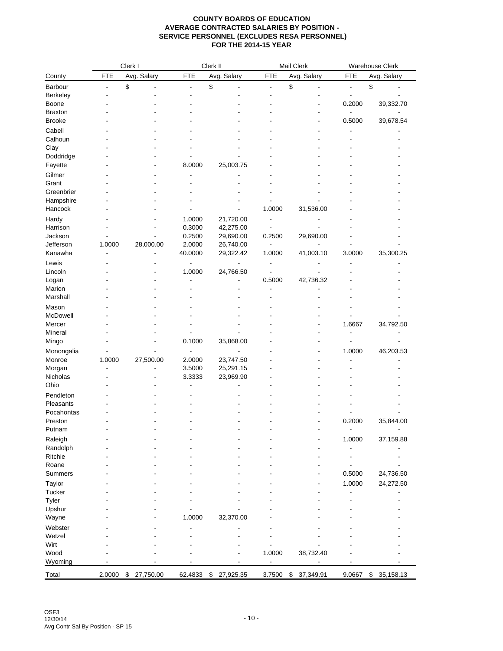|                   |            | Clerk I         |                   | Clerk II               |                          | Mail Clerk      |                          | Warehouse Clerk          |  |
|-------------------|------------|-----------------|-------------------|------------------------|--------------------------|-----------------|--------------------------|--------------------------|--|
| County            | <b>FTE</b> | Avg. Salary     | <b>FTE</b>        | Avg. Salary            | <b>FTE</b>               | Avg. Salary     | <b>FTE</b>               | Avg. Salary              |  |
| Barbour           | ÷,         | \$              | $\blacksquare$    | \$                     | $\overline{a}$           | \$              | $\blacksquare$           | \$                       |  |
| Berkeley          |            |                 |                   |                        |                          |                 |                          |                          |  |
| Boone             |            |                 |                   |                        |                          |                 | 0.2000                   | 39,332.70                |  |
| <b>Braxton</b>    |            |                 |                   |                        |                          |                 |                          |                          |  |
| <b>Brooke</b>     |            |                 |                   |                        |                          |                 | 0.5000                   | 39,678.54                |  |
| Cabell            |            |                 |                   |                        |                          |                 |                          |                          |  |
| Calhoun           |            |                 |                   |                        |                          |                 |                          |                          |  |
| Clay              |            |                 |                   |                        |                          |                 |                          |                          |  |
| Doddridge         |            |                 |                   |                        |                          |                 |                          |                          |  |
| Fayette           |            |                 | 8.0000            | 25,003.75              |                          |                 |                          |                          |  |
| Gilmer            |            |                 |                   |                        |                          |                 |                          |                          |  |
| Grant             |            |                 |                   |                        |                          |                 |                          |                          |  |
| Greenbrier        |            |                 |                   |                        |                          |                 |                          |                          |  |
| Hampshire         |            |                 |                   |                        |                          |                 |                          |                          |  |
| Hancock           |            |                 |                   |                        | 1.0000                   | 31,536.00       |                          |                          |  |
|                   |            |                 | 1.0000            |                        |                          |                 |                          |                          |  |
| Hardy<br>Harrison |            |                 | 0.3000            | 21,720.00<br>42,275.00 | ٠                        |                 |                          |                          |  |
| Jackson           |            |                 | 0.2500            | 29,690.00              | 0.2500                   | 29,690.00       |                          |                          |  |
| Jefferson         | 1.0000     |                 |                   |                        | $\overline{\phantom{a}}$ |                 |                          |                          |  |
| Kanawha           |            | 28,000.00       | 2.0000<br>40.0000 | 26,740.00<br>29,322.42 | 1.0000                   | 41,003.10       | 3.0000                   | 35,300.25                |  |
|                   |            |                 |                   |                        |                          |                 |                          |                          |  |
| Lewis             |            |                 |                   |                        |                          |                 |                          |                          |  |
| Lincoln           |            |                 | 1.0000            | 24,766.50              |                          |                 |                          |                          |  |
| Logan             |            |                 |                   |                        | 0.5000                   | 42,736.32       |                          |                          |  |
| Marion            |            |                 |                   |                        |                          |                 |                          |                          |  |
| Marshall          |            |                 |                   |                        |                          |                 |                          |                          |  |
| Mason             |            |                 |                   |                        |                          |                 |                          |                          |  |
| McDowell          |            |                 |                   |                        |                          |                 |                          |                          |  |
| Mercer            |            |                 |                   |                        |                          |                 | 1.6667                   | 34,792.50                |  |
| Mineral           |            |                 |                   |                        |                          |                 |                          |                          |  |
| Mingo             |            |                 | 0.1000            | 35,868.00              |                          |                 |                          |                          |  |
| Monongalia        |            |                 |                   |                        |                          |                 | 1.0000                   | 46,203.53                |  |
| Monroe            | 1.0000     | 27,500.00       | 2.0000            | 23,747.50              |                          |                 |                          |                          |  |
| Morgan            |            |                 | 3.5000            | 25,291.15              |                          |                 |                          |                          |  |
| Nicholas          |            |                 | 3.3333            | 23,969.90              |                          |                 |                          |                          |  |
| Ohio              |            |                 |                   |                        |                          |                 |                          |                          |  |
| Pendleton         |            |                 |                   |                        |                          |                 |                          |                          |  |
| Pleasants         |            |                 |                   |                        |                          |                 |                          |                          |  |
| Pocahontas        |            |                 |                   |                        |                          |                 |                          |                          |  |
| Preston           |            |                 |                   |                        |                          |                 | 0.2000                   | 35,844.00                |  |
| Putnam            |            |                 |                   |                        |                          |                 | $\overline{\phantom{a}}$ | $\overline{\phantom{a}}$ |  |
| Raleigh           |            |                 |                   |                        |                          |                 | 1.0000                   | 37,159.88                |  |
| Randolph          |            |                 |                   |                        |                          |                 |                          |                          |  |
| Ritchie           |            |                 |                   |                        |                          |                 | ٠                        |                          |  |
| Roane             |            |                 |                   |                        |                          |                 |                          |                          |  |
| <b>Summers</b>    |            |                 |                   |                        |                          |                 | 0.5000                   | 24,736.50                |  |
| Taylor            |            |                 |                   |                        |                          |                 | 1.0000                   | 24,272.50                |  |
| Tucker            |            |                 |                   |                        |                          |                 |                          |                          |  |
| Tyler             |            |                 |                   |                        |                          |                 |                          |                          |  |
| Upshur            |            |                 |                   |                        |                          |                 |                          |                          |  |
| Wayne             |            |                 | 1.0000            | 32,370.00              |                          |                 |                          |                          |  |
|                   |            |                 |                   |                        |                          |                 |                          |                          |  |
| Webster           |            |                 |                   |                        |                          |                 |                          |                          |  |
| Wetzel            |            |                 |                   |                        |                          |                 |                          |                          |  |
| Wirt              |            |                 |                   |                        |                          |                 |                          |                          |  |
| Wood              |            |                 |                   |                        | 1.0000                   | 38,732.40       |                          |                          |  |
| Wyoming           |            |                 |                   |                        |                          |                 |                          |                          |  |
| Total             | 2.0000     | \$<br>27,750.00 | 62.4833           | \$<br>27,925.35        | 3.7500                   | \$<br>37,349.91 | 9.0667                   | \$35,158.13              |  |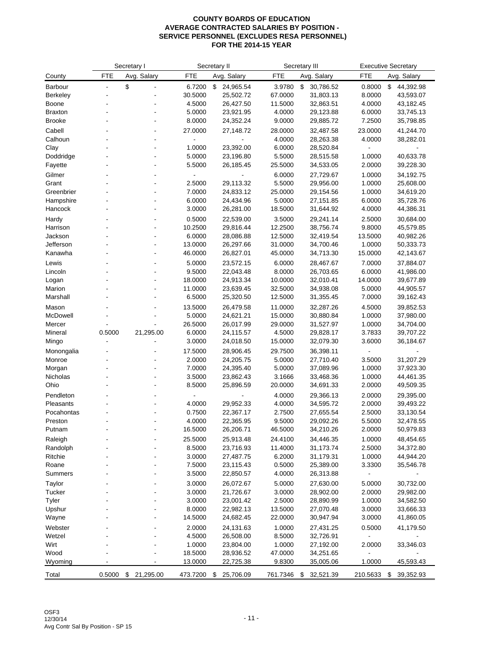| <b>FTE</b><br><b>FTE</b><br><b>FTE</b><br><b>FTE</b><br>Avg. Salary<br>Avg. Salary<br>Avg. Salary<br>Avg. Salary<br>County<br>\$<br>3.9780<br>\$<br>0.8000<br>Barbour<br>6.7200<br>\$<br>24,965.54<br>30,786.52<br>\$<br>44,392.98<br>30.5000<br>25,502.72<br>67.0000<br>31,803.13<br>8.0000<br>Berkeley<br>43,593.07<br>4.5000<br>26,427.50<br>11.5000<br>4.0000<br>Boone<br>32,863.51<br>43,182.45<br>5.0000<br>23,921.95<br>4.0000<br>6.0000<br>33,745.13<br><b>Braxton</b><br>29,123.88<br>7.2500<br>Brooke<br>8.0000<br>24,352.24<br>9.0000<br>29,885.72<br>35,798.85<br>Cabell<br>27.0000<br>27,148.72<br>23.0000<br>41,244.70<br>28.0000<br>32,487.58<br>Calhoun<br>4.0000<br>4.0000<br>28,263.38<br>38,282.01<br>$\overline{\phantom{a}}$<br>Clay<br>1.0000<br>23,392.00<br>6.0000<br>28,520.84<br>Doddridge<br>5.0000<br>23,196.80<br>5.5000<br>1.0000<br>40,633.78<br>28,515.58<br>٠<br>5.5000<br>2.0000<br>Fayette<br>26,185.45<br>25.5000<br>34,533.05<br>39,228.30<br>6.0000<br>27,729.67<br>1.0000<br>34,192.75<br>Gilmer<br>29,113.32<br>Grant<br>2.5000<br>5.5000<br>29,956.00<br>1.0000<br>25,608.00<br>Greenbrier<br>7.0000<br>24,833.12<br>25.0000<br>1.0000<br>34,619.20<br>29,154.56<br>6.0000<br>24,434.96<br>5.0000<br>6.0000<br>35,728.76<br>Hampshire<br>27,151.85<br>3.0000<br>26,281.00<br>4.0000<br>Hancock<br>18.5000<br>31,644.92<br>44,386.31<br>0.5000<br>22,539.00<br>29,241.14<br>2.5000<br>30,684.00<br>Hardy<br>3.5000<br>$\overline{a}$<br>10.2500<br>29,816.44<br>12.2500<br>38,756.74<br>9.8000<br>45,579.85 |          | Secretary I | Secretary II | Secretary III | <b>Executive Secretary</b> |
|-----------------------------------------------------------------------------------------------------------------------------------------------------------------------------------------------------------------------------------------------------------------------------------------------------------------------------------------------------------------------------------------------------------------------------------------------------------------------------------------------------------------------------------------------------------------------------------------------------------------------------------------------------------------------------------------------------------------------------------------------------------------------------------------------------------------------------------------------------------------------------------------------------------------------------------------------------------------------------------------------------------------------------------------------------------------------------------------------------------------------------------------------------------------------------------------------------------------------------------------------------------------------------------------------------------------------------------------------------------------------------------------------------------------------------------------------------------------------------------------------------------------------------------------------------|----------|-------------|--------------|---------------|----------------------------|
|                                                                                                                                                                                                                                                                                                                                                                                                                                                                                                                                                                                                                                                                                                                                                                                                                                                                                                                                                                                                                                                                                                                                                                                                                                                                                                                                                                                                                                                                                                                                                     |          |             |              |               |                            |
|                                                                                                                                                                                                                                                                                                                                                                                                                                                                                                                                                                                                                                                                                                                                                                                                                                                                                                                                                                                                                                                                                                                                                                                                                                                                                                                                                                                                                                                                                                                                                     |          |             |              |               |                            |
|                                                                                                                                                                                                                                                                                                                                                                                                                                                                                                                                                                                                                                                                                                                                                                                                                                                                                                                                                                                                                                                                                                                                                                                                                                                                                                                                                                                                                                                                                                                                                     |          |             |              |               |                            |
|                                                                                                                                                                                                                                                                                                                                                                                                                                                                                                                                                                                                                                                                                                                                                                                                                                                                                                                                                                                                                                                                                                                                                                                                                                                                                                                                                                                                                                                                                                                                                     |          |             |              |               |                            |
|                                                                                                                                                                                                                                                                                                                                                                                                                                                                                                                                                                                                                                                                                                                                                                                                                                                                                                                                                                                                                                                                                                                                                                                                                                                                                                                                                                                                                                                                                                                                                     |          |             |              |               |                            |
|                                                                                                                                                                                                                                                                                                                                                                                                                                                                                                                                                                                                                                                                                                                                                                                                                                                                                                                                                                                                                                                                                                                                                                                                                                                                                                                                                                                                                                                                                                                                                     |          |             |              |               |                            |
|                                                                                                                                                                                                                                                                                                                                                                                                                                                                                                                                                                                                                                                                                                                                                                                                                                                                                                                                                                                                                                                                                                                                                                                                                                                                                                                                                                                                                                                                                                                                                     |          |             |              |               |                            |
|                                                                                                                                                                                                                                                                                                                                                                                                                                                                                                                                                                                                                                                                                                                                                                                                                                                                                                                                                                                                                                                                                                                                                                                                                                                                                                                                                                                                                                                                                                                                                     |          |             |              |               |                            |
|                                                                                                                                                                                                                                                                                                                                                                                                                                                                                                                                                                                                                                                                                                                                                                                                                                                                                                                                                                                                                                                                                                                                                                                                                                                                                                                                                                                                                                                                                                                                                     |          |             |              |               |                            |
|                                                                                                                                                                                                                                                                                                                                                                                                                                                                                                                                                                                                                                                                                                                                                                                                                                                                                                                                                                                                                                                                                                                                                                                                                                                                                                                                                                                                                                                                                                                                                     |          |             |              |               |                            |
|                                                                                                                                                                                                                                                                                                                                                                                                                                                                                                                                                                                                                                                                                                                                                                                                                                                                                                                                                                                                                                                                                                                                                                                                                                                                                                                                                                                                                                                                                                                                                     |          |             |              |               |                            |
|                                                                                                                                                                                                                                                                                                                                                                                                                                                                                                                                                                                                                                                                                                                                                                                                                                                                                                                                                                                                                                                                                                                                                                                                                                                                                                                                                                                                                                                                                                                                                     |          |             |              |               |                            |
|                                                                                                                                                                                                                                                                                                                                                                                                                                                                                                                                                                                                                                                                                                                                                                                                                                                                                                                                                                                                                                                                                                                                                                                                                                                                                                                                                                                                                                                                                                                                                     |          |             |              |               |                            |
|                                                                                                                                                                                                                                                                                                                                                                                                                                                                                                                                                                                                                                                                                                                                                                                                                                                                                                                                                                                                                                                                                                                                                                                                                                                                                                                                                                                                                                                                                                                                                     |          |             |              |               |                            |
|                                                                                                                                                                                                                                                                                                                                                                                                                                                                                                                                                                                                                                                                                                                                                                                                                                                                                                                                                                                                                                                                                                                                                                                                                                                                                                                                                                                                                                                                                                                                                     |          |             |              |               |                            |
|                                                                                                                                                                                                                                                                                                                                                                                                                                                                                                                                                                                                                                                                                                                                                                                                                                                                                                                                                                                                                                                                                                                                                                                                                                                                                                                                                                                                                                                                                                                                                     |          |             |              |               |                            |
|                                                                                                                                                                                                                                                                                                                                                                                                                                                                                                                                                                                                                                                                                                                                                                                                                                                                                                                                                                                                                                                                                                                                                                                                                                                                                                                                                                                                                                                                                                                                                     |          |             |              |               |                            |
|                                                                                                                                                                                                                                                                                                                                                                                                                                                                                                                                                                                                                                                                                                                                                                                                                                                                                                                                                                                                                                                                                                                                                                                                                                                                                                                                                                                                                                                                                                                                                     | Harrison |             |              |               |                            |
| Jackson<br>6.0000<br>28,086.88<br>12.5000<br>13.5000<br>32,419.54<br>40,982.26<br>$\overline{\phantom{a}}$                                                                                                                                                                                                                                                                                                                                                                                                                                                                                                                                                                                                                                                                                                                                                                                                                                                                                                                                                                                                                                                                                                                                                                                                                                                                                                                                                                                                                                          |          |             |              |               |                            |
| Jefferson<br>13.0000<br>26,297.66<br>1.0000<br>31.0000<br>34,700.46<br>50,333.73<br>÷,                                                                                                                                                                                                                                                                                                                                                                                                                                                                                                                                                                                                                                                                                                                                                                                                                                                                                                                                                                                                                                                                                                                                                                                                                                                                                                                                                                                                                                                              |          |             |              |               |                            |
| 15.0000<br>Kanawha<br>46.0000<br>26,827.01<br>45.0000<br>34,713.30<br>42,143.67                                                                                                                                                                                                                                                                                                                                                                                                                                                                                                                                                                                                                                                                                                                                                                                                                                                                                                                                                                                                                                                                                                                                                                                                                                                                                                                                                                                                                                                                     |          |             |              |               |                            |
| Lewis<br>5.0000<br>23,572.15<br>6.0000<br>28,467.67<br>7.0000<br>37,884.07                                                                                                                                                                                                                                                                                                                                                                                                                                                                                                                                                                                                                                                                                                                                                                                                                                                                                                                                                                                                                                                                                                                                                                                                                                                                                                                                                                                                                                                                          |          |             |              |               |                            |
| Lincoln<br>9.5000<br>22,043.48<br>8.0000<br>26,703.65<br>6.0000<br>41,986.00                                                                                                                                                                                                                                                                                                                                                                                                                                                                                                                                                                                                                                                                                                                                                                                                                                                                                                                                                                                                                                                                                                                                                                                                                                                                                                                                                                                                                                                                        |          |             |              |               |                            |
| 18.0000<br>24,913.34<br>10.0000<br>14.0000<br>Logan<br>32,010.41<br>39,677.89<br>$\overline{\phantom{a}}$                                                                                                                                                                                                                                                                                                                                                                                                                                                                                                                                                                                                                                                                                                                                                                                                                                                                                                                                                                                                                                                                                                                                                                                                                                                                                                                                                                                                                                           |          |             |              |               |                            |
| Marion<br>11.0000<br>23,639.45<br>32.5000<br>34,938.08<br>5.0000<br>44,905.57                                                                                                                                                                                                                                                                                                                                                                                                                                                                                                                                                                                                                                                                                                                                                                                                                                                                                                                                                                                                                                                                                                                                                                                                                                                                                                                                                                                                                                                                       |          |             |              |               |                            |
| 6.5000<br>7.0000<br>Marshall<br>25,320.50<br>12.5000<br>31,355.45<br>39,162.43                                                                                                                                                                                                                                                                                                                                                                                                                                                                                                                                                                                                                                                                                                                                                                                                                                                                                                                                                                                                                                                                                                                                                                                                                                                                                                                                                                                                                                                                      |          |             |              |               |                            |
| 13.5000<br>26,479.58<br>4.5000<br>Mason<br>11.0000<br>32,287.26<br>39,852.53                                                                                                                                                                                                                                                                                                                                                                                                                                                                                                                                                                                                                                                                                                                                                                                                                                                                                                                                                                                                                                                                                                                                                                                                                                                                                                                                                                                                                                                                        |          |             |              |               |                            |
| McDowell<br>5.0000<br>24,621.21<br>1.0000<br>15.0000<br>30,880.84<br>37,980.00                                                                                                                                                                                                                                                                                                                                                                                                                                                                                                                                                                                                                                                                                                                                                                                                                                                                                                                                                                                                                                                                                                                                                                                                                                                                                                                                                                                                                                                                      |          |             |              |               |                            |
| 26.5000<br>29.0000<br>1.0000<br>34,704.00<br>Mercer<br>26,017.99<br>31,527.97                                                                                                                                                                                                                                                                                                                                                                                                                                                                                                                                                                                                                                                                                                                                                                                                                                                                                                                                                                                                                                                                                                                                                                                                                                                                                                                                                                                                                                                                       |          |             |              |               |                            |
| 0.5000<br>21,295.00<br>6.0000<br>3.7833<br>Mineral<br>24,115.57<br>4.5000<br>29,828.17<br>39,707.22<br>3.0000<br>3.6000<br>24,018.50<br>15.0000<br>32,079.30<br>36,184.67<br>Mingo                                                                                                                                                                                                                                                                                                                                                                                                                                                                                                                                                                                                                                                                                                                                                                                                                                                                                                                                                                                                                                                                                                                                                                                                                                                                                                                                                                  |          |             |              |               |                            |
| 17.5000<br>28,906.45<br>29.7500<br>36,398.11<br>Monongalia                                                                                                                                                                                                                                                                                                                                                                                                                                                                                                                                                                                                                                                                                                                                                                                                                                                                                                                                                                                                                                                                                                                                                                                                                                                                                                                                                                                                                                                                                          |          |             |              |               |                            |
| 2.0000<br>24,205.75<br>5.0000<br>27,710.40<br>3.5000<br>31,207.29<br>Monroe                                                                                                                                                                                                                                                                                                                                                                                                                                                                                                                                                                                                                                                                                                                                                                                                                                                                                                                                                                                                                                                                                                                                                                                                                                                                                                                                                                                                                                                                         |          |             |              |               |                            |
| 7.0000<br>24,395.40<br>5.0000<br>1.0000<br>37,923.30<br>Morgan<br>37,089.96                                                                                                                                                                                                                                                                                                                                                                                                                                                                                                                                                                                                                                                                                                                                                                                                                                                                                                                                                                                                                                                                                                                                                                                                                                                                                                                                                                                                                                                                         |          |             |              |               |                            |
| Nicholas<br>3.5000<br>1.0000<br>23,862.43<br>3.1666<br>33,468.36<br>44,461.35<br>$\overline{a}$                                                                                                                                                                                                                                                                                                                                                                                                                                                                                                                                                                                                                                                                                                                                                                                                                                                                                                                                                                                                                                                                                                                                                                                                                                                                                                                                                                                                                                                     |          |             |              |               |                            |
| 25,896.59<br>Ohio<br>8.5000<br>20.0000<br>34,691.33<br>2.0000<br>49,509.35                                                                                                                                                                                                                                                                                                                                                                                                                                                                                                                                                                                                                                                                                                                                                                                                                                                                                                                                                                                                                                                                                                                                                                                                                                                                                                                                                                                                                                                                          |          |             |              |               |                            |
| Pendleton<br>4.0000<br>29,366.13<br>2.0000<br>29,395.00                                                                                                                                                                                                                                                                                                                                                                                                                                                                                                                                                                                                                                                                                                                                                                                                                                                                                                                                                                                                                                                                                                                                                                                                                                                                                                                                                                                                                                                                                             |          |             |              |               |                            |
| Pleasants<br>4.0000<br>29,952.33<br>4.0000<br>34,595.72<br>2.0000<br>39,493.22                                                                                                                                                                                                                                                                                                                                                                                                                                                                                                                                                                                                                                                                                                                                                                                                                                                                                                                                                                                                                                                                                                                                                                                                                                                                                                                                                                                                                                                                      |          |             |              |               |                            |
| 0.7500<br>22,367.17<br>2.5000<br>Pocahontas<br>2.7500<br>27,655.54<br>33,130.54                                                                                                                                                                                                                                                                                                                                                                                                                                                                                                                                                                                                                                                                                                                                                                                                                                                                                                                                                                                                                                                                                                                                                                                                                                                                                                                                                                                                                                                                     |          |             |              |               |                            |
| 4.0000<br>22,365.95<br>9.5000<br>5.5000<br>Preston<br>29,092.26<br>32,478.55                                                                                                                                                                                                                                                                                                                                                                                                                                                                                                                                                                                                                                                                                                                                                                                                                                                                                                                                                                                                                                                                                                                                                                                                                                                                                                                                                                                                                                                                        |          |             |              |               |                            |
| 16.5000<br>26,206.71<br>46.5000<br>34,210.26<br>2.0000<br>50,979.83<br>Putnam                                                                                                                                                                                                                                                                                                                                                                                                                                                                                                                                                                                                                                                                                                                                                                                                                                                                                                                                                                                                                                                                                                                                                                                                                                                                                                                                                                                                                                                                       |          |             |              |               |                            |
| 25.5000<br>25,913.48<br>24.4100<br>34,446.35<br>1.0000<br>48,454.65<br>Raleigh                                                                                                                                                                                                                                                                                                                                                                                                                                                                                                                                                                                                                                                                                                                                                                                                                                                                                                                                                                                                                                                                                                                                                                                                                                                                                                                                                                                                                                                                      |          |             |              |               |                            |
| Randolph<br>8.5000<br>23,716.93<br>11.4000<br>31,173.74<br>2.5000<br>34,372.80                                                                                                                                                                                                                                                                                                                                                                                                                                                                                                                                                                                                                                                                                                                                                                                                                                                                                                                                                                                                                                                                                                                                                                                                                                                                                                                                                                                                                                                                      |          |             |              |               |                            |
| Ritchie<br>3.0000<br>27,487.75<br>6.2000<br>31,179.31<br>1.0000<br>44,944.20                                                                                                                                                                                                                                                                                                                                                                                                                                                                                                                                                                                                                                                                                                                                                                                                                                                                                                                                                                                                                                                                                                                                                                                                                                                                                                                                                                                                                                                                        |          |             |              |               |                            |
| 7.5000<br>Roane<br>23,115.43<br>0.5000<br>25,389.00<br>3.3300<br>35,546.78                                                                                                                                                                                                                                                                                                                                                                                                                                                                                                                                                                                                                                                                                                                                                                                                                                                                                                                                                                                                                                                                                                                                                                                                                                                                                                                                                                                                                                                                          |          |             |              |               |                            |
| Summers<br>3.5000<br>22,850.57<br>4.0000<br>26,313.88<br>$\overline{\phantom{a}}$                                                                                                                                                                                                                                                                                                                                                                                                                                                                                                                                                                                                                                                                                                                                                                                                                                                                                                                                                                                                                                                                                                                                                                                                                                                                                                                                                                                                                                                                   |          |             |              |               |                            |
| 3.0000<br>26,072.67<br>5.0000<br>27,630.00<br>5.0000<br>Taylor<br>30,732.00                                                                                                                                                                                                                                                                                                                                                                                                                                                                                                                                                                                                                                                                                                                                                                                                                                                                                                                                                                                                                                                                                                                                                                                                                                                                                                                                                                                                                                                                         |          |             |              |               |                            |
| Tucker<br>3.0000<br>21,726.67<br>3.0000<br>2.0000<br>28,902.00<br>29,982.00                                                                                                                                                                                                                                                                                                                                                                                                                                                                                                                                                                                                                                                                                                                                                                                                                                                                                                                                                                                                                                                                                                                                                                                                                                                                                                                                                                                                                                                                         |          |             |              |               |                            |
| Tyler<br>3.0000<br>23,001.42<br>2.5000<br>28,890.99<br>1.0000<br>34,582.50                                                                                                                                                                                                                                                                                                                                                                                                                                                                                                                                                                                                                                                                                                                                                                                                                                                                                                                                                                                                                                                                                                                                                                                                                                                                                                                                                                                                                                                                          |          |             |              |               |                            |
| 8.0000<br>Upshur<br>22,982.13<br>13.5000<br>27,070.48<br>3.0000<br>33,666.33                                                                                                                                                                                                                                                                                                                                                                                                                                                                                                                                                                                                                                                                                                                                                                                                                                                                                                                                                                                                                                                                                                                                                                                                                                                                                                                                                                                                                                                                        |          |             |              |               |                            |
| 3.0000<br>Wayne<br>14.5000<br>24,682.45<br>22.0000<br>30,947.94<br>41,860.05                                                                                                                                                                                                                                                                                                                                                                                                                                                                                                                                                                                                                                                                                                                                                                                                                                                                                                                                                                                                                                                                                                                                                                                                                                                                                                                                                                                                                                                                        |          |             |              |               |                            |
| 2.0000<br>24,131.63<br>1.0000<br>0.5000<br>Webster<br>27,431.25<br>41,179.50                                                                                                                                                                                                                                                                                                                                                                                                                                                                                                                                                                                                                                                                                                                                                                                                                                                                                                                                                                                                                                                                                                                                                                                                                                                                                                                                                                                                                                                                        |          |             |              |               |                            |
| 4.5000<br>26,508.00<br>8.5000<br>32,726.91<br>Wetzel                                                                                                                                                                                                                                                                                                                                                                                                                                                                                                                                                                                                                                                                                                                                                                                                                                                                                                                                                                                                                                                                                                                                                                                                                                                                                                                                                                                                                                                                                                |          |             |              |               |                            |
| 1.0000<br>Wirt<br>23,804.00<br>1.0000<br>27,192.00<br>2.0000<br>33,346.03                                                                                                                                                                                                                                                                                                                                                                                                                                                                                                                                                                                                                                                                                                                                                                                                                                                                                                                                                                                                                                                                                                                                                                                                                                                                                                                                                                                                                                                                           |          |             |              |               |                            |
| 18.5000<br>47.0000<br>Wood<br>28,936.52<br>34,251.65                                                                                                                                                                                                                                                                                                                                                                                                                                                                                                                                                                                                                                                                                                                                                                                                                                                                                                                                                                                                                                                                                                                                                                                                                                                                                                                                                                                                                                                                                                |          |             |              |               |                            |
| 13.0000<br>9.8300<br>1.0000<br>45,593.43<br>Wyoming<br>22,725.38<br>35,005.06                                                                                                                                                                                                                                                                                                                                                                                                                                                                                                                                                                                                                                                                                                                                                                                                                                                                                                                                                                                                                                                                                                                                                                                                                                                                                                                                                                                                                                                                       |          |             |              |               |                            |
| Total<br>0.5000<br>\$<br>21,295.00<br>473.7200<br>\$<br>25,706.09<br>761.7346<br>32,521.39<br>210.5633<br>-\$<br>39,352.93<br>\$                                                                                                                                                                                                                                                                                                                                                                                                                                                                                                                                                                                                                                                                                                                                                                                                                                                                                                                                                                                                                                                                                                                                                                                                                                                                                                                                                                                                                    |          |             |              |               |                            |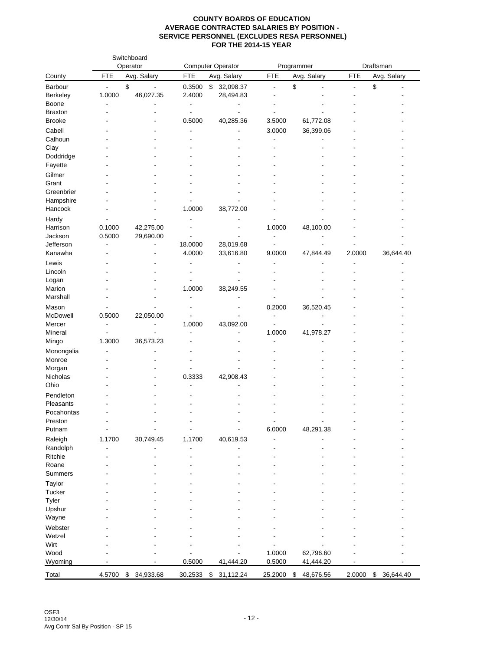|                 |               | Switchboard<br>Operator        |                          | <b>Computer Operator</b> |                | Programmer  |                | Draftsman       |
|-----------------|---------------|--------------------------------|--------------------------|--------------------------|----------------|-------------|----------------|-----------------|
| County          | <b>FTE</b>    | Avg. Salary                    | <b>FTE</b>               | Avg. Salary              | <b>FTE</b>     | Avg. Salary | <b>FTE</b>     | Avg. Salary     |
| Barbour         |               | \$<br>$\overline{\phantom{0}}$ | 0.3500                   | \$<br>32,098.37          | ÷,             | \$          | $\blacksquare$ | \$              |
| <b>Berkeley</b> | 1.0000        | 46,027.35                      | 2.4000                   | 28,494.83                |                |             |                |                 |
| Boone           | ÷             |                                | $\overline{\phantom{a}}$ | -                        |                |             |                |                 |
| <b>Braxton</b>  |               |                                |                          |                          |                |             |                |                 |
| <b>Brooke</b>   |               |                                | 0.5000                   | 40,285.36                | 3.5000         | 61,772.08   |                |                 |
| Cabell          |               |                                |                          |                          | 3.0000         | 36,399.06   |                |                 |
| Calhoun         |               |                                |                          |                          |                |             |                |                 |
| Clay            |               |                                |                          |                          |                |             |                |                 |
| Doddridge       |               |                                |                          |                          |                |             |                |                 |
| Fayette         |               |                                |                          |                          |                |             |                |                 |
| Gilmer          |               |                                |                          |                          |                |             |                |                 |
| Grant           |               |                                |                          |                          |                |             |                |                 |
| Greenbrier      |               |                                |                          |                          |                |             |                |                 |
| Hampshire       |               |                                |                          |                          |                |             |                |                 |
| Hancock         |               |                                | 1.0000                   | 38,772.00                |                |             |                |                 |
| Hardy           |               |                                |                          |                          |                |             |                |                 |
| Harrison        | 0.1000        | 42,275.00                      |                          |                          | 1.0000         | 48,100.00   |                |                 |
| Jackson         | 0.5000        | 29,690.00                      |                          |                          |                |             |                |                 |
| Jefferson       |               |                                | 18.0000                  | 28,019.68                |                |             |                |                 |
| Kanawha         |               |                                | 4.0000                   | 33,616.80                | 9.0000         | 47,844.49   | 2.0000         | 36,644.40       |
| Lewis           |               |                                |                          |                          |                |             |                |                 |
| Lincoln         |               |                                |                          |                          |                |             |                |                 |
| Logan           |               |                                |                          |                          |                |             |                |                 |
| Marion          |               |                                | 1.0000                   | 38,249.55                |                |             |                |                 |
| Marshall        |               |                                |                          |                          |                |             |                |                 |
| Mason           |               |                                |                          |                          | 0.2000         | 36,520.45   |                |                 |
| McDowell        | 0.5000        | 22,050.00                      |                          |                          | $\overline{a}$ |             |                |                 |
| Mercer          |               |                                | 1.0000                   | 43,092.00                |                |             |                |                 |
| Mineral         |               |                                |                          |                          | 1.0000         | 41,978.27   |                |                 |
| Mingo           | 1.3000        | 36,573.23                      |                          |                          |                |             |                |                 |
| Monongalia      |               |                                |                          |                          |                |             |                |                 |
| Monroe          |               |                                |                          |                          |                |             |                |                 |
| Morgan          |               |                                |                          |                          |                |             |                |                 |
| Nicholas        |               |                                | 0.3333                   | 42,908.43                |                |             |                |                 |
| Ohio            |               |                                |                          |                          |                |             |                |                 |
| Pendleton       |               |                                |                          |                          |                |             |                |                 |
| Pleasants       |               |                                |                          |                          |                |             |                |                 |
| Pocahontas      |               |                                |                          |                          |                |             |                |                 |
| Preston         |               |                                |                          |                          |                |             |                |                 |
| Putnam          | $\frac{1}{2}$ | $\overline{a}$                 | $\blacksquare$           | $\overline{\phantom{a}}$ | 6.0000         | 48,291.38   |                |                 |
| Raleigh         | 1.1700        | 30,749.45                      | 1.1700                   | 40,619.53                |                |             |                |                 |
| Randolph        |               |                                |                          |                          |                |             |                |                 |
| Ritchie         |               |                                |                          |                          |                |             |                |                 |
| Roane           |               |                                |                          |                          |                |             |                |                 |
| <b>Summers</b>  |               |                                |                          |                          |                |             |                |                 |
| Taylor          |               |                                |                          |                          |                |             |                |                 |
| Tucker          |               |                                |                          |                          |                |             |                |                 |
| Tyler           |               |                                |                          |                          |                |             |                |                 |
| Upshur          |               |                                |                          |                          |                |             |                |                 |
| Wayne           |               |                                |                          |                          |                |             |                |                 |
| Webster         |               |                                |                          |                          |                |             |                |                 |
| Wetzel          |               |                                |                          |                          |                |             |                |                 |
| Wirt            |               |                                |                          |                          |                |             |                |                 |
| Wood            |               |                                |                          |                          | 1.0000         | 62,796.60   |                |                 |
| Wyoming         |               |                                | 0.5000                   | 41,444.20                | 0.5000         | 41,444.20   |                |                 |
|                 |               |                                |                          |                          |                |             |                |                 |
| Total           | 4.5700        | \$<br>34,933.68                | 30.2533                  | \$<br>31,112.24          | 25.2000        | \$48,676.56 | 2.0000         | \$<br>36,644.40 |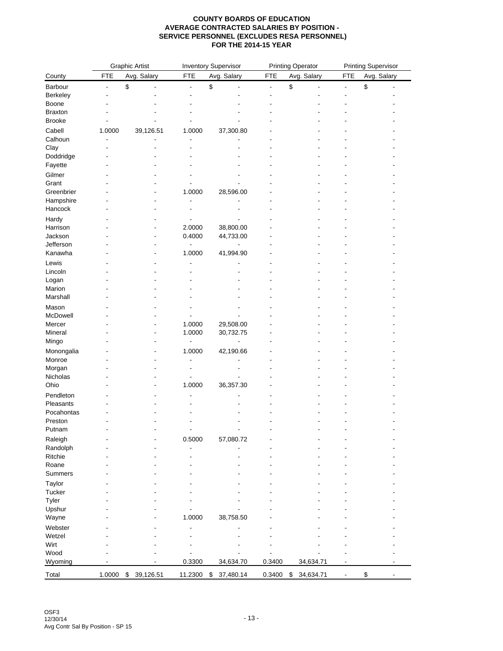|                        | <b>Graphic Artist</b> |                 | <b>Inventory Supervisor</b> |                                |                          | <b>Printing Operator</b> | <b>Printing Supervisor</b> |             |  |
|------------------------|-----------------------|-----------------|-----------------------------|--------------------------------|--------------------------|--------------------------|----------------------------|-------------|--|
| County                 | <b>FTE</b>            | Avg. Salary     | <b>FTE</b>                  | Avg. Salary                    | <b>FTE</b>               | Avg. Salary              | <b>FTE</b>                 | Avg. Salary |  |
| Barbour                | ٠                     | \$              | $\blacksquare$              | \$<br>$\overline{\phantom{a}}$ | $\overline{\phantom{a}}$ | \$                       | $\overline{\phantom{a}}$   | \$<br>٠     |  |
| Berkeley               |                       |                 |                             |                                |                          |                          |                            |             |  |
| Boone                  |                       |                 |                             |                                |                          |                          |                            |             |  |
| <b>Braxton</b>         |                       |                 |                             |                                |                          |                          |                            |             |  |
| <b>Brooke</b>          |                       |                 |                             |                                |                          |                          |                            |             |  |
| Cabell                 | 1.0000                | 39,126.51       | 1.0000                      | 37,300.80                      |                          |                          |                            |             |  |
| Calhoun                |                       |                 |                             |                                |                          |                          |                            |             |  |
| Clay                   |                       |                 |                             |                                |                          |                          |                            |             |  |
| Doddridge              |                       |                 |                             |                                |                          |                          |                            |             |  |
| Fayette                |                       |                 |                             |                                |                          |                          |                            |             |  |
| Gilmer                 |                       |                 |                             |                                |                          |                          |                            |             |  |
| Grant                  |                       |                 |                             |                                |                          |                          |                            |             |  |
| Greenbrier             |                       |                 | 1.0000                      | 28,596.00                      |                          |                          |                            |             |  |
| Hampshire              |                       |                 |                             |                                |                          |                          |                            |             |  |
| Hancock                |                       |                 |                             |                                |                          |                          |                            |             |  |
| Hardy                  |                       |                 |                             |                                |                          |                          |                            |             |  |
| Harrison               |                       |                 | 2.0000                      | 38,800.00                      |                          |                          |                            |             |  |
| Jackson                |                       |                 | 0.4000                      | 44,733.00                      |                          |                          |                            |             |  |
| Jefferson              |                       |                 |                             |                                |                          |                          |                            |             |  |
| Kanawha                |                       |                 | 1.0000                      | 41,994.90                      |                          |                          |                            |             |  |
| Lewis                  |                       |                 |                             |                                |                          |                          |                            |             |  |
| Lincoln                |                       |                 |                             |                                |                          |                          |                            |             |  |
| Logan                  |                       |                 |                             |                                |                          |                          |                            |             |  |
| Marion                 |                       |                 |                             |                                |                          |                          |                            |             |  |
| Marshall               |                       |                 |                             |                                |                          |                          |                            |             |  |
| Mason                  |                       |                 |                             |                                |                          |                          |                            |             |  |
| McDowell               |                       |                 |                             |                                |                          |                          |                            |             |  |
| Mercer                 |                       |                 | 1.0000                      | 29,508.00                      |                          |                          |                            |             |  |
| Mineral                |                       |                 | 1.0000                      | 30,732.75                      |                          |                          |                            |             |  |
| Mingo                  |                       |                 |                             |                                |                          |                          |                            |             |  |
| Monongalia             |                       |                 | 1.0000                      | 42,190.66                      |                          |                          |                            |             |  |
| Monroe                 |                       |                 |                             |                                |                          |                          |                            |             |  |
| Morgan                 |                       |                 |                             |                                |                          |                          |                            |             |  |
| Nicholas               |                       |                 |                             |                                |                          |                          |                            |             |  |
| Ohio                   |                       |                 | 1.0000                      | 36,357.30                      |                          |                          |                            |             |  |
| Pendleton              |                       |                 |                             |                                |                          |                          |                            |             |  |
| Pleasants              |                       |                 |                             |                                |                          |                          |                            |             |  |
| Pocahontas             |                       |                 |                             |                                |                          |                          |                            |             |  |
| Preston                |                       |                 |                             |                                |                          |                          |                            |             |  |
| Putnam                 |                       |                 |                             |                                |                          |                          |                            |             |  |
| Raleigh                |                       |                 | 0.5000                      | 57,080.72                      |                          |                          |                            |             |  |
| Randolph               |                       |                 |                             |                                |                          |                          |                            |             |  |
| Ritchie                |                       |                 |                             |                                |                          |                          |                            |             |  |
| Roane<br>Summers       |                       |                 |                             |                                |                          |                          |                            |             |  |
|                        |                       |                 |                             |                                |                          |                          |                            |             |  |
| Taylor                 |                       |                 |                             |                                |                          |                          |                            |             |  |
| Tucker                 |                       |                 |                             |                                |                          |                          |                            |             |  |
| <b>Tyler</b><br>Upshur |                       |                 |                             |                                |                          |                          |                            |             |  |
| Wayne                  |                       |                 | 1.0000                      | 38,758.50                      |                          |                          |                            |             |  |
|                        |                       |                 |                             |                                |                          |                          |                            |             |  |
| Webster                |                       |                 |                             |                                |                          |                          |                            |             |  |
| Wetzel                 |                       |                 |                             |                                |                          |                          |                            |             |  |
| Wirt<br>Wood           |                       |                 |                             |                                |                          |                          |                            |             |  |
| Wyoming                |                       |                 | 0.3300                      | 34,634.70                      | 0.3400                   | 34,634.71                |                            |             |  |
|                        |                       |                 |                             |                                |                          |                          |                            |             |  |
| Total                  | 1.0000                | 39,126.51<br>\$ | 11.2300                     | 37,480.14<br>\$                | 0.3400                   | 34,634.71<br>\$          |                            | \$          |  |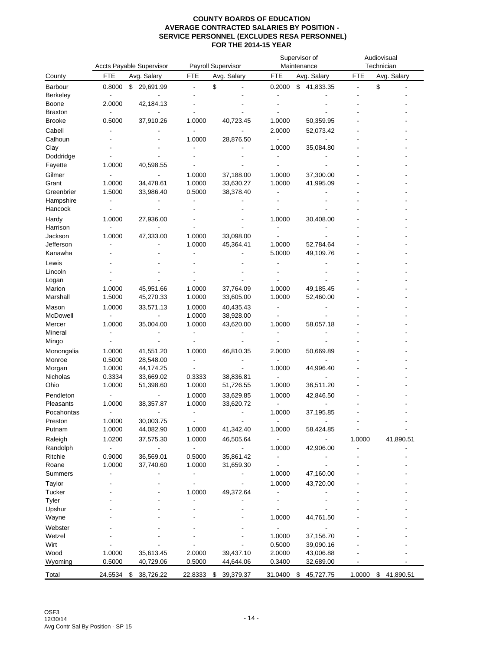|                      |                          | Accts Payable Supervisor |                  | Payroll Supervisor       |                          | Supervisor of<br>Maintenance | Audiovisual<br>Technician |                          |  |
|----------------------|--------------------------|--------------------------|------------------|--------------------------|--------------------------|------------------------------|---------------------------|--------------------------|--|
| County               | FTE                      | Avg. Salary              | FTE              | Avg. Salary              | FTE                      | Avg. Salary                  | FTE                       | Avg. Salary              |  |
| Barbour              | 0.8000                   | \$<br>29,691.99          | $\overline{a}$   | \$                       | 0.2000                   | \$<br>41,833.35              | $\overline{a}$            | \$                       |  |
| <b>Berkeley</b>      |                          |                          |                  |                          |                          |                              |                           |                          |  |
| Boone                | 2.0000                   | 42,184.13                |                  |                          |                          |                              |                           |                          |  |
| <b>Braxton</b>       |                          |                          |                  |                          |                          |                              |                           |                          |  |
| <b>Brooke</b>        | 0.5000                   | 37,910.26                | 1.0000           | 40,723.45                | 1.0000                   | 50,359.95                    |                           |                          |  |
| Cabell               |                          |                          |                  |                          | 2.0000                   | 52,073.42                    |                           |                          |  |
| Calhoun              |                          |                          | 1.0000           | 28,876.50                |                          |                              |                           |                          |  |
| Clay                 |                          |                          |                  |                          | 1.0000                   | 35,084.80                    |                           |                          |  |
| Doddridge            |                          |                          |                  |                          |                          |                              |                           |                          |  |
| Fayette              | 1.0000                   | 40,598.55                |                  |                          |                          |                              |                           |                          |  |
| Gilmer               |                          |                          | 1.0000           | 37,188.00                | 1.0000                   | 37,300.00                    |                           |                          |  |
| Grant                | 1.0000                   | 34,478.61                | 1.0000           | 33,630.27                | 1.0000                   | 41,995.09                    |                           |                          |  |
| Greenbrier           | 1.5000                   | 33,986.40                | 0.5000           | 38,378.40                |                          |                              |                           |                          |  |
| Hampshire            |                          |                          |                  |                          |                          |                              |                           |                          |  |
| Hancock              |                          |                          |                  |                          |                          |                              |                           |                          |  |
| Hardy                | 1.0000                   | 27,936.00                |                  |                          | 1.0000                   | 30,408.00                    |                           |                          |  |
| Harrison             |                          |                          |                  |                          |                          |                              |                           |                          |  |
| Jackson              | 1.0000                   | 47,333.00                | 1.0000           | 33,098.00                |                          | 52,784.64                    |                           |                          |  |
| Jefferson<br>Kanawha |                          |                          | 1.0000           | 45,364.41                | 1.0000                   |                              |                           |                          |  |
|                      |                          |                          |                  |                          | 5.0000                   | 49,109.76                    |                           |                          |  |
| Lewis                |                          |                          |                  |                          |                          |                              |                           |                          |  |
| Lincoln              |                          |                          |                  |                          |                          |                              |                           |                          |  |
| Logan<br>Marion      | 1.0000                   | 45,951.66                | 1.0000           |                          | 1.0000                   | 49,185.45                    |                           |                          |  |
| Marshall             | 1.5000                   | 45,270.33                | 1.0000           | 37,764.09<br>33,605.00   | 1.0000                   | 52,460.00                    |                           |                          |  |
|                      |                          |                          |                  |                          |                          |                              |                           |                          |  |
| Mason<br>McDowell    | 1.0000                   | 33,571.13                | 1.0000<br>1.0000 | 40,435.43                |                          |                              |                           |                          |  |
| Mercer               | 1.0000                   | 35,004.00                | 1.0000           | 38,928.00<br>43,620.00   | 1.0000                   | 58,057.18                    |                           |                          |  |
| Mineral              |                          |                          |                  |                          |                          |                              |                           |                          |  |
| Mingo                |                          |                          |                  |                          |                          |                              |                           |                          |  |
| Monongalia           | 1.0000                   | 41,551.20                | 1.0000           | 46,810.35                | 2.0000                   | 50,669.89                    |                           |                          |  |
| Monroe               | 0.5000                   | 28,548.00                |                  |                          | $\blacksquare$           |                              |                           |                          |  |
| Morgan               | 1.0000                   | 44,174.25                |                  |                          | 1.0000                   | 44,996.40                    |                           |                          |  |
| Nicholas             | 0.3334                   | 33,669.02                | 0.3333           | 38,836.81                |                          |                              |                           |                          |  |
| Ohio                 | 1.0000                   | 51,398.60                | 1.0000           | 51,726.55                | 1.0000                   | 36,511.20                    |                           |                          |  |
| Pendleton            |                          |                          | 1.0000           | 33,629.85                | 1.0000                   | 42,846.50                    |                           |                          |  |
| Pleasants            | 1.0000                   | 38,357.87                | 1.0000           | 33,620.72                |                          |                              |                           |                          |  |
| Pocahontas           | $\overline{a}$           |                          | ٠                |                          | 1.0000                   | 37,195.85                    |                           |                          |  |
| Preston              | 1.0000                   | 30,003.75                |                  |                          |                          |                              |                           |                          |  |
| Putnam               | 1.0000                   | 44,082.90                | 1.0000           | 41,342.40                | 1.0000                   | 58,424.85                    | $\overline{\phantom{a}}$  | $\overline{\phantom{a}}$ |  |
| Raleigh              | 1.0200                   | 37,575.30                | 1.0000           | 46,505.64                |                          |                              | 1.0000                    | 41,890.51                |  |
| Randolph             | $\overline{\phantom{a}}$ | $\frac{1}{2}$            | $\blacksquare$   | $\overline{\phantom{a}}$ | 1.0000                   | 42,906.00                    |                           |                          |  |
| Ritchie              | 0.9000                   | 36,569.01                | 0.5000           | 35,861.42                | $\overline{\phantom{a}}$ | $\overline{\phantom{a}}$     |                           |                          |  |
| Roane                | 1.0000                   | 37,740.60                | 1.0000           | 31,659.30                |                          |                              |                           |                          |  |
| Summers              |                          |                          | $\overline{a}$   |                          | 1.0000                   | 47,160.00                    |                           |                          |  |
| Taylor               |                          |                          | ٠                |                          | 1.0000                   | 43,720.00                    |                           |                          |  |
| Tucker               |                          |                          | 1.0000           | 49,372.64                | $\blacksquare$           |                              |                           |                          |  |
| Tyler                |                          |                          | ٠                |                          | $\overline{\phantom{a}}$ |                              |                           |                          |  |
| Upshur               |                          |                          |                  |                          |                          |                              |                           |                          |  |
| Wayne                |                          |                          |                  |                          | 1.0000                   | 44,761.50                    |                           |                          |  |
| Webster              |                          |                          |                  |                          | $\blacksquare$           | $\overline{a}$               |                           |                          |  |
| Wetzel               |                          |                          |                  |                          | 1.0000                   | 37,156.70                    |                           |                          |  |
| Wirt                 |                          |                          |                  |                          | 0.5000                   | 39,090.16                    |                           |                          |  |
| Wood                 | 1.0000                   | 35,613.45                | 2.0000           | 39,437.10                | 2.0000                   | 43,006.88                    |                           |                          |  |
| Wyoming              | 0.5000                   | 40,729.06                | 0.5000           | 44,644.06                | 0.3400                   | 32,689.00                    |                           |                          |  |
| Total                | 24.5534                  | 38,726.22<br>\$          | 22.8333          | \$<br>39,379.37          | 31.0400                  | 45,727.75<br>\$              | 1.0000                    | 41,890.51<br>\$          |  |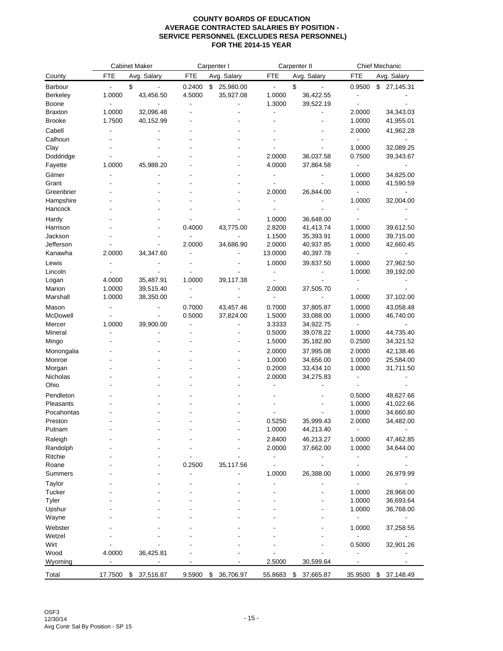|                 |                | <b>Cabinet Maker</b> |            | Carpenter I     |                | Carpenter II    |            | Chief Mechanic  |
|-----------------|----------------|----------------------|------------|-----------------|----------------|-----------------|------------|-----------------|
| County          | <b>FTE</b>     | Avg. Salary          | <b>FTE</b> | Avg. Salary     | <b>FTE</b>     | Avg. Salary     | <b>FTE</b> | Avg. Salary     |
| <b>Barbour</b>  | $\blacksquare$ | \$                   | 0.2400     | \$<br>25,980.00 | $\blacksquare$ | \$              | 0.9500     | \$27,145.31     |
| <b>Berkeley</b> | 1.0000         | 43,456.50            | 4.5000     | 35,927.08       | 1.0000         | 36,422.55       |            |                 |
| Boone           |                |                      |            |                 | 1.3000         | 39,522.19       |            |                 |
| <b>Braxton</b>  | 1.0000         | 32,096.48            |            |                 |                |                 | 2.0000     | 34,343.03       |
| <b>Brooke</b>   | 1.7500         | 40,152.99            |            |                 |                |                 | 1.0000     | 41,955.01       |
| Cabell          |                |                      |            |                 |                |                 | 2.0000     | 41,962.28       |
| Calhoun         |                |                      |            |                 |                |                 |            |                 |
| Clay            |                |                      |            |                 |                |                 | 1.0000     | 32,089.25       |
| Doddridge       |                |                      |            |                 | 2.0000         | 36,037.58       | 0.7500     | 39,343.67       |
| Fayette         | 1.0000         | 45,988.20            |            |                 | 4.0000         | 37,864.58       |            |                 |
| Gilmer          |                |                      |            |                 |                |                 | 1.0000     | 34,825.00       |
| Grant           |                |                      |            |                 |                |                 | 1.0000     | 41,590.59       |
| Greenbrier      |                |                      |            |                 | 2.0000         | 26,844.00       |            |                 |
| Hampshire       |                |                      |            |                 |                |                 | 1.0000     | 32,004.00       |
| Hancock         |                |                      |            |                 |                |                 |            |                 |
| Hardy           |                |                      |            |                 | 1.0000         | 36,648.00       |            |                 |
| Harrison        |                |                      | 0.4000     | 43,775.00       | 2.8200         | 41,413.74       | 1.0000     | 39,612.50       |
| Jackson         |                |                      |            |                 | 1.1500         | 35,393.91       | 1.0000     | 39,715.00       |
| Jefferson       |                |                      | 2.0000     | 34,686.90       | 2.0000         | 40,937.85       | 1.0000     | 42,660.45       |
| Kanawha         | 2.0000         | 34,347.60            |            |                 | 13.0000        | 40,397.78       |            |                 |
| Lewis           |                |                      |            |                 | 1.0000         | 39,837.50       | 1.0000     | 27,962.50       |
| Lincoln         |                |                      |            |                 | ÷,             |                 | 1.0000     | 39,192.00       |
| Logan           | 4.0000         | 35,487.91            | 1.0000     | 39,117.38       |                |                 |            |                 |
| Marion          | 1.0000         | 39,515.40            |            |                 | 2.0000         | 37,505.70       |            |                 |
| Marshall        | 1.0000         | 38,350.00            |            |                 |                |                 | 1.0000     | 37,102.00       |
| Mason           |                |                      | 0.7000     | 43,457.46       | 0.7000         | 37,805.87       | 1.0000     | 43,058.48       |
| McDowell        |                | ٠                    | 0.5000     | 37,824.00       | 1.5000         | 33,088.00       | 1.0000     | 46,740.00       |
| Mercer          | 1.0000         | 39,900.00            |            |                 | 3.3333         | 34,922.75       |            |                 |
| Mineral         |                |                      |            |                 | 0.5000         | 39,078.22       | 1.0000     | 44,735.40       |
| Mingo           |                |                      |            |                 | 1.5000         | 35,182.80       | 0.2500     | 34,321.52       |
| Monongalia      |                |                      |            |                 | 2.0000         | 37,995.08       | 2.0000     | 42,138.46       |
| Monroe          |                |                      |            |                 | 1.0000         | 34,656.00       | 1.0000     | 25,584.00       |
| Morgan          |                |                      |            |                 | 0.2000         | 33,434.10       | 1.0000     | 31,711.50       |
| Nicholas        |                |                      |            |                 | 2.0000         | 34,275.83       |            |                 |
| Ohio            |                |                      |            |                 |                |                 |            |                 |
| Pendleton       |                |                      |            |                 |                |                 | 0.5000     | 48,627.66       |
| Pleasants       |                |                      |            |                 |                |                 | 1.0000     | 41,022.66       |
| Pocahontas      |                |                      |            |                 |                |                 | 1.0000     | 34,660.80       |
| Preston         |                |                      |            |                 | 0.5250         | 35,999.43       | 2.0000     | 34,482.00       |
| Putnam          |                |                      |            |                 | 1.0000         | 44,213.40       |            |                 |
| Raleigh         |                |                      |            |                 | 2.8400         | 46,213.27       | 1.0000     | 47,462.85       |
| Randolph        |                |                      |            |                 | 2.0000         | 37,662.00       | 1.0000     | 34,644.00       |
| Ritchie         |                |                      |            |                 |                |                 |            |                 |
| Roane           |                |                      | 0.2500     | 35,117.56       |                |                 |            |                 |
| Summers         |                |                      |            |                 | 1.0000         | 26,388.00       | 1.0000     | 26,979.99       |
| Taylor          |                |                      |            |                 |                |                 |            |                 |
| Tucker          |                |                      |            |                 |                |                 | 1.0000     | 28,968.00       |
| Tyler           |                |                      |            |                 |                |                 | 1.0000     | 36,693.64       |
| Upshur          |                |                      |            |                 |                |                 | 1.0000     | 36,768.00       |
| Wayne           |                |                      |            |                 |                |                 |            |                 |
| Webster         |                |                      |            |                 |                |                 | 1.0000     | 37,258.55       |
| Wetzel          |                |                      |            |                 |                |                 |            |                 |
| Wirt            |                |                      |            |                 |                |                 | 0.5000     | 32,901.26       |
| Wood            | 4.0000         | 36,425.81            |            |                 |                |                 |            |                 |
| Wyoming         |                |                      |            |                 | 2.5000         | 30,599.64       |            |                 |
| Total           | 17.7500        | 37,516.87<br>\$      | 9.5900     | \$<br>36,706.97 | 55.8683        | \$<br>37,665.87 | 35.9500    | \$<br>37,148.49 |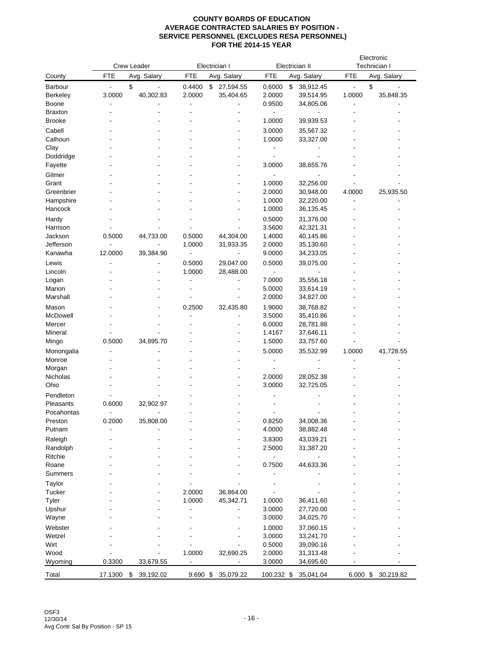|                                     |         | Crew Leader     | Electrician I                      |                                   | Electrician II             |                                           | Electronic<br>Technician I                           |                    |
|-------------------------------------|---------|-----------------|------------------------------------|-----------------------------------|----------------------------|-------------------------------------------|------------------------------------------------------|--------------------|
| County                              | FTE     | Avg. Salary     | <b>FTE</b>                         | Avg. Salary                       | <b>FTE</b>                 | Avg. Salary                               | FTE                                                  | Avg. Salary        |
| Barbour<br><b>Berkeley</b><br>Boone | 3.0000  | \$<br>40,302.83 | 0.4400<br>2.0000<br>$\blacksquare$ | \$<br>27,594.55<br>35,404.65<br>٠ | 0.6000<br>2.0000<br>0.9500 | \$<br>38,912.45<br>39,514.95<br>34,805.06 | $\blacksquare$<br>1.0000<br>$\overline{\phantom{a}}$ | \$<br>35,848.35    |
| <b>Braxton</b>                      |         |                 |                                    |                                   |                            |                                           |                                                      |                    |
| <b>Brooke</b>                       |         |                 |                                    |                                   | 1.0000                     | 39,939.53                                 |                                                      |                    |
| Cabell                              |         |                 |                                    |                                   | 3.0000                     | 35,567.32                                 |                                                      |                    |
| Calhoun                             |         |                 |                                    |                                   | 1.0000                     | 33,327.00                                 |                                                      |                    |
| Clay                                |         |                 |                                    |                                   | -                          |                                           |                                                      |                    |
| Doddridge                           |         |                 |                                    |                                   |                            |                                           |                                                      |                    |
| Fayette                             |         |                 |                                    |                                   | 3.0000                     | 38,655.76                                 |                                                      |                    |
| Gilmer                              |         |                 |                                    |                                   | $\overline{\phantom{a}}$   |                                           |                                                      |                    |
| Grant                               |         |                 |                                    |                                   | 1.0000                     | 32,256.00                                 |                                                      |                    |
| Greenbrier                          |         |                 |                                    |                                   | 2.0000                     | 30,948.00                                 | 4.0000                                               | 25,935.50          |
| Hampshire                           |         |                 |                                    |                                   | 1.0000                     | 32,220.00                                 |                                                      |                    |
| Hancock                             |         |                 |                                    |                                   | 1.0000                     | 36,135.45                                 |                                                      |                    |
| Hardy                               |         |                 |                                    |                                   | 0.5000                     | 31,376.00                                 |                                                      |                    |
| Harrison                            |         |                 |                                    |                                   | 3.5600                     | 42,321.31                                 |                                                      |                    |
| Jackson                             | 0.5000  | 44,733.00       | 0.5000                             | 44,304.00                         | 1.4000                     | 40,145.86                                 |                                                      |                    |
| Jefferson                           |         |                 | 1.0000                             | 31,933.35                         | 2.0000                     | 35,130.60                                 |                                                      |                    |
| Kanawha                             | 12.0000 | 39,384.90       | $\blacksquare$                     | $\blacksquare$                    | 9.0000                     | 34,233.05                                 |                                                      |                    |
| Lewis                               |         |                 | 0.5000                             | 29,047.00                         | 0.5000                     | 39,075.00                                 |                                                      |                    |
| Lincoln                             |         |                 | 1.0000                             | 28,488.00                         | $\overline{\phantom{a}}$   | $\overline{\phantom{a}}$                  |                                                      |                    |
| Logan                               |         |                 | $\blacksquare$                     | ä,                                | 7.0000                     | 35,556.18                                 |                                                      |                    |
| Marion                              |         |                 |                                    |                                   | 5.0000                     | 33,614.19                                 |                                                      |                    |
| Marshall                            |         |                 |                                    |                                   | 2.0000                     | 34,827.00                                 |                                                      |                    |
| Mason                               |         |                 | 0.2500                             | 32,435.80                         | 1.9000                     | 38,768.82                                 |                                                      |                    |
| McDowell                            |         |                 | ÷.                                 |                                   | 3.5000                     | 35,410.86                                 |                                                      |                    |
| Mercer                              |         |                 |                                    |                                   | 6.0000                     | 28,781.88                                 |                                                      |                    |
| Mineral                             |         |                 |                                    |                                   | 1.4167                     | 37,646.11                                 |                                                      |                    |
| Mingo                               | 0.5000  | 34,895.70       |                                    |                                   | 1.5000                     | 33,757.60                                 |                                                      |                    |
| Monongalia                          |         |                 |                                    |                                   | 5.0000                     | 35,532.99                                 | 1.0000                                               | 41,728.55          |
| Monroe                              |         |                 |                                    |                                   | -                          |                                           |                                                      |                    |
| Morgan                              |         |                 |                                    |                                   |                            |                                           |                                                      |                    |
| Nicholas                            |         |                 |                                    |                                   | 2.0000                     | 28,052.38                                 |                                                      |                    |
| Ohio                                |         |                 |                                    |                                   | 3.0000                     | 32,725.05                                 |                                                      |                    |
| Pendleton                           |         |                 |                                    |                                   |                            |                                           |                                                      |                    |
| Pleasants                           | 0.6000  | 32,902.97       |                                    |                                   |                            |                                           |                                                      |                    |
| Pocahontas                          |         |                 |                                    |                                   |                            |                                           |                                                      |                    |
| Preston<br>Putnam                   | 0.2000  | 35,808.00       |                                    |                                   | 0.8250<br>4.0000           | 34,008.36<br>38,882.48                    |                                                      |                    |
|                                     |         |                 |                                    |                                   |                            |                                           |                                                      |                    |
| Raleigh                             |         |                 |                                    |                                   | 3.8300                     | 43,039.21                                 |                                                      |                    |
| Randolph<br>Ritchie                 |         |                 |                                    |                                   | 2.5000<br>٠                | 31,387.20                                 |                                                      |                    |
| Roane                               |         |                 |                                    |                                   | 0.7500                     | 44,633.36                                 |                                                      |                    |
| Summers                             |         |                 |                                    |                                   |                            |                                           |                                                      |                    |
| Taylor                              |         |                 |                                    |                                   |                            |                                           |                                                      |                    |
| Tucker                              |         |                 | 2.0000                             | 36,864.00                         |                            |                                           |                                                      |                    |
| Tyler                               |         |                 | 1.0000                             | 45,342.71                         | 1.0000                     | 36,411.60                                 |                                                      |                    |
| Upshur                              |         |                 |                                    |                                   | 3.0000                     | 27,720.00                                 |                                                      |                    |
| Wayne                               |         |                 |                                    |                                   | 3.0000                     | 34,025.70                                 |                                                      |                    |
| Webster                             |         |                 |                                    |                                   | 1.0000                     | 37,060.15                                 |                                                      |                    |
| Wetzel                              |         |                 |                                    |                                   | 3.0000                     | 33,241.70                                 |                                                      |                    |
| Wirt                                |         |                 |                                    |                                   | 0.5000                     | 39,090.16                                 |                                                      |                    |
| Wood                                |         |                 | 1.0000                             | 32,690.25                         | 2.0000                     | 31,313.48                                 |                                                      |                    |
| Wyoming                             | 0.3300  | 33,679.55       | $\overline{\phantom{a}}$           | $\qquad \qquad \blacksquare$      | 3.0000                     | 34,695.60                                 |                                                      |                    |
| Total                               | 17.1300 | 39,192.02<br>\$ | $9.690$ \$                         | 35,079.22                         | 100.232 \$                 | 35,041.04                                 |                                                      | 6.000 \$ 30,219.82 |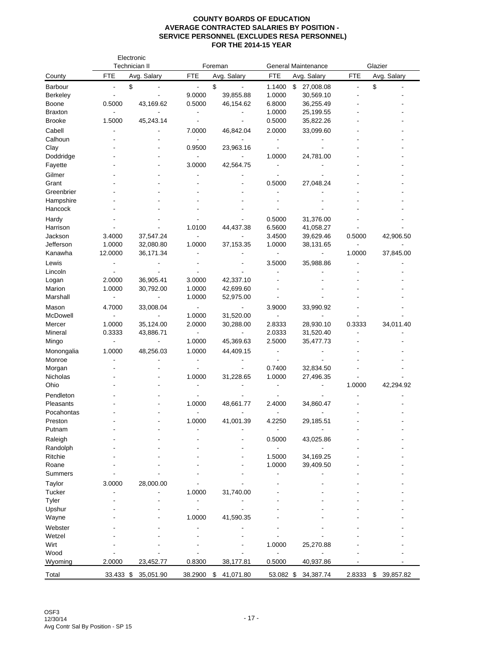|                 |                              | Electronic<br>Technician II |                          | Foreman         |                              | <b>General Maintenance</b> |                          | Glazier         |
|-----------------|------------------------------|-----------------------------|--------------------------|-----------------|------------------------------|----------------------------|--------------------------|-----------------|
| County          | <b>FTE</b>                   | Avg. Salary                 | FTE                      | Avg. Salary     | FTE                          | Avg. Salary                | FTE                      | Avg. Salary     |
| <b>Barbour</b>  | ÷,                           | \$                          | $\blacksquare$           | \$              | 1.1400                       | \$<br>27,008.08            | $\overline{\phantom{0}}$ | \$              |
| <b>Berkeley</b> | $\qquad \qquad \blacksquare$ |                             | 9.0000                   | 39,855.88       | 1.0000                       | 30,569.10                  |                          |                 |
| Boone           | 0.5000                       | 43,169.62                   | 0.5000                   | 46,154.62       | 6.8000                       | 36,255.49                  |                          |                 |
| <b>Braxton</b>  |                              | $\overline{\phantom{a}}$    | $\overline{\phantom{a}}$ |                 | 1.0000                       | 25,199.55                  |                          |                 |
| <b>Brooke</b>   | 1.5000                       | 45,243.14                   | $\overline{\phantom{a}}$ |                 | 0.5000                       | 35,822.26                  |                          |                 |
| Cabell          |                              |                             | 7.0000                   | 46,842.04       | 2.0000                       | 33,099.60                  |                          |                 |
| Calhoun         |                              |                             |                          |                 |                              |                            |                          |                 |
| Clay            |                              |                             | 0.9500                   | 23,963.16       |                              |                            |                          |                 |
| Doddridge       |                              |                             | $\blacksquare$           |                 | 1.0000                       | 24,781.00                  |                          |                 |
| Fayette         |                              |                             | 3.0000                   | 42,564.75       |                              |                            |                          |                 |
| Gilmer          |                              |                             |                          |                 |                              |                            |                          |                 |
| Grant           |                              |                             |                          |                 | 0.5000                       | 27,048.24                  |                          |                 |
| Greenbrier      |                              |                             |                          |                 |                              |                            |                          |                 |
| Hampshire       |                              |                             |                          |                 |                              |                            |                          |                 |
| Hancock         |                              |                             |                          |                 |                              |                            |                          |                 |
| Hardy           |                              |                             |                          |                 | 0.5000                       | 31,376.00                  |                          |                 |
| Harrison        |                              |                             | 1.0100                   | 44,437.38       | 6.5600                       | 41,058.27                  |                          |                 |
| Jackson         | 3.4000                       | 37,547.24                   |                          |                 | 3.4500                       | 39,629.46                  | 0.5000                   | 42,906.50       |
| Jefferson       | 1.0000                       | 32,080.80                   | 1.0000                   | 37,153.35       | 1.0000                       | 38,131.65                  | $\blacksquare$           |                 |
| Kanawha         | 12.0000                      | 36,171.34                   |                          |                 | $\qquad \qquad \blacksquare$ | $\overline{\phantom{a}}$   | 1.0000                   | 37,845.00       |
| Lewis           |                              |                             |                          |                 | 3.5000                       | 35,988.86                  |                          |                 |
| Lincoln         |                              |                             |                          |                 |                              |                            |                          |                 |
| Logan           | 2.0000                       | 36,905.41                   | 3.0000                   | 42,337.10       |                              |                            |                          |                 |
| Marion          | 1.0000                       | 30,792.00                   | 1.0000                   | 42,699.60       |                              |                            |                          |                 |
| Marshall        |                              |                             | 1.0000                   | 52,975.00       |                              |                            |                          |                 |
| Mason           | 4.7000                       | 33,008.04                   | $\overline{\phantom{a}}$ |                 | 3.9000                       | 33,990.92                  |                          |                 |
| McDowell        |                              |                             | 1.0000                   | 31,520.00       |                              |                            |                          |                 |
| Mercer          | 1.0000                       | 35,124.00                   | 2.0000                   | 30,288.00       | 2.8333                       | 28,930.10                  | 0.3333                   | 34,011.40       |
| Mineral         | 0.3333                       | 43,886.71                   | $\overline{\phantom{a}}$ |                 | 2.0333                       | 31,520.40                  |                          |                 |
| Mingo           | $\overline{\phantom{0}}$     | $\blacksquare$              | 1.0000                   | 45,369.63       | 2.5000                       | 35,477.73                  |                          |                 |
| Monongalia      | 1.0000                       | 48,256.03                   | 1.0000                   | 44,409.15       |                              |                            |                          |                 |
| Monroe          |                              |                             |                          |                 |                              |                            |                          |                 |
| Morgan          |                              |                             |                          |                 | 0.7400                       | 32,834.50                  |                          |                 |
| Nicholas        |                              |                             | 1.0000                   | 31,228.65       | 1.0000                       | 27,496.35                  |                          |                 |
| Ohio            |                              |                             |                          |                 |                              |                            | 1.0000                   | 42,294.92       |
| Pendleton       |                              |                             |                          |                 |                              |                            |                          |                 |
| Pleasants       |                              |                             | 1.0000                   | 48,661.77       | 2.4000                       | 34,860.47                  |                          |                 |
| Pocahontas      |                              |                             |                          |                 |                              |                            |                          |                 |
| Preston         |                              |                             | 1.0000                   | 41,001.39       | 4.2250                       | 29,185.51                  |                          |                 |
| Putnam          |                              |                             |                          |                 |                              |                            |                          |                 |
| Raleigh         |                              |                             |                          |                 | 0.5000                       | 43,025.86                  |                          |                 |
| Randolph        |                              |                             |                          |                 |                              |                            |                          |                 |
| Ritchie         |                              |                             |                          |                 | 1.5000                       | 34,169.25                  |                          |                 |
| Roane           |                              |                             |                          |                 | 1.0000                       | 39,409.50                  |                          |                 |
| Summers         |                              |                             |                          |                 |                              |                            |                          |                 |
| Taylor          | 3.0000                       | 28,000.00                   |                          |                 |                              |                            |                          |                 |
| Tucker          |                              |                             | 1.0000                   | 31,740.00       |                              |                            |                          |                 |
| Tyler           |                              |                             |                          |                 |                              |                            |                          |                 |
| Upshur          |                              |                             |                          |                 |                              |                            |                          |                 |
| Wayne           |                              |                             | 1.0000                   | 41,590.35       |                              |                            |                          |                 |
| Webster         |                              |                             |                          |                 |                              |                            |                          |                 |
| Wetzel          |                              |                             |                          |                 |                              |                            |                          |                 |
| Wirt            |                              |                             |                          |                 | 1.0000                       | 25,270.88                  |                          |                 |
| Wood            |                              |                             |                          |                 |                              |                            |                          |                 |
| Wyoming         | 2.0000                       | 23,452.77                   | 0.8300                   | 38,177.81       | 0.5000                       | 40,937.86                  |                          |                 |
| Total           | 33.433 \$                    | 35,051.90                   | 38.2900                  | \$<br>41,071.80 | 53.082 \$                    | 34,387.74                  | 2.8333                   | 39,857.82<br>\$ |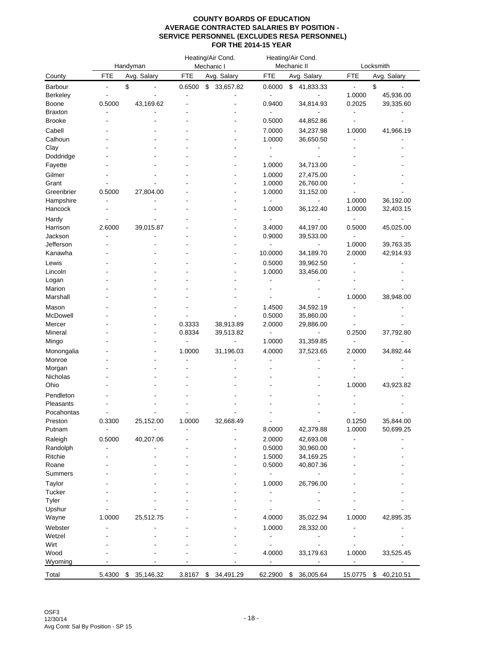|                      |              | Handyman    |                | Heating/Air Cond.<br>Mechanic I |                              | Heating/Air Cond.<br>Mechanic II |                  | Locksmith              |
|----------------------|--------------|-------------|----------------|---------------------------------|------------------------------|----------------------------------|------------------|------------------------|
| County               | FTE          | Avg. Salary | <b>FTE</b>     | Avg. Salary                     | <b>FTE</b>                   | Avg. Salary                      | FTE              | Avg. Salary            |
| Barbour              | \$<br>٠      |             | 0.6500         | \$<br>33,657.82                 | 0.6000                       | \$<br>41,833.33                  | $\frac{1}{2}$    | \$                     |
| <b>Berkeley</b>      |              |             |                |                                 | $\overline{\phantom{a}}$     |                                  | 1.0000           | 45,936.00              |
| Boone                | 0.5000       | 43,169.62   |                |                                 | 0.9400                       | 34,814.93                        | 0.2025           | 39,335.60              |
| <b>Braxton</b>       |              |             |                |                                 |                              |                                  |                  |                        |
| <b>Brooke</b>        |              |             |                |                                 | 0.5000                       | 44,852.86                        |                  |                        |
| Cabell               |              |             |                |                                 | 7.0000                       | 34,237.98                        | 1.0000           | 41,966.19              |
| Calhoun              |              |             |                |                                 | 1.0000                       | 36,650.50                        |                  |                        |
| Clay                 |              |             |                |                                 | $\qquad \qquad \blacksquare$ |                                  |                  |                        |
| Doddridge            |              |             |                |                                 |                              |                                  |                  |                        |
| Fayette              |              |             |                |                                 | 1.0000                       | 34,713.00                        |                  |                        |
| Gilmer               |              |             |                |                                 | 1.0000                       | 27,475.00                        |                  |                        |
| Grant                |              |             |                |                                 | 1.0000                       | 26,760.00                        |                  |                        |
| Greenbrier           | 0.5000       | 27,804.00   |                |                                 | 1.0000                       | 31,152.00                        |                  |                        |
| Hampshire<br>Hancock |              |             |                |                                 | 1.0000                       | 36,122.40                        | 1.0000<br>1.0000 | 36,192.00<br>32,403.15 |
|                      |              |             |                |                                 |                              |                                  |                  |                        |
| Hardy                |              |             |                |                                 |                              |                                  |                  |                        |
| Harrison<br>Jackson  | 2.6000       | 39,015.87   |                |                                 | 3.4000<br>0.9000             | 44,197.00                        | 0.5000           | 45,025.00              |
| Jefferson            |              |             |                |                                 | $\overline{a}$               | 39,533.00                        | 1.0000           | 39,763.35              |
| Kanawha              |              |             |                |                                 | 10.0000                      | 34,189.70                        | 2.0000           | 42,914.93              |
|                      |              |             |                |                                 | 0.5000                       |                                  |                  |                        |
| Lewis<br>Lincoln     |              |             |                |                                 | 1.0000                       | 39,962.50                        |                  |                        |
| Logan                |              |             |                |                                 | ÷,                           | 33,456.00                        |                  |                        |
| Marion               |              |             |                |                                 |                              |                                  |                  |                        |
| Marshall             |              |             |                |                                 |                              |                                  | 1.0000           | 38,948.00              |
| Mason                |              |             |                |                                 | 1.4500                       | 34,592.19                        |                  |                        |
| McDowell             |              |             |                |                                 | 0.5000                       | 35,860.00                        |                  |                        |
| Mercer               |              |             | 0.3333         | 38,913.89                       | 2.0000                       | 29,886.00                        |                  |                        |
| Mineral              |              |             | 0.8334         | 39,513.82                       |                              | -                                | 0.2500           | 37,792.80              |
| Mingo                |              |             | $\overline{a}$ | ÷,                              | 1.0000                       | 31,359.85                        |                  |                        |
| Monongalia           |              |             | 1.0000         | 31,196.03                       | 4.0000                       | 37,523.65                        | 2.0000           | 34,892.44              |
| Monroe               |              |             |                |                                 |                              |                                  |                  |                        |
| Morgan               |              |             |                |                                 |                              |                                  |                  |                        |
| Nicholas             |              |             |                |                                 |                              |                                  |                  |                        |
| Ohio                 |              |             |                |                                 |                              |                                  | 1.0000           | 43,923.82              |
| Pendleton            |              |             |                |                                 |                              |                                  |                  |                        |
| Pleasants            |              |             |                |                                 |                              |                                  |                  |                        |
| Pocahontas           |              |             |                |                                 |                              |                                  |                  |                        |
| Preston              | 0.3300       | 25,152.00   | 1.0000         | 32,668.49                       |                              |                                  | 0.1250           | 35,844.00              |
| Putnam               | -            |             |                |                                 | 8.0000                       | 42,379.88                        | 1.0000           | 50,699.25              |
| Raleigh              | 0.5000       | 40,207.06   |                |                                 | 2.0000                       | 42,693.08                        |                  |                        |
| Randolph             |              |             |                |                                 | 0.5000                       | 30,960.00                        |                  |                        |
| Ritchie              |              |             |                |                                 | 1.5000                       | 34,169.25                        |                  |                        |
| Roane                |              |             |                |                                 | 0.5000                       | 40,807.36                        |                  |                        |
| Summers              |              |             |                |                                 |                              |                                  |                  |                        |
| Taylor               |              |             |                |                                 | 1.0000                       | 26,796.00                        |                  |                        |
| Tucker               |              |             |                |                                 | ٠                            |                                  |                  |                        |
| Tyler                |              |             |                |                                 | ٠                            |                                  |                  |                        |
| Upshur               |              |             |                |                                 |                              |                                  |                  |                        |
| Wayne                | 1.0000       | 25,512.75   |                |                                 | 4.0000                       | 35,022.94                        | 1.0000           | 42,895.35              |
| Webster              |              |             |                |                                 | 1.0000                       | 28,332.00                        |                  |                        |
| Wetzel               |              |             |                |                                 |                              |                                  |                  |                        |
| Wirt                 |              |             |                |                                 |                              |                                  |                  |                        |
| Wood                 |              |             |                |                                 | 4.0000                       | 33,179.63                        | 1.0000           | 33,525.45              |
| Wyoming              |              |             |                |                                 | $\frac{1}{2}$                |                                  |                  |                        |
| Total                | 5.4300<br>\$ | 35,146.32   | 3.8167         | \$<br>34,491.29                 | 62.2900                      | \$<br>36,005.64                  | 15.0775          | 40,210.51<br>\$        |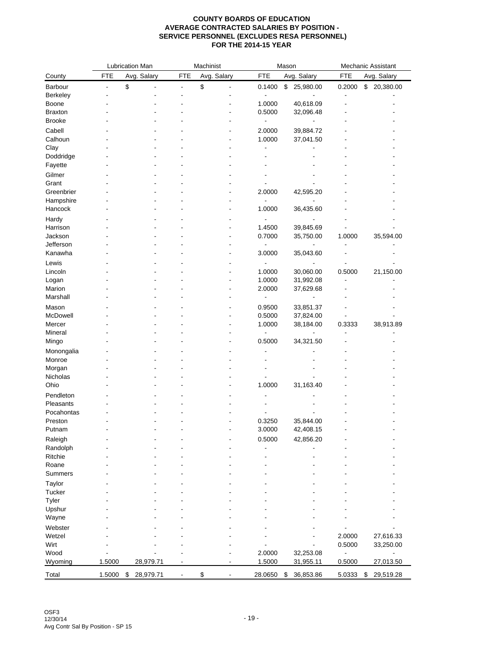|                    |            | Lubrication Man |                | Machinist            |                          | Mason           |            | Mechanic Assistant |
|--------------------|------------|-----------------|----------------|----------------------|--------------------------|-----------------|------------|--------------------|
| County             | <b>FTE</b> | Avg. Salary     | <b>FTE</b>     | Avg. Salary          | <b>FTE</b>               | Avg. Salary     | <b>FTE</b> | Avg. Salary        |
| Barbour            |            | \$              | $\overline{a}$ | \$<br>$\overline{a}$ | 0.1400                   | \$<br>25,980.00 | 0.2000     | \$ 20,380.00       |
| Berkeley           |            |                 |                |                      | $\overline{\phantom{a}}$ |                 | ÷,         |                    |
| Boone              |            |                 |                |                      | 1.0000                   | 40,618.09       |            |                    |
| <b>Braxton</b>     |            |                 |                |                      | 0.5000                   | 32,096.48       |            |                    |
| <b>Brooke</b>      |            |                 |                |                      | $\overline{\phantom{a}}$ |                 |            |                    |
| Cabell             |            |                 |                |                      | 2.0000                   | 39,884.72       |            |                    |
| Calhoun            |            |                 |                |                      | 1.0000                   | 37,041.50       |            |                    |
| Clay               |            |                 |                |                      |                          |                 |            |                    |
| Doddridge          |            |                 |                |                      |                          |                 |            |                    |
| Fayette            |            |                 |                |                      |                          |                 |            |                    |
| Gilmer             |            |                 |                |                      |                          |                 |            |                    |
| Grant              |            |                 |                |                      |                          |                 |            |                    |
| Greenbrier         |            |                 |                |                      | 2.0000                   | 42,595.20       |            |                    |
| Hampshire          |            |                 |                |                      | $\blacksquare$           |                 |            |                    |
| Hancock            |            |                 |                |                      | 1.0000                   | 36,435.60       |            |                    |
| Hardy              |            |                 |                |                      |                          |                 |            |                    |
| Harrison           |            |                 |                |                      | 1.4500                   | 39,845.69       |            |                    |
| Jackson            |            |                 |                |                      | 0.7000                   | 35,750.00       | 1.0000     | 35,594.00          |
| Jefferson          |            |                 |                |                      | $\overline{a}$           |                 |            |                    |
| Kanawha            |            |                 |                |                      | 3.0000                   | 35,043.60       |            |                    |
|                    |            |                 |                |                      |                          |                 |            |                    |
| Lewis              |            |                 |                |                      |                          |                 |            |                    |
| Lincoln            |            |                 |                |                      | 1.0000                   | 30,060.00       | 0.5000     | 21,150.00          |
| Logan              |            |                 |                |                      | 1.0000                   | 31,992.08       |            |                    |
| Marion<br>Marshall |            |                 |                |                      | 2.0000                   | 37,629.68       |            |                    |
|                    |            |                 |                |                      | $\overline{\phantom{0}}$ |                 |            |                    |
| Mason              |            |                 |                |                      | 0.9500                   | 33,851.37       |            |                    |
| McDowell           |            |                 |                |                      | 0.5000                   | 37,824.00       |            |                    |
| Mercer             |            |                 |                |                      | 1.0000                   | 38,184.00       | 0.3333     | 38,913.89          |
| Mineral            |            |                 |                |                      | $\overline{\phantom{a}}$ |                 |            |                    |
| Mingo              |            |                 |                |                      | 0.5000                   | 34,321.50       |            |                    |
| Monongalia         |            |                 |                |                      |                          |                 |            |                    |
| Monroe             |            |                 |                |                      |                          |                 |            |                    |
| Morgan             |            |                 |                |                      |                          |                 |            |                    |
| Nicholas           |            |                 |                |                      |                          |                 |            |                    |
| Ohio               |            |                 |                |                      | 1.0000                   | 31,163.40       |            |                    |
| Pendleton          |            |                 |                |                      |                          |                 |            |                    |
| Pleasants          |            |                 |                |                      |                          |                 |            |                    |
| Pocahontas         |            |                 |                |                      |                          |                 |            |                    |
| Preston            |            |                 |                |                      | 0.3250                   | 35,844.00       |            |                    |
| Putnam             |            |                 |                |                      | 3.0000                   | 42,408.15       |            |                    |
| Raleigh            |            |                 |                |                      | 0.5000                   | 42,856.20       |            |                    |
| Randolph           |            |                 |                |                      |                          |                 |            |                    |
| Ritchie            |            |                 |                |                      |                          |                 |            |                    |
| Roane              |            |                 |                |                      |                          |                 |            |                    |
| Summers            |            |                 |                |                      |                          |                 |            |                    |
| Taylor             |            |                 |                |                      |                          |                 |            |                    |
| Tucker             |            |                 |                |                      |                          |                 |            |                    |
| Tyler              |            |                 |                |                      |                          |                 |            |                    |
| Upshur             |            |                 |                |                      |                          |                 |            |                    |
| Wayne              |            |                 |                |                      |                          |                 |            |                    |
| Webster            |            |                 |                |                      |                          |                 |            |                    |
| Wetzel             |            |                 |                |                      |                          |                 | 2.0000     | 27,616.33          |
| Wirt               |            |                 |                |                      |                          |                 | 0.5000     | 33,250.00          |
| Wood               |            |                 |                |                      | 2.0000                   | 32,253.08       |            |                    |
| Wyoming            | 1.5000     | 28,979.71       |                |                      | 1.5000                   | 31,955.11       | 0.5000     | 27,013.50          |
|                    |            |                 |                |                      |                          |                 |            |                    |
| Total              | 1.5000     | 28,979.71<br>\$ |                | \$                   | 28.0650                  | 36,853.86<br>\$ | 5.0333     | 29,519.28<br>\$    |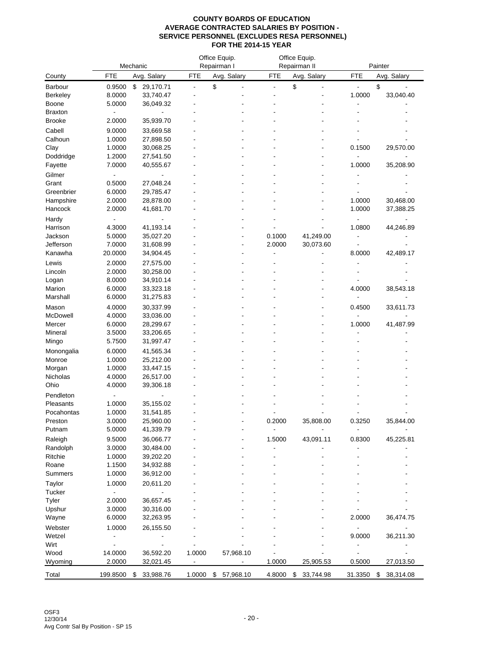|                |            | Mechanic        |                          | Office Equip.<br>Repairman I |                          | Office Equip.<br>Repairman II | Painter                   |                 |  |
|----------------|------------|-----------------|--------------------------|------------------------------|--------------------------|-------------------------------|---------------------------|-----------------|--|
| County         | <b>FTE</b> | Avg. Salary     | <b>FTE</b>               | Avg. Salary                  | <b>FTE</b>               | Avg. Salary                   | <b>FTE</b><br>Avg. Salary |                 |  |
| Barbour        | 0.9500     | \$<br>29,170.71 | $\overline{\phantom{a}}$ | \$                           | $\overline{\phantom{a}}$ | \$                            |                           | \$              |  |
| Berkeley       | 8.0000     | 33,740.47       |                          |                              |                          |                               | 1.0000                    | 33,040.40       |  |
| Boone          | 5.0000     | 36,049.32       |                          |                              |                          |                               |                           |                 |  |
| <b>Braxton</b> |            |                 |                          |                              |                          |                               |                           |                 |  |
| Brooke         | 2.0000     | 35,939.70       |                          |                              |                          |                               |                           |                 |  |
| Cabell         | 9.0000     | 33,669.58       |                          |                              |                          |                               |                           |                 |  |
| Calhoun        | 1.0000     | 27,898.50       |                          |                              |                          |                               |                           |                 |  |
| Clay           | 1.0000     | 30,068.25       |                          |                              |                          |                               | 0.1500                    | 29,570.00       |  |
| Doddridge      | 1.2000     | 27,541.50       |                          |                              |                          |                               |                           |                 |  |
| Fayette        | 7.0000     | 40,555.67       |                          |                              |                          |                               | 1.0000                    | 35,208.90       |  |
| Gilmer         |            |                 |                          |                              |                          |                               |                           |                 |  |
| Grant          | 0.5000     | 27,048.24       |                          |                              |                          |                               |                           |                 |  |
| Greenbrier     | 6.0000     | 29,785.47       |                          |                              |                          |                               |                           |                 |  |
| Hampshire      | 2.0000     | 28,878.00       |                          |                              |                          |                               | 1.0000                    | 30,468.00       |  |
| Hancock        | 2.0000     | 41,681.70       |                          |                              |                          |                               | 1.0000                    | 37,388.25       |  |
| Hardy          |            |                 |                          |                              |                          |                               |                           |                 |  |
| Harrison       | 4.3000     | 41,193.14       |                          |                              |                          |                               | 1.0800                    | 44,246.89       |  |
| Jackson        | 5.0000     | 35,027.20       |                          |                              | 0.1000                   | 41,249.00                     |                           |                 |  |
| Jefferson      | 7.0000     | 31,608.99       |                          |                              | 2.0000                   | 30,073.60                     |                           |                 |  |
| Kanawha        | 20.0000    | 34,904.45       |                          |                              |                          |                               | 8.0000                    | 42,489.17       |  |
| Lewis          | 2.0000     | 27,575.00       |                          |                              |                          |                               |                           |                 |  |
| Lincoln        | 2.0000     | 30,258.00       |                          |                              |                          |                               |                           |                 |  |
| Logan          | 8.0000     | 34,910.14       |                          |                              |                          |                               |                           |                 |  |
| Marion         | 6.0000     | 33,323.18       |                          |                              |                          |                               | 4.0000                    | 38,543.18       |  |
| Marshall       | 6.0000     | 31,275.83       |                          |                              |                          |                               |                           |                 |  |
| Mason          | 4.0000     | 30,337.99       |                          |                              |                          |                               | 0.4500                    | 33,611.73       |  |
| McDowell       | 4.0000     | 33,036.00       |                          |                              |                          |                               |                           |                 |  |
| Mercer         | 6.0000     | 28,299.67       |                          |                              |                          |                               | 1.0000                    | 41,487.99       |  |
| Mineral        | 3.5000     | 33,206.65       |                          |                              |                          |                               |                           |                 |  |
| Mingo          | 5.7500     | 31,997.47       |                          |                              |                          |                               |                           |                 |  |
| Monongalia     | 6.0000     | 41,565.34       |                          |                              |                          |                               |                           |                 |  |
| Monroe         | 1.0000     | 25,212.00       |                          |                              |                          |                               |                           |                 |  |
| Morgan         | 1.0000     | 33,447.15       |                          |                              |                          |                               |                           |                 |  |
| Nicholas       | 4.0000     | 26,517.00       |                          |                              |                          |                               |                           |                 |  |
| Ohio           | 4.0000     | 39,306.18       |                          |                              |                          |                               |                           |                 |  |
| Pendleton      |            |                 |                          |                              |                          |                               |                           |                 |  |
| Pleasants      | 1.0000     | 35,155.02       |                          |                              |                          |                               |                           |                 |  |
| Pocahontas     | 1.0000     | 31,541.85       |                          |                              |                          |                               |                           |                 |  |
| Preston        | 3.0000     | 25,960.00       |                          |                              | 0.2000                   | 35,808.00                     | 0.3250                    | 35,844.00       |  |
| Putnam         | 5.0000     | 41,339.79       |                          |                              | $\overline{\phantom{a}}$ |                               |                           |                 |  |
| Raleigh        | 9.5000     | 36,066.77       |                          |                              | 1.5000                   | 43,091.11                     | 0.8300                    | 45,225.81       |  |
| Randolph       | 3.0000     | 30,484.00       |                          |                              |                          |                               |                           |                 |  |
| Ritchie        | 1.0000     | 39,202.20       |                          |                              |                          |                               |                           |                 |  |
| Roane          | 1.1500     | 34,932.88       |                          |                              |                          |                               |                           |                 |  |
| Summers        | 1.0000     | 36,912.00       |                          |                              |                          |                               |                           |                 |  |
| Taylor         | 1.0000     | 20,611.20       |                          |                              |                          |                               |                           |                 |  |
| Tucker         |            |                 |                          |                              |                          |                               |                           |                 |  |
| Tyler          | 2.0000     | 36,657.45       |                          |                              |                          |                               |                           |                 |  |
| Upshur         | 3.0000     | 30,316.00       |                          |                              |                          |                               |                           |                 |  |
| Wayne          | 6.0000     | 32,263.95       |                          |                              |                          |                               | 2.0000                    | 36,474.75       |  |
| Webster        | 1.0000     | 26,155.50       |                          |                              |                          |                               |                           |                 |  |
| Wetzel         |            |                 |                          |                              |                          |                               | 9.0000                    | 36,211.30       |  |
| Wirt           |            |                 |                          |                              |                          |                               |                           |                 |  |
| Wood           | 14.0000    | 36,592.20       | 1.0000                   | 57,968.10                    |                          |                               |                           |                 |  |
| Wyoming        | 2.0000     | 32,021.45       |                          |                              | 1.0000                   | 25,905.53                     | 0.5000                    | 27,013.50       |  |
| Total          | 199.8500   | \$<br>33,988.76 | 1.0000                   | \$<br>57,968.10              | 4.8000                   | \$<br>33,744.98               | 31.3350                   | \$<br>38,314.08 |  |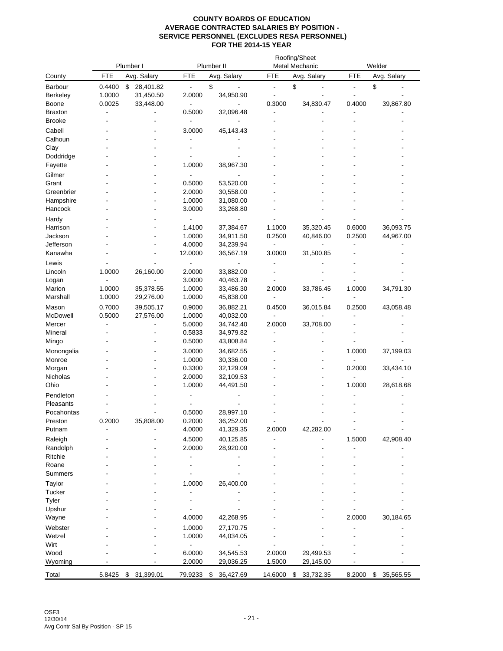|                     | Plumber I        |                              |                          | Plumber II      |            | Roofing/Sheet<br>Metal Mechanic |                           | Welder          |  |  |
|---------------------|------------------|------------------------------|--------------------------|-----------------|------------|---------------------------------|---------------------------|-----------------|--|--|
| County              | <b>FTE</b>       | Avg. Salary                  | <b>FTE</b>               | Avg. Salary     | <b>FTE</b> | Avg. Salary                     | <b>FTE</b><br>Avg. Salary |                 |  |  |
|                     |                  |                              |                          |                 |            |                                 |                           |                 |  |  |
| Barbour<br>Berkeley | 0.4400<br>1.0000 | \$<br>28,401.82<br>31,450.50 | 2.0000                   | \$<br>34,950.90 |            | \$                              |                           | \$              |  |  |
| Boone               | 0.0025           | 33,448.00                    |                          |                 | 0.3000     | 34,830.47                       | 0.4000                    | 39,867.80       |  |  |
| <b>Braxton</b>      |                  |                              | 0.5000                   | 32,096.48       |            |                                 |                           |                 |  |  |
| <b>Brooke</b>       |                  |                              |                          |                 |            |                                 |                           |                 |  |  |
| Cabell              |                  |                              | 3.0000                   | 45,143.43       |            |                                 |                           |                 |  |  |
| Calhoun             |                  |                              |                          |                 |            |                                 |                           |                 |  |  |
| Clay                |                  |                              |                          |                 |            |                                 |                           |                 |  |  |
| Doddridge           |                  |                              |                          |                 |            |                                 |                           |                 |  |  |
| Fayette             |                  |                              | 1.0000                   | 38,967.30       |            |                                 |                           |                 |  |  |
| Gilmer              |                  |                              |                          |                 |            |                                 |                           |                 |  |  |
| Grant               |                  |                              | 0.5000                   | 53,520.00       |            |                                 |                           |                 |  |  |
| Greenbrier          |                  |                              | 2.0000                   | 30,558.00       |            |                                 |                           |                 |  |  |
| Hampshire           |                  |                              | 1.0000                   | 31,080.00       |            |                                 |                           |                 |  |  |
| Hancock             |                  |                              | 3.0000                   | 33,268.80       |            |                                 |                           |                 |  |  |
|                     |                  |                              |                          |                 |            |                                 |                           |                 |  |  |
| Hardy<br>Harrison   |                  |                              | 1.4100                   | 37,384.67       | 1.1000     | 35,320.45                       | 0.6000                    | 36,093.75       |  |  |
| Jackson             |                  |                              | 1.0000                   | 34,911.50       | 0.2500     | 40,846.00                       | 0.2500                    | 44,967.00       |  |  |
| Jefferson           |                  |                              | 4.0000                   | 34,239.94       | ٠          |                                 |                           |                 |  |  |
| Kanawha             |                  |                              | 12.0000                  | 36,567.19       | 3.0000     | 31,500.85                       |                           |                 |  |  |
| Lewis               |                  |                              |                          |                 |            |                                 |                           |                 |  |  |
|                     |                  |                              | $\blacksquare$<br>2.0000 | 33,882.00       |            |                                 |                           |                 |  |  |
| Lincoln             | 1.0000           | 26,160.00                    | 3.0000                   | 40,463.78       |            |                                 |                           |                 |  |  |
| Logan<br>Marion     | 1.0000           | 35,378.55                    | 1.0000                   | 33,486.30       | 2.0000     | 33,786.45                       | 1.0000                    | 34,791.30       |  |  |
| Marshall            | 1.0000           | 29,276.00                    | 1.0000                   | 45,838.00       |            |                                 |                           |                 |  |  |
|                     |                  |                              |                          |                 |            |                                 |                           |                 |  |  |
| Mason               | 0.7000           | 39,505.17                    | 0.9000                   | 36,882.21       | 0.4500     | 36,015.84                       | 0.2500                    | 43,058.48       |  |  |
| McDowell            | 0.5000           | 27,576.00                    | 1.0000                   | 40,032.00       |            |                                 |                           |                 |  |  |
| Mercer              |                  |                              | 5.0000                   | 34,742.40       | 2.0000     | 33,708.00                       |                           |                 |  |  |
| Mineral             |                  |                              | 0.5833<br>0.5000         | 34,979.82       |            |                                 |                           |                 |  |  |
| Mingo               |                  |                              |                          | 43,808.84       |            |                                 |                           |                 |  |  |
| Monongalia          |                  |                              | 3.0000                   | 34,682.55       |            | $\overline{\phantom{a}}$        | 1.0000                    | 37,199.03       |  |  |
| Monroe              |                  |                              | 1.0000                   | 30,336.00       |            |                                 |                           |                 |  |  |
| Morgan              |                  |                              | 0.3300                   | 32,129.09       |            |                                 | 0.2000                    | 33,434.10       |  |  |
| Nicholas            |                  |                              | 2.0000                   | 32,109.53       |            |                                 |                           |                 |  |  |
| Ohio                |                  |                              | 1.0000                   | 44,491.50       |            |                                 | 1.0000                    | 28,618.68       |  |  |
| Pendleton           |                  |                              |                          |                 |            |                                 |                           |                 |  |  |
| Pleasants           |                  |                              |                          |                 |            |                                 |                           |                 |  |  |
| Pocahontas          |                  |                              | 0.5000                   | 28,997.10       |            |                                 |                           |                 |  |  |
| Preston             | 0.2000           | 35,808.00                    | 0.2000                   | 36,252.00       |            |                                 |                           |                 |  |  |
| Putnam              |                  |                              | 4.0000                   | 41,329.35       | 2.0000     | 42,282.00                       |                           |                 |  |  |
| Raleigh             |                  |                              | 4.5000                   | 40,125.85       |            |                                 | 1.5000                    | 42,908.40       |  |  |
| Randolph            |                  |                              | 2.0000                   | 28,920.00       |            |                                 |                           |                 |  |  |
| Ritchie             |                  |                              |                          |                 |            |                                 |                           |                 |  |  |
| Roane               |                  |                              |                          |                 |            |                                 |                           |                 |  |  |
| Summers             |                  |                              |                          |                 |            |                                 |                           |                 |  |  |
| Taylor              |                  |                              | 1.0000                   | 26,400.00       |            |                                 |                           |                 |  |  |
| Tucker              |                  |                              |                          |                 |            |                                 |                           |                 |  |  |
| Tyler               |                  |                              |                          |                 |            |                                 |                           |                 |  |  |
| Upshur              |                  |                              |                          |                 |            |                                 |                           |                 |  |  |
| Wayne               |                  |                              | 4.0000                   | 42,268.95       |            |                                 | 2.0000                    | 30,184.65       |  |  |
| Webster             |                  |                              | 1.0000                   | 27,170.75       |            |                                 |                           |                 |  |  |
| Wetzel              |                  |                              | 1.0000                   | 44,034.05       |            |                                 |                           |                 |  |  |
| Wirt                |                  |                              |                          |                 |            |                                 |                           |                 |  |  |
| Wood                |                  |                              | 6.0000                   | 34,545.53       | 2.0000     | 29,499.53                       |                           |                 |  |  |
| Wyoming             |                  |                              | 2.0000                   | 29,036.25       | 1.5000     | 29,145.00                       |                           |                 |  |  |
| Total               | 5.8425           | \$<br>31,399.01              | 79.9233                  | 36,427.69<br>\$ | 14.6000    | 33,732.35<br>\$                 | 8.2000                    | \$<br>35,565.55 |  |  |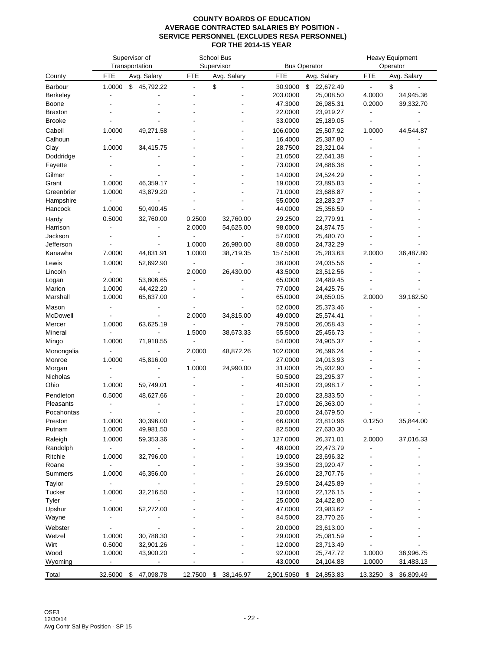|                      |                          | Supervisor of<br>Transportation |                          | School Bus<br>Supervisor |                    | <b>Bus Operator</b>    |            | Heavy Equipment<br>Operator |
|----------------------|--------------------------|---------------------------------|--------------------------|--------------------------|--------------------|------------------------|------------|-----------------------------|
| County               | FTE                      | Avg. Salary                     | <b>FTE</b>               | Avg. Salary              | FTE                | Avg. Salary            | <b>FTE</b> | Avg. Salary                 |
| <b>Barbour</b>       | 1.0000                   | \$45,792.22                     |                          | \$                       | 30.9000            | \$<br>22,672.49        |            | \$                          |
| <b>Berkeley</b>      |                          |                                 |                          |                          | 203.0000           | 25,008.50              | 4.0000     | 34,945.36                   |
| Boone                |                          |                                 |                          |                          | 47.3000            | 26,985.31              | 0.2000     | 39,332.70                   |
| <b>Braxton</b>       |                          |                                 |                          |                          | 22.0000            | 23,919.27              |            |                             |
| <b>Brooke</b>        |                          |                                 |                          |                          | 33.0000            | 25,189.05              |            |                             |
| Cabell               | 1.0000                   | 49,271.58                       |                          |                          | 106.0000           | 25,507.92              | 1.0000     | 44,544.87                   |
| Calhoun              |                          |                                 |                          |                          | 16.4000            | 25,387.80              |            |                             |
| Clay                 | 1.0000                   | 34,415.75                       |                          |                          | 28.7500            | 23,321.04              |            |                             |
| Doddridge            |                          |                                 |                          |                          | 21.0500            | 22,641.38              |            |                             |
| Fayette              |                          |                                 |                          |                          | 73.0000            | 24,886.38              |            |                             |
| Gilmer               |                          |                                 |                          |                          | 14.0000            | 24,524.29              |            |                             |
| Grant                | 1.0000                   | 46,359.17                       |                          |                          | 19.0000            | 23,895.83              |            |                             |
| Greenbrier           | 1.0000                   | 43,879.20                       |                          |                          | 71.0000            | 23,688.87              |            |                             |
| Hampshire            |                          |                                 |                          |                          | 55.0000            | 23,283.27              |            |                             |
| Hancock              | 1.0000                   | 50,490.45                       |                          |                          | 44.0000            | 25,356.59              |            |                             |
| Hardy                | 0.5000                   | 32,760.00                       | 0.2500                   | 32,760.00                | 29.2500            | 22,779.91              |            |                             |
| Harrison             |                          |                                 | 2.0000                   | 54,625.00                | 98.0000            | 24,874.75              |            |                             |
| Jackson<br>Jefferson |                          |                                 | 1.0000                   | 26,980.00                | 57.0000<br>88.0050 | 25,480.70              |            |                             |
| Kanawha              | 7.0000                   | 44,831.91                       | 1.0000                   | 38,719.35                | 157.5000           | 24,732.29<br>25,283.63 | 2.0000     | 36,487.80                   |
|                      |                          |                                 |                          |                          |                    |                        |            |                             |
| Lewis                | 1.0000                   | 52,692.90                       | 2.0000                   | 26,430.00                | 36.0000            | 24,035.56              |            |                             |
| Lincoln<br>Logan     | 2.0000                   | 53,806.65                       |                          |                          | 43.5000<br>65.0000 | 23,512.56<br>24,489.45 |            |                             |
| Marion               | 1.0000                   | 44,422.20                       |                          |                          | 77.0000            | 24,425.76              |            |                             |
| Marshall             | 1.0000                   | 65,637.00                       |                          |                          | 65.0000            | 24,650.05              | 2.0000     | 39,162.50                   |
| Mason                |                          |                                 |                          |                          | 52.0000            | 25,373.46              |            |                             |
| McDowell             |                          |                                 | 2.0000                   | 34,815.00                | 49.0000            | 25,574.41              |            |                             |
| Mercer               | 1.0000                   | 63,625.19                       | $\blacksquare$           |                          | 79.5000            | 26,058.43              |            |                             |
| Mineral              |                          |                                 | 1.5000                   | 38,673.33                | 55.5000            | 25,456.73              |            |                             |
| Mingo                | 1.0000                   | 71,918.55                       |                          |                          | 54.0000            | 24,905.37              |            |                             |
| Monongalia           |                          |                                 | 2.0000                   | 48,872.26                | 102.0000           | 26,596.24              |            |                             |
| Monroe               | 1.0000                   | 45,816.00                       | $\overline{\phantom{a}}$ | $\overline{a}$           | 27.0000            | 24,013.93              |            |                             |
| Morgan               |                          |                                 | 1.0000                   | 24,990.00                | 31.0000            | 25,932.90              |            |                             |
| Nicholas             |                          |                                 |                          |                          | 50.5000            | 23,295.37              |            |                             |
| Ohio                 | 1.0000                   | 59,749.01                       |                          |                          | 40.5000            | 23,998.17              |            |                             |
| Pendleton            | 0.5000                   | 48,627.66                       |                          |                          | 20.0000            | 23,833.50              |            |                             |
| Pleasants            |                          |                                 |                          |                          | 17.0000            | 26,363.00              |            |                             |
| Pocahontas           |                          |                                 |                          |                          | 20.0000            | 24,679.50              |            |                             |
| Preston              | 1.0000                   | 30,396.00                       |                          |                          | 66.0000            | 23,810.96              | 0.1250     | 35,844.00                   |
| Putnam               | 1.0000                   | 49,981.50                       |                          |                          | 82.5000            | 27,630.30              |            |                             |
| Raleigh              | 1.0000                   | 59,353.36                       |                          |                          | 127.0000           | 26,371.01              | 2.0000     | 37,016.33                   |
| Randolph             | $\overline{\phantom{a}}$ |                                 |                          |                          | 48.0000            | 22,473.79              |            |                             |
| Ritchie              | 1.0000                   | 32,796.00                       |                          |                          | 19.0000            | 23,696.32              |            |                             |
| Roane                |                          |                                 |                          |                          | 39.3500            | 23,920.47              |            |                             |
| Summers              | 1.0000                   | 46,356.00                       |                          |                          | 26.0000            | 23,707.76              |            |                             |
| Taylor               |                          |                                 |                          |                          | 29.5000            | 24,425.89              |            |                             |
| Tucker               | 1.0000                   | 32,216.50                       |                          |                          | 13.0000            | 22,126.15              |            |                             |
| Tyler                |                          |                                 |                          |                          | 25.0000            | 24,422.80              |            |                             |
| Upshur               | 1.0000                   | 52,272.00                       |                          |                          | 47.0000            | 23,983.62              |            |                             |
| Wayne                |                          |                                 |                          |                          | 84.5000            | 23,770.26              |            |                             |
| Webster              |                          |                                 |                          |                          | 20.0000            | 23,613.00              |            |                             |
| Wetzel               | 1.0000                   | 30,788.30                       |                          |                          | 29.0000            | 25,081.59              |            |                             |
| Wirt                 | 0.5000                   | 32,901.26                       |                          |                          | 12.0000            | 23,713.49              |            |                             |
| Wood                 | 1.0000                   | 43,900.20                       |                          |                          | 92.0000            | 25,747.72              | 1.0000     | 36,996.75                   |
| Wyoming              |                          |                                 |                          |                          | 43.0000            | 24,104.88              | 1.0000     | 31,483.13                   |
| Total                | 32.5000                  | \$<br>47,098.78                 | 12.7500                  | 38,146.97<br>\$          | 2,901.5050         | 24,853.83<br>\$        | 13.3250    | 36,809.49<br>\$             |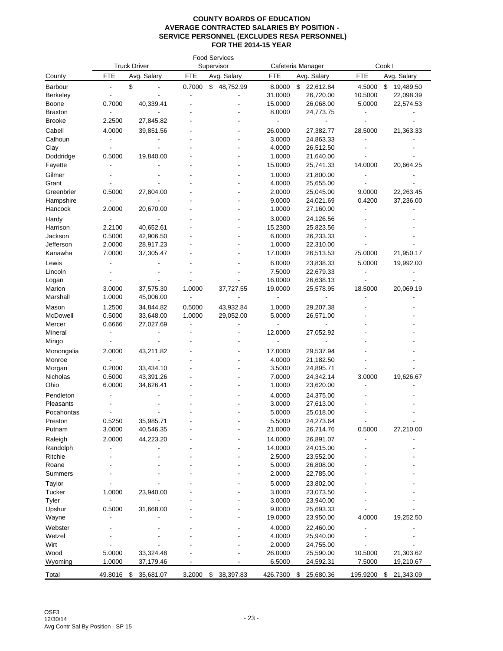|                      |                  | <b>Truck Driver</b>    | <b>Food Services</b><br>Supervisor |                 |                   | Cafeteria Manager      | Cook I     |                 |  |
|----------------------|------------------|------------------------|------------------------------------|-----------------|-------------------|------------------------|------------|-----------------|--|
| County               | <b>FTE</b>       | Avg. Salary            | <b>FTE</b>                         | Avg. Salary     | <b>FTE</b>        | Avg. Salary            | <b>FTE</b> | Avg. Salary     |  |
| Barbour              |                  | \$                     | 0.7000                             | 48,752.99<br>\$ | 8.0000            | \$<br>22,612.84        | 4.5000     | \$<br>19,489.50 |  |
| <b>Berkeley</b>      |                  |                        |                                    |                 | 31.0000           | 26,720.00              | 10.5000    | 22,098.39       |  |
| Boone                | 0.7000           | 40,339.41              |                                    |                 | 15.0000           | 26,068.00              | 5.0000     | 22,574.53       |  |
| <b>Braxton</b>       |                  |                        |                                    |                 | 8.0000            | 24,773.75              |            |                 |  |
| <b>Brooke</b>        | 2.2500           | 27,845.82              |                                    |                 |                   |                        |            |                 |  |
| Cabell               | 4.0000           | 39,851.56              |                                    |                 | 26.0000           | 27,382.77              | 28.5000    | 21,363.33       |  |
| Calhoun              |                  |                        |                                    |                 | 3.0000            | 24,863.33              |            |                 |  |
| Clay                 |                  |                        |                                    |                 | 4.0000            | 26,512.50              |            |                 |  |
| Doddridge            | 0.5000           | 19,840.00              |                                    |                 | 1.0000            | 21,640.00              |            |                 |  |
| Fayette              |                  |                        |                                    |                 | 15.0000           | 25,741.33              | 14.0000    | 20,664.25       |  |
| Gilmer               |                  |                        |                                    |                 | 1.0000            | 21,800.00              |            |                 |  |
| Grant                |                  |                        |                                    |                 | 4.0000            | 25,655.00              |            |                 |  |
| Greenbrier           | 0.5000           | 27,804.00              |                                    |                 | 2.0000            | 25,045.00              | 9.0000     | 22,263.45       |  |
| Hampshire            |                  |                        |                                    |                 | 9.0000            | 24,021.69              | 0.4200     | 37,236.00       |  |
| Hancock              | 2.0000           | 20,670.00              |                                    |                 | 1.0000            | 27,160.00              |            |                 |  |
| Hardy                |                  |                        |                                    |                 | 3.0000            | 24,126.56              |            |                 |  |
| Harrison             | 2.2100           | 40,652.61              |                                    |                 | 15.2300           | 25,823.56              |            |                 |  |
| Jackson<br>Jefferson | 0.5000<br>2.0000 | 42,906.50<br>28,917.23 |                                    |                 | 6.0000<br>1.0000  | 26,233.33<br>22,310.00 |            |                 |  |
| Kanawha              | 7.0000           | 37,305.47              |                                    |                 | 17.0000           | 26,513.53              | 75.0000    | 21,950.17       |  |
|                      |                  |                        |                                    |                 |                   |                        |            |                 |  |
| Lewis<br>Lincoln     |                  |                        |                                    |                 | 6.0000<br>7.5000  | 23,838.33<br>22,679.33 | 5.0000     | 19,992.00       |  |
| Logan                |                  |                        |                                    |                 | 16.0000           | 26,638.13              |            |                 |  |
| Marion               | 3.0000           | 37,575.30              | 1.0000                             | 37,727.55       | 19.0000           | 25,578.95              | 18.5000    | 20,069.19       |  |
| Marshall             | 1.0000           | 45,006.00              | $\blacksquare$                     |                 | $\overline{a}$    |                        |            |                 |  |
| Mason                | 1.2500           | 34,844.82              | 0.5000                             | 43,932.84       | 1.0000            | 29,207.38              |            |                 |  |
| McDowell             | 0.5000           | 33,648.00              | 1.0000                             | 29,052.00       | 5.0000            | 26,571.00              |            |                 |  |
| Mercer               | 0.6666           | 27,027.69              |                                    |                 |                   |                        |            |                 |  |
| Mineral              |                  |                        |                                    |                 | 12.0000           | 27,052.92              |            |                 |  |
| Mingo                |                  |                        |                                    |                 |                   |                        |            |                 |  |
| Monongalia           | 2.0000           | 43,211.82              |                                    |                 | 17.0000           | 29,537.94              |            |                 |  |
| Monroe               |                  |                        |                                    |                 | 4.0000            | 21,182.50              |            |                 |  |
| Morgan               | 0.2000           | 33,434.10              |                                    |                 | 3.5000            | 24,895.71              |            |                 |  |
| Nicholas             | 0.5000           | 43,391.26              |                                    |                 | 7.0000            | 24,342.14              | 3.0000     | 19,626.67       |  |
| Ohio                 | 6.0000           | 34,626.41              |                                    |                 | 1.0000            | 23,620.00              |            |                 |  |
| Pendleton            |                  |                        |                                    |                 | 4.0000            | 24,375.00              |            |                 |  |
| Pleasants            |                  |                        |                                    |                 | 3.0000            | 27,613.00              |            |                 |  |
| Pocahontas           |                  |                        |                                    |                 | 5.0000            | 25,018.00              |            |                 |  |
| Preston              | 0.5250           | 35,985.71              |                                    |                 | 5.5000            | 24,273.64              |            |                 |  |
| Putnam               | 3.0000           | 40,546.35              |                                    |                 | 21.0000           | 26,714.76              | 0.5000     | 27,210.00       |  |
| Raleigh              | 2.0000           | 44,223.20              |                                    |                 | 14.0000           | 26,891.07              |            |                 |  |
| Randolph             |                  |                        |                                    |                 | 14.0000           | 24,015.00              |            |                 |  |
| Ritchie              |                  |                        |                                    |                 | 2.5000            | 23,552.00              |            |                 |  |
| Roane                |                  |                        |                                    |                 | 5.0000            | 26,808.00              |            |                 |  |
| <b>Summers</b>       |                  |                        |                                    |                 | 2.0000            | 22,785.00              |            |                 |  |
| Taylor               |                  |                        |                                    |                 | 5.0000            | 23,802.00              |            |                 |  |
| Tucker               | 1.0000           | 23,940.00              |                                    |                 | 3.0000            | 23,073.50              |            |                 |  |
| Tyler                |                  |                        |                                    |                 | 3.0000            | 23,940.00              |            |                 |  |
| Upshur               | 0.5000           | 31,668.00              |                                    |                 | 9.0000            | 25,693.33              |            |                 |  |
| Wayne                |                  |                        |                                    |                 | 19.0000           | 23,950.00              | 4.0000     | 19,252.50       |  |
| Webster              |                  |                        |                                    |                 | 4.0000            | 22,460.00              |            |                 |  |
| Wetzel<br>Wirt       |                  |                        |                                    |                 | 4.0000            | 25,940.00              |            |                 |  |
| Wood                 | 5.0000           | 33,324.48              |                                    |                 | 2.0000<br>26.0000 | 24,755.00<br>25,590.00 | 10.5000    | 21,303.62       |  |
| Wyoming              | 1.0000           | 37,179.46              |                                    |                 | 6.5000            | 24,592.31              | 7.5000     | 19,210.67       |  |
|                      |                  |                        |                                    |                 |                   |                        |            |                 |  |
| Total                | 49.8016          | 35,681.07<br>- \$      | 3.2000                             | \$38,397.83     | 426.7300          | \$<br>25,680.36        | 195.9200   | 21,343.09<br>\$ |  |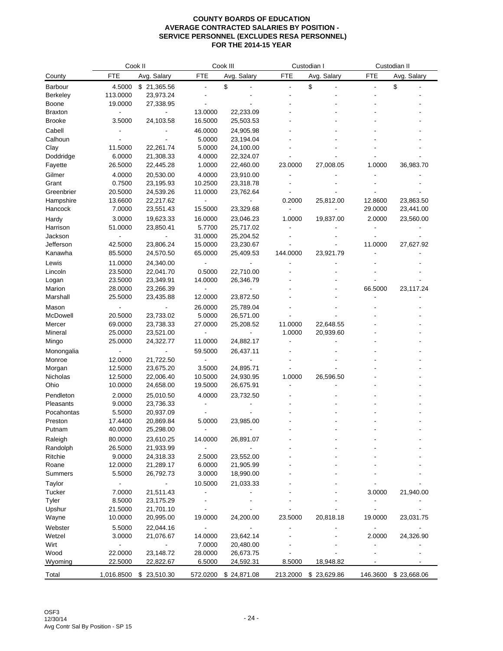|                |                | Cook II                  |            | Cook III    |                | Custodian I |                | Custodian II |  |  |
|----------------|----------------|--------------------------|------------|-------------|----------------|-------------|----------------|--------------|--|--|
| County         | FTE            | Avg. Salary              | <b>FTE</b> | Avg. Salary | <b>FTE</b>     | Avg. Salary | <b>FTE</b>     | Avg. Salary  |  |  |
| Barbour        | 4.5000         | \$21,365.56              |            | \$          | $\overline{a}$ | \$          | $\overline{a}$ | \$           |  |  |
| Berkeley       | 113.0000       | 23,973.24                |            |             |                |             |                |              |  |  |
| Boone          | 19.0000        | 27,338.95                |            |             |                |             |                |              |  |  |
| <b>Braxton</b> |                |                          | 13.0000    | 22,233.09   |                |             |                |              |  |  |
| <b>Brooke</b>  | 3.5000         | 24,103.58                | 16.5000    | 25,503.53   |                |             |                |              |  |  |
| Cabell         |                |                          | 46.0000    | 24,905.98   |                |             |                |              |  |  |
| Calhoun        |                |                          | 5.0000     | 23,194.04   |                |             |                |              |  |  |
| Clay           | 11.5000        | 22,261.74                | 5.0000     | 24,100.00   |                |             |                |              |  |  |
| Doddridge      | 6.0000         | 21,308.33                | 4.0000     | 22,324.07   |                |             |                |              |  |  |
| Fayette        | 26.5000        | 22,445.28                | 1.0000     | 22,460.00   | 23.0000        | 27,008.05   | 1.0000         | 36,983.70    |  |  |
| Gilmer         | 4.0000         | 20,530.00                | 4.0000     | 23,910.00   |                |             |                |              |  |  |
| Grant          | 0.7500         | 23,195.93                | 10.2500    | 23,318.78   |                |             |                |              |  |  |
| Greenbrier     | 20.5000        | 24,539.26                | 11.0000    | 23,762.64   |                |             |                |              |  |  |
| Hampshire      | 13.6600        | 22,217.62                |            |             | 0.2000         | 25,812.00   | 12.8600        | 23,863.50    |  |  |
| Hancock        | 7.0000         | 23,551.43                | 15.5000    | 23,329.68   |                |             | 29.0000        | 23,441.00    |  |  |
|                |                |                          |            |             |                |             |                |              |  |  |
| Hardy          | 3.0000         | 19,623.33                | 16.0000    | 23,046.23   | 1.0000         | 19,837.00   | 2.0000         | 23,560.00    |  |  |
| Harrison       | 51.0000        | 23,850.41                | 5.7700     | 25,717.02   |                |             |                |              |  |  |
| Jackson        |                |                          | 31.0000    | 25,204.52   |                |             |                |              |  |  |
| Jefferson      | 42.5000        | 23,806.24                | 15.0000    | 23,230.67   |                |             | 11.0000        | 27,627.92    |  |  |
| Kanawha        | 85.5000        | 24,570.50                | 65.0000    | 25,409.53   | 144.0000       | 23,921.79   |                |              |  |  |
| Lewis          | 11.0000        | 24,340.00                |            |             |                |             |                |              |  |  |
| Lincoln        | 23.5000        | 22,041.70                | 0.5000     | 22,710.00   |                |             |                |              |  |  |
| Logan          | 23.5000        | 23,349.91                | 14.0000    | 26,346.79   |                |             |                |              |  |  |
| Marion         | 28.0000        | 23,266.39                |            |             |                |             | 66.5000        | 23,117.24    |  |  |
| Marshall       | 25.5000        | 23,435.88                | 12.0000    | 23,872.50   |                |             |                |              |  |  |
| Mason          |                |                          | 26.0000    | 25,789.04   |                |             |                |              |  |  |
| McDowell       | 20.5000        | 23,733.02                | 5.0000     | 26,571.00   |                |             |                |              |  |  |
| Mercer         | 69.0000        | 23,738.33                | 27.0000    | 25,208.52   | 11.0000        | 22,648.55   |                |              |  |  |
| Mineral        | 25.0000        | 23,521.00                |            |             | 1.0000         | 20,939.60   |                |              |  |  |
| Mingo          | 25.0000        | 24,322.77                | 11.0000    | 24,882.17   |                |             |                |              |  |  |
| Monongalia     |                |                          | 59.5000    | 26,437.11   |                |             |                |              |  |  |
| Monroe         | 12.0000        | 21,722.50                |            |             |                |             |                |              |  |  |
| Morgan         | 12.5000        | 23,675.20                | 3.5000     | 24,895.71   |                |             |                |              |  |  |
| Nicholas       | 12.5000        | 22,006.40                | 10.5000    | 24,930.95   | 1.0000         | 26,596.50   |                |              |  |  |
| Ohio           | 10.0000        | 24,658.00                | 19.5000    | 26,675.91   |                |             |                |              |  |  |
| Pendleton      | 2.0000         | 25,010.50                | 4.0000     | 23,732.50   |                |             |                |              |  |  |
| Pleasants      | 9.0000         | 23,736.33                |            |             |                |             |                |              |  |  |
| Pocahontas     | 5.5000         | 20,937.09                |            |             |                |             |                |              |  |  |
| Preston        | 17.4400        | 20,869.84                | 5.0000     | 23,985.00   |                |             |                |              |  |  |
| Putnam         | 40.0000        | 25,298.00                |            |             |                |             |                |              |  |  |
| Raleigh        | 80.0000        | 23,610.25                | 14.0000    | 26,891.07   |                |             |                |              |  |  |
| Randolph       | 26.5000        | 21,933.99                |            |             |                |             |                |              |  |  |
| Ritchie        | 9.0000         | 24,318.33                | 2.5000     | 23,552.00   |                |             |                |              |  |  |
| Roane          | 12.0000        | 21,289.17                | 6.0000     | 21,905.99   |                |             |                |              |  |  |
| Summers        | 5.5000         | 26,792.73                | 3.0000     | 18,990.00   |                |             |                |              |  |  |
| Taylor         |                | $\overline{\phantom{a}}$ | 10.5000    | 21,033.33   |                |             |                |              |  |  |
| Tucker         | 7.0000         | 21,511.43                |            |             |                |             | 3.0000         | 21,940.00    |  |  |
| Tyler          | 8.5000         | 23,175.29                |            |             |                |             | $\blacksquare$ |              |  |  |
| Upshur         | 21.5000        | 21,701.10                |            |             |                |             |                |              |  |  |
| Wayne          | 10.0000        | 20,995.00                | 19.0000    | 24,200.00   | 23.5000        | 20,818.18   | 19.0000        | 23,031.75    |  |  |
| Webster        | 5.5000         | 22,044.16                |            |             |                |             |                |              |  |  |
| Wetzel         | 3.0000         | 21,076.67                | 14.0000    | 23,642.14   |                |             | 2.0000         | 24,326.90    |  |  |
| Wirt           | $\blacksquare$ | $\blacksquare$           | 7.0000     | 20,480.00   |                |             |                |              |  |  |
| Wood           | 22.0000        | 23,148.72                | 28.0000    | 26,673.75   |                |             |                |              |  |  |
| Wyoming        | 22.5000        | 22,822.67                | 6.5000     | 24,592.31   | 8.5000         | 18,948.82   |                |              |  |  |
|                |                |                          |            |             |                |             |                |              |  |  |
| Total          | 1,016.8500     | \$23,510.30              | 572.0200   | \$24,871.08 | 213.2000       | \$23,629.86 | 146.3600       | \$23,668.06  |  |  |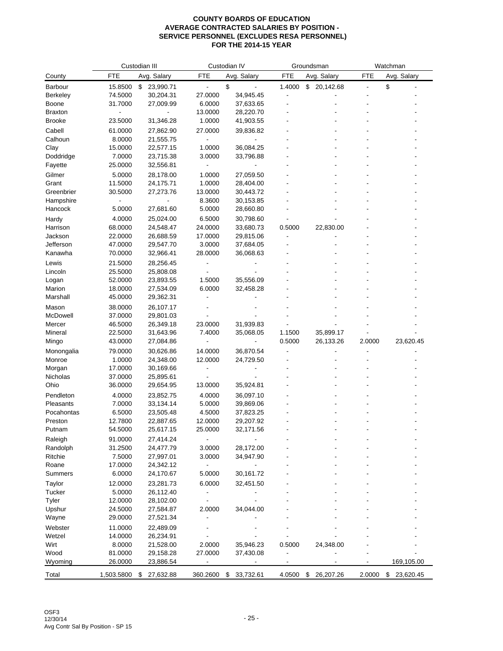|                    |                    | Custodian III          |                              | Custodian IV    |            | Groundsman      |            | Watchman        |
|--------------------|--------------------|------------------------|------------------------------|-----------------|------------|-----------------|------------|-----------------|
| County             | <b>FTE</b>         | Avg. Salary            | <b>FTE</b>                   | Avg. Salary     | <b>FTE</b> | Avg. Salary     | <b>FTE</b> | Avg. Salary     |
| Barbour            | 15.8500            | 23,990.71<br>\$        |                              | \$              | 1.4000     | \$20,142.68     |            | \$              |
| <b>Berkeley</b>    | 74.5000            | 30,204.31              | 27.0000                      | 34,945.45       |            |                 |            |                 |
| <b>Boone</b>       | 31.7000            | 27,009.99              | 6.0000                       | 37,633.65       |            |                 |            |                 |
| <b>Braxton</b>     |                    |                        | 13.0000                      | 28,220.70       |            |                 |            |                 |
| <b>Brooke</b>      | 23.5000            | 31,346.28              | 1.0000                       | 41,903.55       |            |                 |            |                 |
| Cabell             | 61.0000            | 27,862.90              | 27.0000                      | 39,836.82       |            |                 |            |                 |
| Calhoun            | 8.0000             | 21,555.75              |                              |                 |            |                 |            |                 |
| Clay               | 15.0000            | 22,577.15              | 1.0000                       | 36,084.25       |            |                 |            |                 |
| Doddridge          | 7.0000             | 23,715.38              | 3.0000                       | 33,796.88       |            |                 |            |                 |
| Fayette            | 25.0000            | 32,556.81              |                              |                 |            |                 |            |                 |
| Gilmer             | 5.0000             | 28,178.00              | 1.0000                       | 27,059.50       |            |                 |            |                 |
| Grant              | 11.5000            | 24,175.71              | 1.0000                       | 28,404.00       |            |                 |            |                 |
| Greenbrier         | 30.5000            | 27,273.76              | 13.0000                      | 30,443.72       |            |                 |            |                 |
| Hampshire          |                    |                        | 8.3600                       | 30,153.85       |            |                 |            |                 |
| Hancock            | 5.0000             | 27,681.60              | 5.0000                       | 28,660.80       |            |                 |            |                 |
| Hardy              | 4.0000             | 25,024.00              | 6.5000                       | 30,798.60       |            |                 |            |                 |
| Harrison           | 68.0000            | 24,548.47              | 24.0000                      | 33,680.73       | 0.5000     | 22,830.00       |            |                 |
| Jackson            | 22.0000            | 26,688.59              | 17.0000                      | 29,815.06       |            |                 |            |                 |
| Jefferson          | 47.0000            | 29,547.70              | 3.0000                       | 37,684.05       |            |                 |            |                 |
| Kanawha            | 70.0000            | 32,966.41              | 28.0000                      | 36,068.63       |            |                 |            |                 |
| Lewis              | 21.5000            | 28,256.45              |                              |                 |            |                 |            |                 |
| Lincoln            | 25.5000            | 25,808.08              |                              |                 |            |                 |            |                 |
| Logan              | 52.0000            | 23,893.55              | 1.5000<br>6.0000             | 35,556.09       |            |                 |            |                 |
| Marion<br>Marshall | 18.0000<br>45.0000 | 27,534.09<br>29,362.31 |                              | 32,458.28       |            |                 |            |                 |
|                    |                    |                        |                              |                 |            |                 |            |                 |
| Mason<br>McDowell  | 38.0000<br>37.0000 | 26,107.17              |                              |                 |            |                 |            |                 |
| Mercer             | 46.5000            | 29,801.03<br>26,349.18 | 23.0000                      | 31,939.83       |            |                 |            |                 |
| Mineral            | 22.5000            | 31,643.96              | 7.4000                       | 35,068.05       | 1.1500     | 35,899.17       |            |                 |
| Mingo              | 43.0000            | 27,084.86              |                              |                 | 0.5000     | 26,133.26       | 2.0000     | 23,620.45       |
| Monongalia         | 79.0000            | 30,626.86              | 14.0000                      | 36,870.54       |            |                 |            |                 |
| Monroe             | 1.0000             | 24,348.00              | 12.0000                      | 24,729.50       |            |                 |            |                 |
| Morgan             | 17.0000            | 30,169.66              |                              |                 |            |                 |            |                 |
| Nicholas           | 37.0000            | 25,895.61              |                              |                 |            |                 |            |                 |
| Ohio               | 36.0000            | 29,654.95              | 13.0000                      | 35,924.81       |            |                 |            |                 |
| Pendleton          | 4.0000             | 23,852.75              | 4.0000                       | 36,097.10       |            |                 |            |                 |
| Pleasants          | 7.0000             | 33,134.14              | 5.0000                       | 39,869.06       |            |                 |            |                 |
| Pocahontas         | 6.5000             | 23,505.48              | 4.5000                       | 37,823.25       |            |                 |            |                 |
| Preston            | 12.7800            | 22,887.65              | 12.0000                      | 29,207.92       |            |                 |            |                 |
| Putnam             | 54.5000            | 25,617.15              | 25.0000                      | 32,171.56       |            |                 |            |                 |
| Raleigh            | 91.0000            | 27,414.24              |                              |                 |            |                 |            |                 |
| Randolph           | 31.2500            | 24,477.79              | 3.0000                       | 28,172.00       |            |                 |            |                 |
| Ritchie            | 7.5000             | 27,997.01              | 3.0000                       | 34,947.90       |            |                 |            |                 |
| Roane              | 17.0000            | 24,342.12              | $\overline{\phantom{a}}$     |                 |            |                 |            |                 |
| Summers            | 6.0000             | 24,170.67              | 5.0000                       | 30,161.72       |            |                 |            |                 |
| Taylor             | 12.0000            | 23,281.73              | 6.0000                       | 32,451.50       |            |                 |            |                 |
| Tucker             | 5.0000             | 26,112.40              |                              |                 |            |                 |            |                 |
| Tyler              | 12.0000            | 28,102.00              |                              |                 |            |                 |            |                 |
| Upshur             | 24.5000            | 27,584.87              | 2.0000                       | 34,044.00       |            |                 |            |                 |
| Wayne              | 29.0000            | 27,521.34              |                              |                 |            |                 |            |                 |
| Webster            | 11.0000            | 22,489.09              |                              |                 |            |                 |            |                 |
| Wetzel             | 14.0000            | 26,234.91              |                              |                 |            |                 |            |                 |
| Wirt               | 8.0000             | 21,528.00              | 2.0000                       | 35,946.23       | 0.5000     | 24,348.00       |            |                 |
| Wood               | 81.0000            | 29,158.28              | 27.0000                      | 37,430.08       |            |                 |            |                 |
| Wyoming            | 26.0000            | 23,886.54              | $\qquad \qquad \blacksquare$ | ۰               |            |                 |            | 169,105.00      |
| Total              | 1,503.5800         | 27,632.88<br>\$        | 360.2600                     | 33,732.61<br>\$ | 4.0500     | \$<br>26,207.26 | 2.0000     | \$<br>23,620.45 |